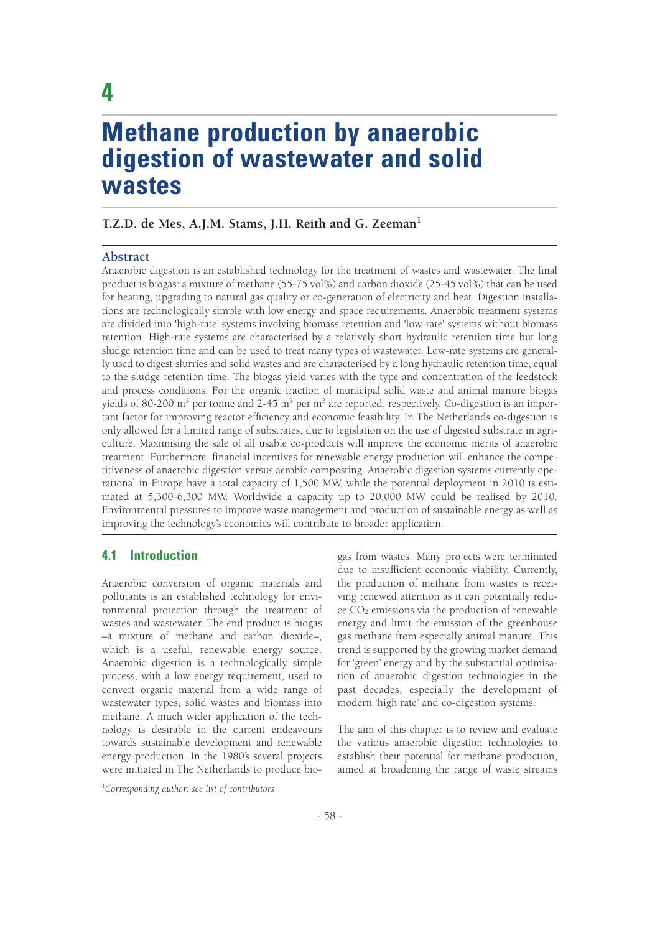# **Methane production by anaerobic digestion of wastewater and solid wastes**

## **T.Z.D. de Mes, A.J.M. Stams, J.H. Reith and G. Zeeman1**

#### **Abstract**

Anaerobic digestion is an established technology for the treatment of wastes and wastewater. The final product is biogas: a mixture of methane (55-75 vol%) and carbon dioxide (25-45 vol%) that can be used for heating, upgrading to natural gas quality or co-generation of electricity and heat. Digestion installations are technologically simple with low energy and space requirements. Anaerobic treatment systems are divided into 'high-rate' systems involving biomass retention and 'low-rate' systems without biomass retention. High-rate systems are characterised by a relatively short hydraulic retention time but long sludge retention time and can be used to treat many types of wastewater. Low-rate systems are generally used to digest slurries and solid wastes and are characterised by a long hydraulic retention time, equal to the sludge retention time. The biogas yield varies with the type and concentration of the feedstock and process conditions. For the organic fraction of municipal solid waste and animal manure biogas yields of 80-200 m<sup>3</sup> per tonne and 2-45 m<sup>3</sup> per m<sup>3</sup> are reported, respectively. Co-digestion is an important factor for improving reactor efficiency and economic feasibility. In The Netherlands co-digestion is only allowed for a limited range of substrates, due to legislation on the use of digested substrate in agriculture. Maximising the sale of all usable co-products will improve the economic merits of anaerobic treatment. Furthermore, financial incentives for renewable energy production will enhance the competitiveness of anaerobic digestion versus aerobic composting. Anaerobic digestion systems currently operational in Europe have a total capacity of 1,500 MW, while the potential deployment in 2010 is estimated at 5,300-6,300 MW. Worldwide a capacity up to 20,000 MW could be realised by 2010. Environmental pressures to improve waste management and production of sustainable energy as well as improving the technology's economics will contribute to broader application.

## **4.1 Introduction**

Anaerobic conversion of organic materials and pollutants is an established technology for environmental protection through the treatment of wastes and wastewater. The end product is biogas –a mixture of methane and carbon dioxide–, which is a useful, renewable energy source. Anaerobic digestion is a technologically simple process, with a low energy requirement, used to convert organic material from a wide range of wastewater types, solid wastes and biomass into methane. A much wider application of the technology is desirable in the current endeavours towards sustainable development and renewable energy production. In the 1980's several projects were initiated in The Netherlands to produce biogas from wastes. Many projects were terminated due to insufficient economic viability. Currently, the production of methane from wastes is receiving renewed attention as it can potentially redu $ce CO<sub>2</sub>$  emissions via the production of renewable energy and limit the emission of the greenhouse gas methane from especially animal manure. This trend is supported by the growing market demand for 'green' energy and by the substantial optimisation of anaerobic digestion technologies in the past decades, especially the development of modern 'high rate' and co-digestion systems.

The aim of this chapter is to review and evaluate the various anaerobic digestion technologies to establish their potential for methane production, aimed at broadening the range of waste streams

*1 Corresponding author: see list of contributors*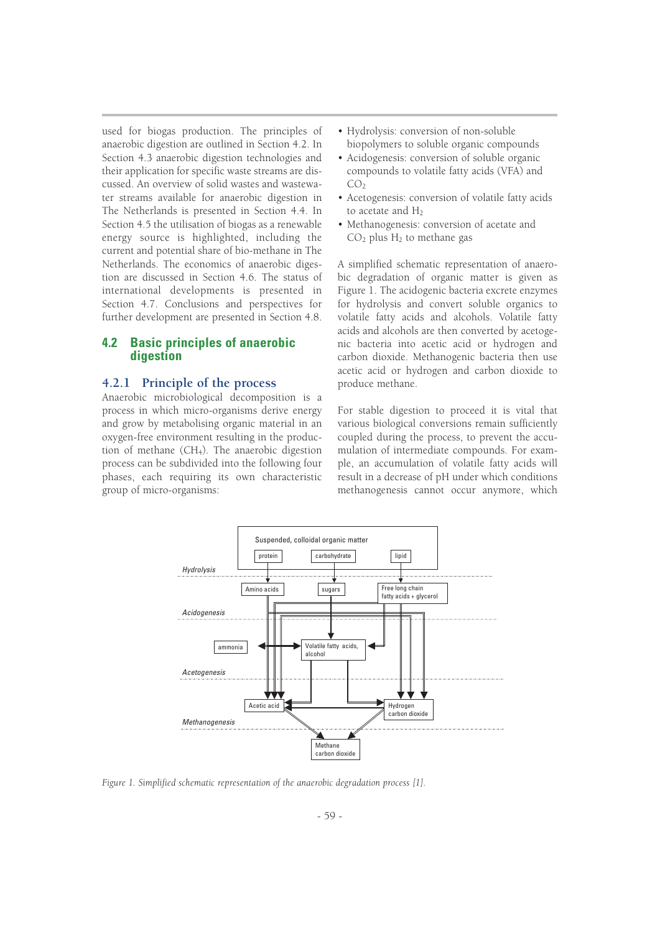used for biogas production. The principles of anaerobic digestion are outlined in Section 4.2. In Section 4.3 anaerobic digestion technologies and their application for specific waste streams are discussed. An overview of solid wastes and wastewater streams available for anaerobic digestion in The Netherlands is presented in Section 4.4. In Section 4.5 the utilisation of biogas as a renewable energy source is highlighted, including the current and potential share of bio-methane in The Netherlands. The economics of anaerobic digestion are discussed in Section 4.6. The status of international developments is presented in Section 4.7. Conclusions and perspectives for further development are presented in Section 4.8.

## **4.2 Basic principles of anaerobic digestion**

## **4.2.1 Principle of the process**

Anaerobic microbiological decomposition is a process in which micro-organisms derive energy and grow by metabolising organic material in an oxygen-free environment resulting in the production of methane  $(CH<sub>4</sub>)$ . The anaerobic digestion process can be subdivided into the following four phases, each requiring its own characteristic group of micro-organisms:

- Hydrolysis: conversion of non-soluble biopolymers to soluble organic compounds
- Acidogenesis: conversion of soluble organic compounds to volatile fatty acids (VFA) and  $CO<sub>2</sub>$
- Acetogenesis: conversion of volatile fatty acids to acetate and  $H_2$
- Methanogenesis: conversion of acetate and  $CO<sub>2</sub>$  plus H<sub>2</sub> to methane gas

A simplified schematic representation of anaerobic degradation of organic matter is given as Figure 1. The acidogenic bacteria excrete enzymes for hydrolysis and convert soluble organics to volatile fatty acids and alcohols. Volatile fatty acids and alcohols are then converted by acetogenic bacteria into acetic acid or hydrogen and carbon dioxide. Methanogenic bacteria then use acetic acid or hydrogen and carbon dioxide to produce methane.

For stable digestion to proceed it is vital that various biological conversions remain sufficiently coupled during the process, to prevent the accumulation of intermediate compounds. For example, an accumulation of volatile fatty acids will result in a decrease of pH under which conditions methanogenesis cannot occur anymore, which



*Figure 1. Simplified schematic representation of the anaerobic degradation process [1].*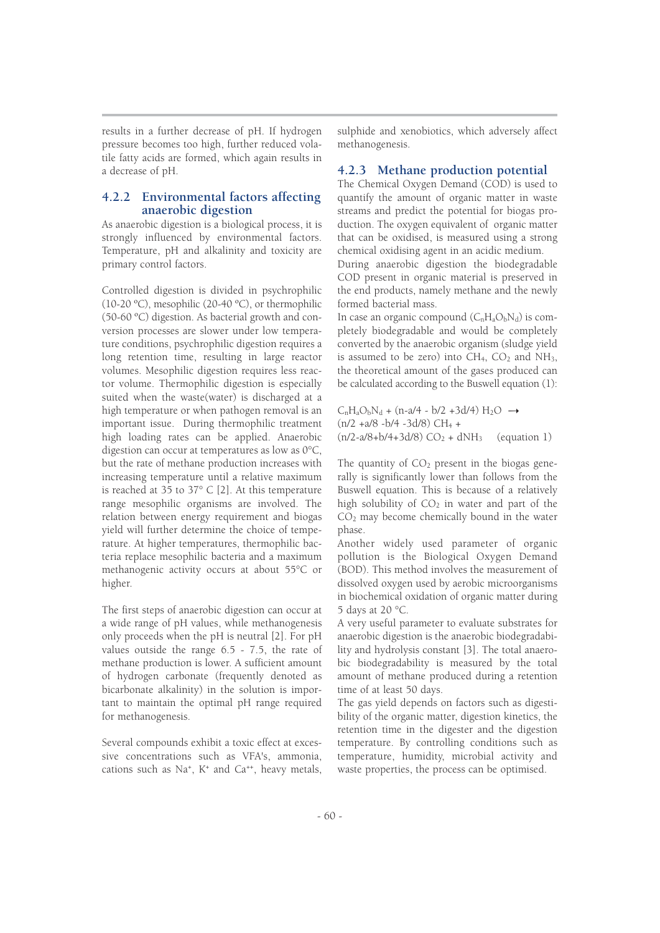results in a further decrease of pH. If hydrogen pressure becomes too high, further reduced volatile fatty acids are formed, which again results in a decrease of pH.

## **4.2.2 Environmental factors affecting anaerobic digestion**

As anaerobic digestion is a biological process, it is strongly influenced by environmental factors. Temperature, pH and alkalinity and toxicity are primary control factors.

Controlled digestion is divided in psychrophilic (10-20 ºC), mesophilic (20-40 ºC), or thermophilic (50-60 ºC) digestion. As bacterial growth and conversion processes are slower under low temperature conditions, psychrophilic digestion requires a long retention time, resulting in large reactor volumes. Mesophilic digestion requires less reactor volume. Thermophilic digestion is especially suited when the waste(water) is discharged at a high temperature or when pathogen removal is an important issue. During thermophilic treatment high loading rates can be applied. Anaerobic digestion can occur at temperatures as low as 0°C, but the rate of methane production increases with increasing temperature until a relative maximum is reached at 35 to 37° C [2]. At this temperature range mesophilic organisms are involved. The relation between energy requirement and biogas yield will further determine the choice of temperature. At higher temperatures, thermophilic bacteria replace mesophilic bacteria and a maximum methanogenic activity occurs at about 55°C or higher.

The first steps of anaerobic digestion can occur at a wide range of pH values, while methanogenesis only proceeds when the pH is neutral [2]. For pH values outside the range 6.5 - 7.5, the rate of methane production is lower. A sufficient amount of hydrogen carbonate (frequently denoted as bicarbonate alkalinity) in the solution is important to maintain the optimal pH range required for methanogenesis.

Several compounds exhibit a toxic effect at excessive concentrations such as VFA's, ammonia, cations such as Na<sup>+</sup>, K<sup>+</sup> and Ca<sup>++</sup>, heavy metals,

sulphide and xenobiotics, which adversely affect methanogenesis.

## **4.2.3 Methane production potential**

The Chemical Oxygen Demand (COD) is used to quantify the amount of organic matter in waste streams and predict the potential for biogas production. The oxygen equivalent of organic matter that can be oxidised, is measured using a strong chemical oxidising agent in an acidic medium. During anaerobic digestion the biodegradable

COD present in organic material is preserved in the end products, namely methane and the newly formed bacterial mass.

In case an organic compound  $(C_nH_aO_bN_d)$  is completely biodegradable and would be completely converted by the anaerobic organism (sludge yield is assumed to be zero) into  $CH_4$ ,  $CO_2$  and  $NH_3$ , the theoretical amount of the gases produced can be calculated according to the Buswell equation (1):

 $C_nH_aO_bN_d + (n-a/4 - b/2 + 3d/4)H_2O \rightarrow$  $(n/2 + a/8 - b/4 - 3d/8)$  CH<sub>4</sub> +  $(n/2-a/8+b/4+3d/8) CO<sub>2</sub> + dNH<sub>3</sub>$  (equation 1)

The quantity of  $CO<sub>2</sub>$  present in the biogas generally is significantly lower than follows from the Buswell equation. This is because of a relatively high solubility of  $CO<sub>2</sub>$  in water and part of the CO2 may become chemically bound in the water phase.

Another widely used parameter of organic pollution is the Biological Oxygen Demand (BOD). This method involves the measurement of dissolved oxygen used by aerobic microorganisms in biochemical oxidation of organic matter during 5 days at 20 °C.

A very useful parameter to evaluate substrates for anaerobic digestion is the anaerobic biodegradability and hydrolysis constant [3]. The total anaerobic biodegradability is measured by the total amount of methane produced during a retention time of at least 50 days.

The gas yield depends on factors such as digestibility of the organic matter, digestion kinetics, the retention time in the digester and the digestion temperature. By controlling conditions such as temperature, humidity, microbial activity and waste properties, the process can be optimised.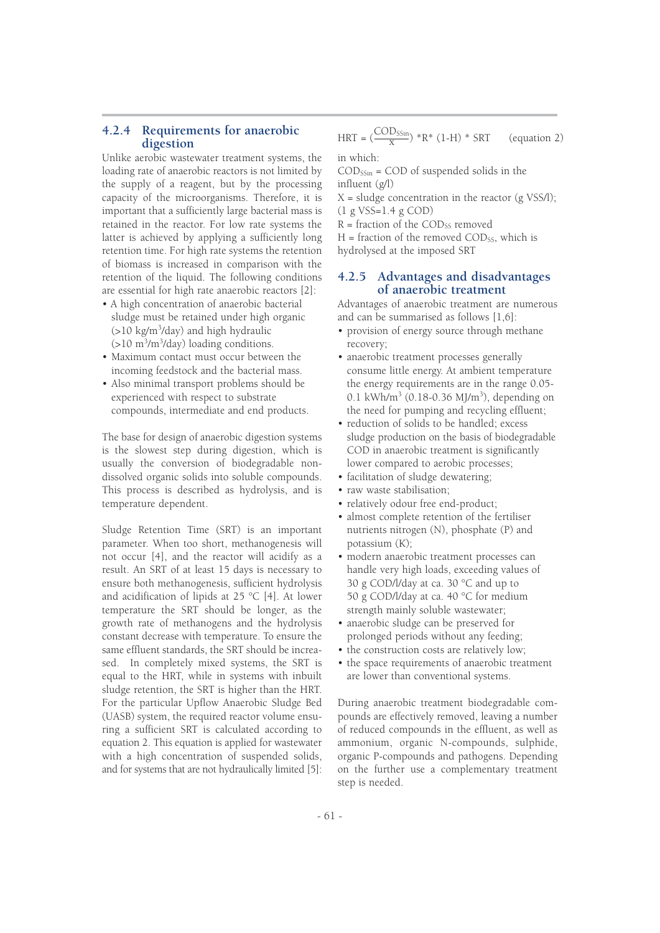## **4.2.4 Requirements for anaerobic digestion**

Unlike aerobic wastewater treatment systems, the loading rate of anaerobic reactors is not limited by the supply of a reagent, but by the processing capacity of the microorganisms. Therefore, it is important that a sufficiently large bacterial mass is retained in the reactor. For low rate systems the latter is achieved by applying a sufficiently long retention time. For high rate systems the retention of biomass is increased in comparison with the retention of the liquid. The following conditions are essential for high rate anaerobic reactors [2]:

- A high concentration of anaerobic bacterial sludge must be retained under high organic (>10 kg/m<sup>3</sup> /day) and high hydraulic (>10 m<sup>3</sup>/m<sup>3</sup>/day) loading conditions.
- Maximum contact must occur between the incoming feedstock and the bacterial mass.
- Also minimal transport problems should be experienced with respect to substrate compounds, intermediate and end products.

The base for design of anaerobic digestion systems is the slowest step during digestion, which is usually the conversion of biodegradable nondissolved organic solids into soluble compounds. This process is described as hydrolysis, and is temperature dependent.

Sludge Retention Time (SRT) is an important parameter. When too short, methanogenesis will not occur [4], and the reactor will acidify as a result. An SRT of at least 15 days is necessary to ensure both methanogenesis, sufficient hydrolysis and acidification of lipids at 25 °C [4]. At lower temperature the SRT should be longer, as the growth rate of methanogens and the hydrolysis constant decrease with temperature. To ensure the same effluent standards, the SRT should be increased. In completely mixed systems, the SRT is equal to the HRT, while in systems with inbuilt sludge retention, the SRT is higher than the HRT. For the particular Upflow Anaerobic Sludge Bed (UASB) system, the required reactor volume ensuring a sufficient SRT is calculated according to equation 2. This equation is applied for wastewater with a high concentration of suspended solids, and for systems that are not hydraulically limited [5]:

in which: HRT =  $\left(\frac{\text{COD}_{\text{SSin}}}{x}\right)$  \*R\* (1-H) \* SRT (equation 2)

 $\text{COD}_{\text{SSin}}$  =  $\text{COD}$  of suspended solids in the influent (g/l)

 $X =$  sludge concentration in the reactor (g VSS/l); (1 g VSS=1.4 g COD)

 $R =$  fraction of the COD<sub>SS</sub> removed

 $H =$  fraction of the removed COD<sub>SS</sub>, which is hydrolysed at the imposed SRT

## **4.2.5 Advantages and disadvantages of anaerobic treatment**

Advantages of anaerobic treatment are numerous and can be summarised as follows [1,6]:

- provision of energy source through methane recovery;
- anaerobic treatment processes generally consume little energy. At ambient temperature the energy requirements are in the range 0.05- 0.1 kWh/m<sup>3</sup> (0.18-0.36 MJ/m<sup>3</sup>), depending on the need for pumping and recycling effluent;
- reduction of solids to be handled; excess sludge production on the basis of biodegradable COD in anaerobic treatment is significantly lower compared to aerobic processes;
- facilitation of sludge dewatering;
- raw waste stabilisation;
- relatively odour free end-product;
- almost complete retention of the fertiliser nutrients nitrogen (N), phosphate (P) and potassium (K);
- modern anaerobic treatment processes can handle very high loads, exceeding values of 30 g COD/l/day at ca. 30 °C and up to 50 g COD/l/day at ca. 40 °C for medium strength mainly soluble wastewater;
- anaerobic sludge can be preserved for prolonged periods without any feeding;
- the construction costs are relatively low;
- the space requirements of anaerobic treatment are lower than conventional systems.

During anaerobic treatment biodegradable compounds are effectively removed, leaving a number of reduced compounds in the effluent, as well as ammonium, organic N-compounds, sulphide, organic P-compounds and pathogens. Depending on the further use a complementary treatment step is needed.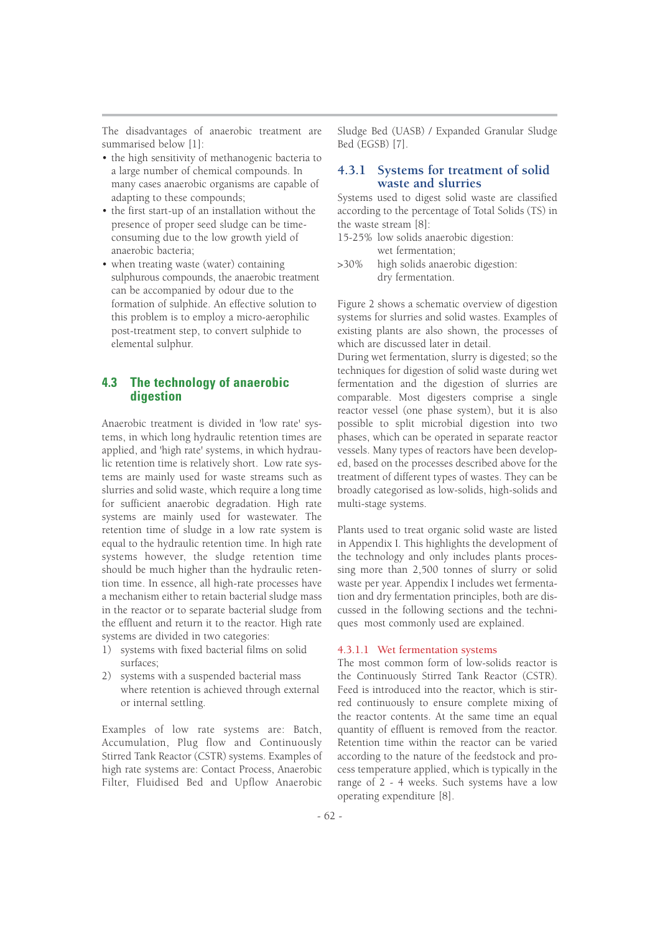The disadvantages of anaerobic treatment are summarised below [1]:

- the high sensitivity of methanogenic bacteria to a large number of chemical compounds. In many cases anaerobic organisms are capable of adapting to these compounds;
- the first start-up of an installation without the presence of proper seed sludge can be timeconsuming due to the low growth yield of anaerobic bacteria;
- when treating waste (water) containing sulphurous compounds, the anaerobic treatment can be accompanied by odour due to the formation of sulphide. An effective solution to this problem is to employ a micro-aerophilic post-treatment step, to convert sulphide to elemental sulphur.

## **4.3 The technology of anaerobic digestion**

Anaerobic treatment is divided in 'low rate' systems, in which long hydraulic retention times are applied, and 'high rate' systems, in which hydraulic retention time is relatively short. Low rate systems are mainly used for waste streams such as slurries and solid waste, which require a long time for sufficient anaerobic degradation. High rate systems are mainly used for wastewater. The retention time of sludge in a low rate system is equal to the hydraulic retention time. In high rate systems however, the sludge retention time should be much higher than the hydraulic retention time. In essence, all high-rate processes have a mechanism either to retain bacterial sludge mass in the reactor or to separate bacterial sludge from the effluent and return it to the reactor. High rate systems are divided in two categories:

- 1) systems with fixed bacterial films on solid surfaces;
- 2) systems with a suspended bacterial mass where retention is achieved through external or internal settling.

Examples of low rate systems are: Batch, Accumulation, Plug flow and Continuously Stirred Tank Reactor (CSTR) systems. Examples of high rate systems are: Contact Process, Anaerobic Filter, Fluidised Bed and Upflow Anaerobic Sludge Bed (UASB) / Expanded Granular Sludge Bed (EGSB) [7].

## **4.3.1 Systems for treatment of solid waste and slurries**

Systems used to digest solid waste are classified according to the percentage of Total Solids (TS) in the waste stream [8]:

- 15-25% low solids anaerobic digestion: wet fermentation;
- >30% high solids anaerobic digestion: dry fermentation.

Figure 2 shows a schematic overview of digestion systems for slurries and solid wastes. Examples of existing plants are also shown, the processes of which are discussed later in detail.

During wet fermentation, slurry is digested; so the techniques for digestion of solid waste during wet fermentation and the digestion of slurries are comparable. Most digesters comprise a single reactor vessel (one phase system), but it is also possible to split microbial digestion into two phases, which can be operated in separate reactor vessels. Many types of reactors have been developed, based on the processes described above for the treatment of different types of wastes. They can be broadly categorised as low-solids, high-solids and multi-stage systems.

Plants used to treat organic solid waste are listed in Appendix I. This highlights the development of the technology and only includes plants processing more than 2,500 tonnes of slurry or solid waste per year. Appendix I includes wet fermentation and dry fermentation principles, both are discussed in the following sections and the techniques most commonly used are explained.

#### 4.3.1.1 Wet fermentation systems

The most common form of low-solids reactor is the Continuously Stirred Tank Reactor (CSTR). Feed is introduced into the reactor, which is stirred continuously to ensure complete mixing of the reactor contents. At the same time an equal quantity of effluent is removed from the reactor. Retention time within the reactor can be varied according to the nature of the feedstock and process temperature applied, which is typically in the range of 2 - 4 weeks. Such systems have a low operating expenditure [8].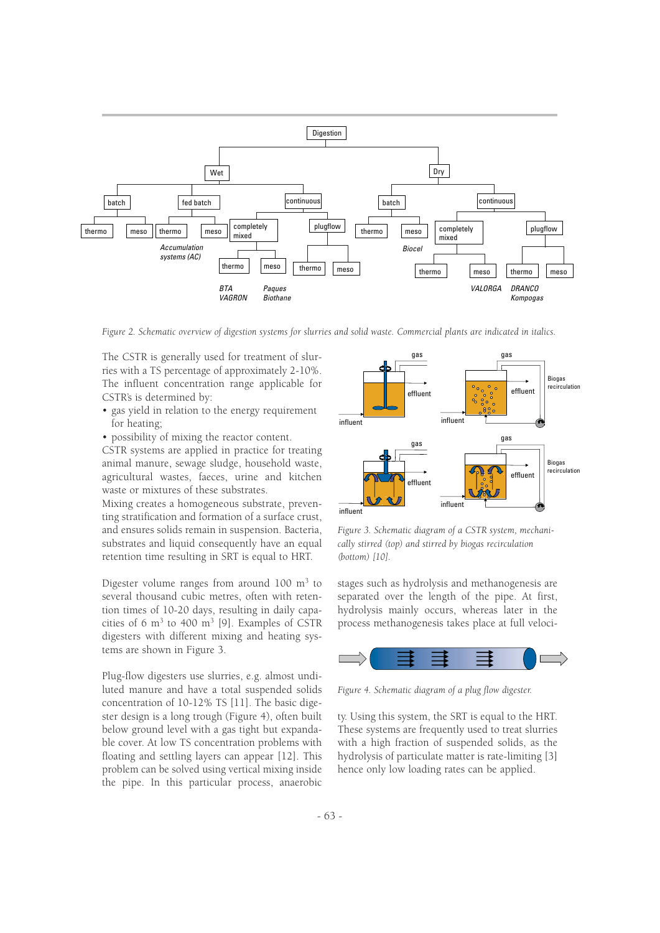

*Figure 2. Schematic overview of digestion systems for slurries and solid waste. Commercial plants are indicated in italics.*

The CSTR is generally used for treatment of slurries with a TS percentage of approximately 2-10%. The influent concentration range applicable for CSTR's is determined by:

- gas yield in relation to the energy requirement for heating;
- possibility of mixing the reactor content.

CSTR systems are applied in practice for treating animal manure, sewage sludge, household waste, agricultural wastes, faeces, urine and kitchen waste or mixtures of these substrates.

Mixing creates a homogeneous substrate, preventing stratification and formation of a surface crust, and ensures solids remain in suspension. Bacteria, substrates and liquid consequently have an equal retention time resulting in SRT is equal to HRT.

Digester volume ranges from around  $100 \text{ m}^3$  to several thousand cubic metres, often with retention times of 10-20 days, resulting in daily capacities of 6  $m<sup>3</sup>$  to 400  $m<sup>3</sup>$  [9]. Examples of CSTR digesters with different mixing and heating systems are shown in Figure 3.

Plug-flow digesters use slurries, e.g. almost undiluted manure and have a total suspended solids concentration of 10-12% TS [11]. The basic digester design is a long trough (Figure 4), often built below ground level with a gas tight but expandable cover. At low TS concentration problems with floating and settling layers can appear [12]. This problem can be solved using vertical mixing inside the pipe. In this particular process, anaerobic



*Figure 3. Schematic diagram of a CSTR system, mechanically stirred (top) and stirred by biogas recirculation (bottom) [10].* 

stages such as hydrolysis and methanogenesis are separated over the length of the pipe. At first, hydrolysis mainly occurs, whereas later in the process methanogenesis takes place at full veloci-



*Figure 4. Schematic diagram of a plug flow digester.*

ty. Using this system, the SRT is equal to the HRT. These systems are frequently used to treat slurries with a high fraction of suspended solids, as the hydrolysis of particulate matter is rate-limiting [3] hence only low loading rates can be applied.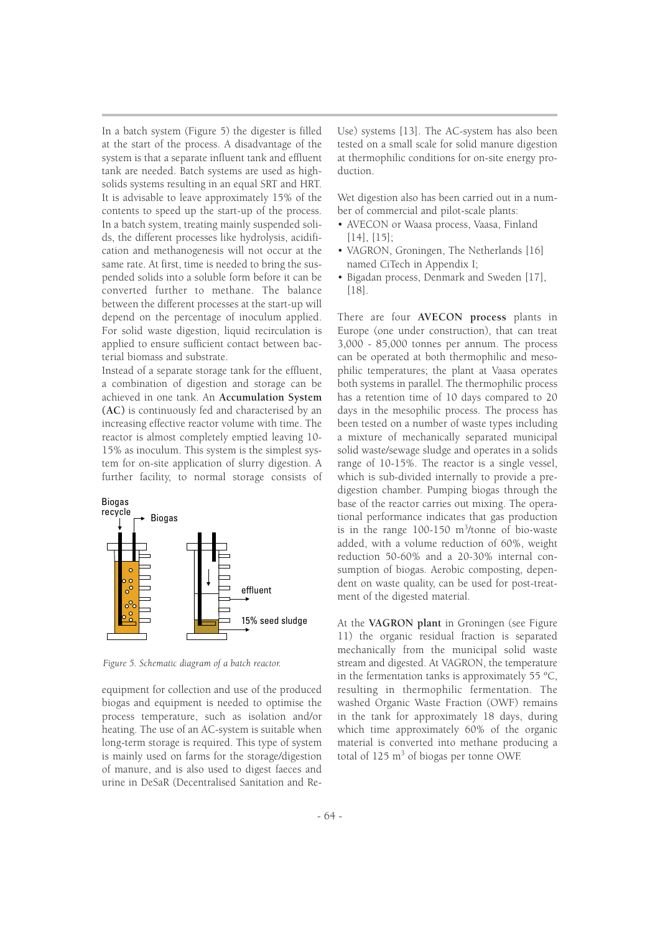In a batch system (Figure 5) the digester is filled at the start of the process. A disadvantage of the system is that a separate influent tank and effluent tank are needed. Batch systems are used as highsolids systems resulting in an equal SRT and HRT. It is advisable to leave approximately 15% of the contents to speed up the start-up of the process. In a batch system, treating mainly suspended solids, the different processes like hydrolysis, acidification and methanogenesis will not occur at the same rate. At first, time is needed to bring the suspended solids into a soluble form before it can be converted further to methane. The balance between the different processes at the start-up will depend on the percentage of inoculum applied. For solid waste digestion, liquid recirculation is applied to ensure sufficient contact between bacterial biomass and substrate.

Instead of a separate storage tank for the effluent, a combination of digestion and storage can be achieved in one tank. An **Accumulation System (AC)** is continuously fed and characterised by an increasing effective reactor volume with time. The reactor is almost completely emptied leaving 10- 15% as inoculum. This system is the simplest system for on-site application of slurry digestion. A further facility, to normal storage consists of



*Figure 5. Schematic diagram of a batch reactor.*

equipment for collection and use of the produced biogas and equipment is needed to optimise the process temperature, such as isolation and/or heating. The use of an AC-system is suitable when long-term storage is required. This type of system is mainly used on farms for the storage/digestion of manure, and is also used to digest faeces and urine in DeSaR (Decentralised Sanitation and ReUse) systems [13]. The AC-system has also been tested on a small scale for solid manure digestion at thermophilic conditions for on-site energy production.

Wet digestion also has been carried out in a number of commercial and pilot-scale plants:

- AVECON or Waasa process, Vaasa, Finland [14], [15];
- VAGRON, Groningen, The Netherlands [16] named CiTech in Appendix I;
- Bigadan process, Denmark and Sweden [17], [18].

There are four **AVECON process** plants in Europe (one under construction), that can treat 3,000 - 85,000 tonnes per annum. The process can be operated at both thermophilic and mesophilic temperatures; the plant at Vaasa operates both systems in parallel. The thermophilic process has a retention time of 10 days compared to 20 days in the mesophilic process. The process has been tested on a number of waste types including a mixture of mechanically separated municipal solid waste/sewage sludge and operates in a solids range of 10-15%. The reactor is a single vessel, which is sub-divided internally to provide a predigestion chamber. Pumping biogas through the base of the reactor carries out mixing. The operational performance indicates that gas production is in the range 100-150 m<sup>3</sup> /tonne of bio-waste added, with a volume reduction of 60%, weight reduction 50-60% and a 20-30% internal consumption of biogas. Aerobic composting, dependent on waste quality, can be used for post-treatment of the digested material.

At the **VAGRON plant** in Groningen (see Figure 11) the organic residual fraction is separated mechanically from the municipal solid waste stream and digested. At VAGRON, the temperature in the fermentation tanks is approximately 55 ºC, resulting in thermophilic fermentation. The washed Organic Waste Fraction (OWF) remains in the tank for approximately 18 days, during which time approximately 60% of the organic material is converted into methane producing a total of  $125 \text{ m}^3$  of biogas per tonne OWF.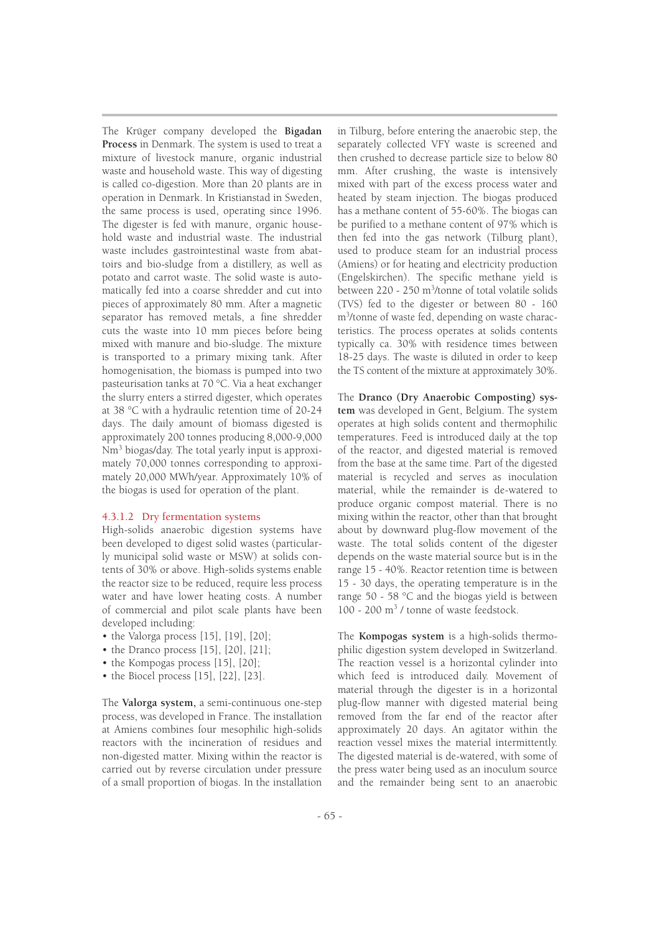The Krüger company developed the **Bigadan Process** in Denmark. The system is used to treat a mixture of livestock manure, organic industrial waste and household waste. This way of digesting is called co-digestion. More than 20 plants are in operation in Denmark. In Kristianstad in Sweden, the same process is used, operating since 1996. The digester is fed with manure, organic household waste and industrial waste. The industrial waste includes gastrointestinal waste from abattoirs and bio-sludge from a distillery, as well as potato and carrot waste. The solid waste is automatically fed into a coarse shredder and cut into pieces of approximately 80 mm. After a magnetic separator has removed metals, a fine shredder cuts the waste into 10 mm pieces before being mixed with manure and bio-sludge. The mixture is transported to a primary mixing tank. After homogenisation, the biomass is pumped into two pasteurisation tanks at 70 °C. Via a heat exchanger the slurry enters a stirred digester, which operates at 38 °C with a hydraulic retention time of 20-24 days. The daily amount of biomass digested is approximately 200 tonnes producing 8,000-9,000  $Nm<sup>3</sup>$  biogas/day. The total yearly input is approximately 70,000 tonnes corresponding to approximately 20,000 MWh/year. Approximately 10% of the biogas is used for operation of the plant.

## 4.3.1.2 Dry fermentation systems

High-solids anaerobic digestion systems have been developed to digest solid wastes (particularly municipal solid waste or MSW) at solids contents of 30% or above. High-solids systems enable the reactor size to be reduced, require less process water and have lower heating costs. A number of commercial and pilot scale plants have been developed including:

- the Valorga process  $[15]$ ,  $[19]$ ,  $[20]$ ;
- the Dranco process [15], [20], [21];
- the Kompogas process [15], [20];
- $\bullet$  the Biocel process [15], [22], [23].

The **Valorga system,** a semi-continuous one-step process, was developed in France. The installation at Amiens combines four mesophilic high-solids reactors with the incineration of residues and non-digested matter. Mixing within the reactor is carried out by reverse circulation under pressure of a small proportion of biogas. In the installation in Tilburg, before entering the anaerobic step, the separately collected VFY waste is screened and then crushed to decrease particle size to below 80 mm. After crushing, the waste is intensively mixed with part of the excess process water and heated by steam injection. The biogas produced has a methane content of 55-60%. The biogas can be purified to a methane content of 97% which is then fed into the gas network (Tilburg plant), used to produce steam for an industrial process (Amiens) or for heating and electricity production (Engelskirchen). The specific methane yield is between 220 - 250 m<sup>3</sup>/tonne of total volatile solids (TVS) fed to the digester or between 80 - 160 m<sup>3</sup> /tonne of waste fed, depending on waste characteristics. The process operates at solids contents typically ca. 30% with residence times between 18-25 days. The waste is diluted in order to keep the TS content of the mixture at approximately 30%.

The **Dranco (Dry Anaerobic Composting) system** was developed in Gent, Belgium. The system operates at high solids content and thermophilic temperatures. Feed is introduced daily at the top of the reactor, and digested material is removed from the base at the same time. Part of the digested material is recycled and serves as inoculation material, while the remainder is de-watered to produce organic compost material. There is no mixing within the reactor, other than that brought about by downward plug-flow movement of the waste. The total solids content of the digester depends on the waste material source but is in the range 15 - 40%. Reactor retention time is between 15 - 30 days, the operating temperature is in the range 50 - 58 °C and the biogas yield is between 100 - 200 m<sup>3</sup> / tonne of waste feedstock.

The **Kompogas system** is a high-solids thermophilic digestion system developed in Switzerland. The reaction vessel is a horizontal cylinder into which feed is introduced daily. Movement of material through the digester is in a horizontal plug-flow manner with digested material being removed from the far end of the reactor after approximately 20 days. An agitator within the reaction vessel mixes the material intermittently. The digested material is de-watered, with some of the press water being used as an inoculum source and the remainder being sent to an anaerobic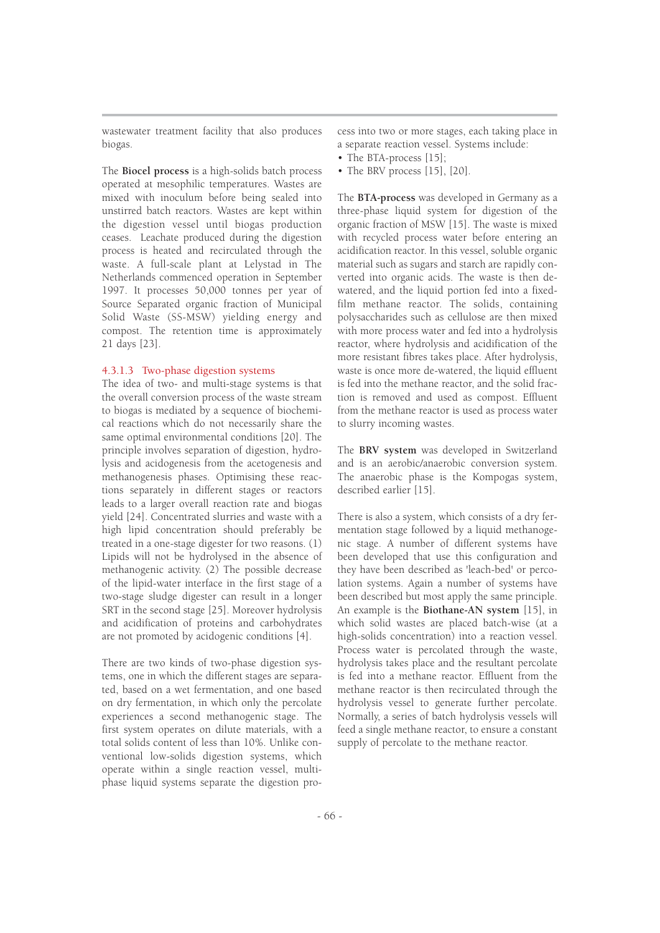wastewater treatment facility that also produces biogas.

The **Biocel process** is a high-solids batch process operated at mesophilic temperatures. Wastes are mixed with inoculum before being sealed into unstirred batch reactors. Wastes are kept within the digestion vessel until biogas production ceases. Leachate produced during the digestion process is heated and recirculated through the waste. A full-scale plant at Lelystad in The Netherlands commenced operation in September 1997. It processes 50,000 tonnes per year of Source Separated organic fraction of Municipal Solid Waste (SS-MSW) yielding energy and compost. The retention time is approximately 21 days [23].

## 4.3.1.3 Two-phase digestion systems

The idea of two- and multi-stage systems is that the overall conversion process of the waste stream to biogas is mediated by a sequence of biochemical reactions which do not necessarily share the same optimal environmental conditions [20]. The principle involves separation of digestion, hydrolysis and acidogenesis from the acetogenesis and methanogenesis phases. Optimising these reactions separately in different stages or reactors leads to a larger overall reaction rate and biogas yield [24]. Concentrated slurries and waste with a high lipid concentration should preferably be treated in a one-stage digester for two reasons. (1) Lipids will not be hydrolysed in the absence of methanogenic activity. (2) The possible decrease of the lipid-water interface in the first stage of a two-stage sludge digester can result in a longer SRT in the second stage [25]. Moreover hydrolysis and acidification of proteins and carbohydrates are not promoted by acidogenic conditions [4].

There are two kinds of two-phase digestion systems, one in which the different stages are separated, based on a wet fermentation, and one based on dry fermentation, in which only the percolate experiences a second methanogenic stage. The first system operates on dilute materials, with a total solids content of less than 10%. Unlike conventional low-solids digestion systems, which operate within a single reaction vessel, multiphase liquid systems separate the digestion process into two or more stages, each taking place in a separate reaction vessel. Systems include:

- The BTA-process [15];
- The BRV process [15], [20].

The **BTA-process** was developed in Germany as a three-phase liquid system for digestion of the organic fraction of MSW [15]. The waste is mixed with recycled process water before entering an acidification reactor. In this vessel, soluble organic material such as sugars and starch are rapidly converted into organic acids. The waste is then dewatered, and the liquid portion fed into a fixedfilm methane reactor. The solids, containing polysaccharides such as cellulose are then mixed with more process water and fed into a hydrolysis reactor, where hydrolysis and acidification of the more resistant fibres takes place. After hydrolysis, waste is once more de-watered, the liquid effluent is fed into the methane reactor, and the solid fraction is removed and used as compost. Effluent from the methane reactor is used as process water to slurry incoming wastes.

The **BRV system** was developed in Switzerland and is an aerobic/anaerobic conversion system. The anaerobic phase is the Kompogas system, described earlier [15].

There is also a system, which consists of a dry fermentation stage followed by a liquid methanogenic stage. A number of different systems have been developed that use this configuration and they have been described as 'leach-bed' or percolation systems. Again a number of systems have been described but most apply the same principle. An example is the **Biothane-AN system** [15], in which solid wastes are placed batch-wise (at a high-solids concentration) into a reaction vessel. Process water is percolated through the waste, hydrolysis takes place and the resultant percolate is fed into a methane reactor. Effluent from the methane reactor is then recirculated through the hydrolysis vessel to generate further percolate. Normally, a series of batch hydrolysis vessels will feed a single methane reactor, to ensure a constant supply of percolate to the methane reactor.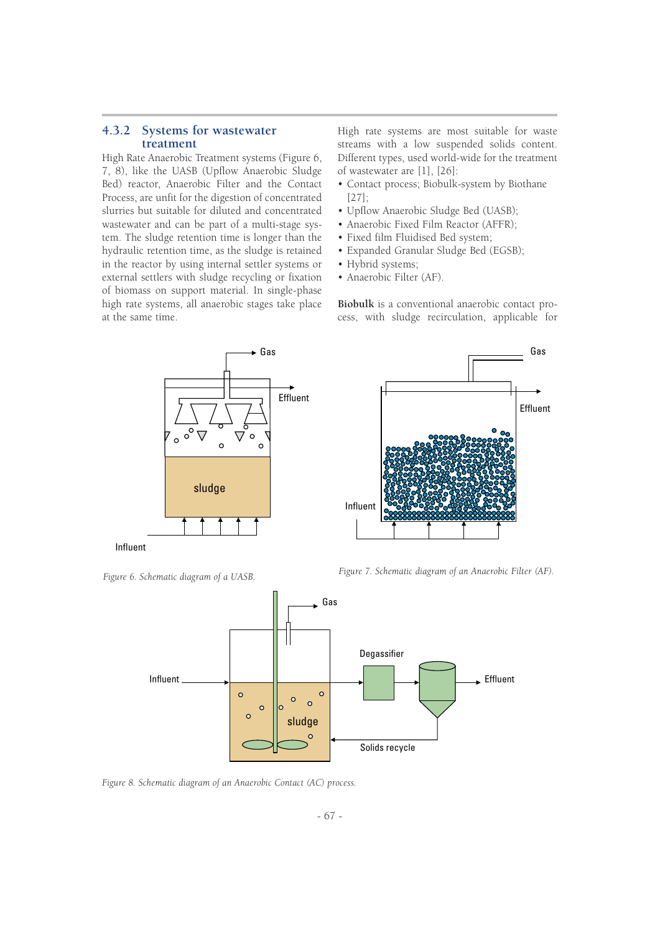## **4.3.2 Systems for wastewater treatment**

High Rate Anaerobic Treatment systems (Figure 6, 7, 8), like the UASB (Upflow Anaerobic Sludge Bed) reactor, Anaerobic Filter and the Contact Process, are unfit for the digestion of concentrated slurries but suitable for diluted and concentrated wastewater and can be part of a multi-stage system. The sludge retention time is longer than the hydraulic retention time, as the sludge is retained in the reactor by using internal settler systems or external settlers with sludge recycling or fixation of biomass on support material. In single-phase high rate systems, all anaerobic stages take place at the same time.

High rate systems are most suitable for waste streams with a low suspended solids content. Different types, used world-wide for the treatment of wastewater are [1], [26]:

- Contact process; Biobulk-system by Biothane [27];
- Upflow Anaerobic Sludge Bed (UASB);
- Anaerobic Fixed Film Reactor (AFFR);
- Fixed film Fluidised Bed system;
- Expanded Granular Sludge Bed (EGSB);
- Hybrid systems;
- Anaerobic Filter (AF).

**Biobulk** is a conventional anaerobic contact process, with sludge recirculation, applicable for



Influent





*Figure 8. Schematic diagram of an Anaerobic Contact (AC) process.*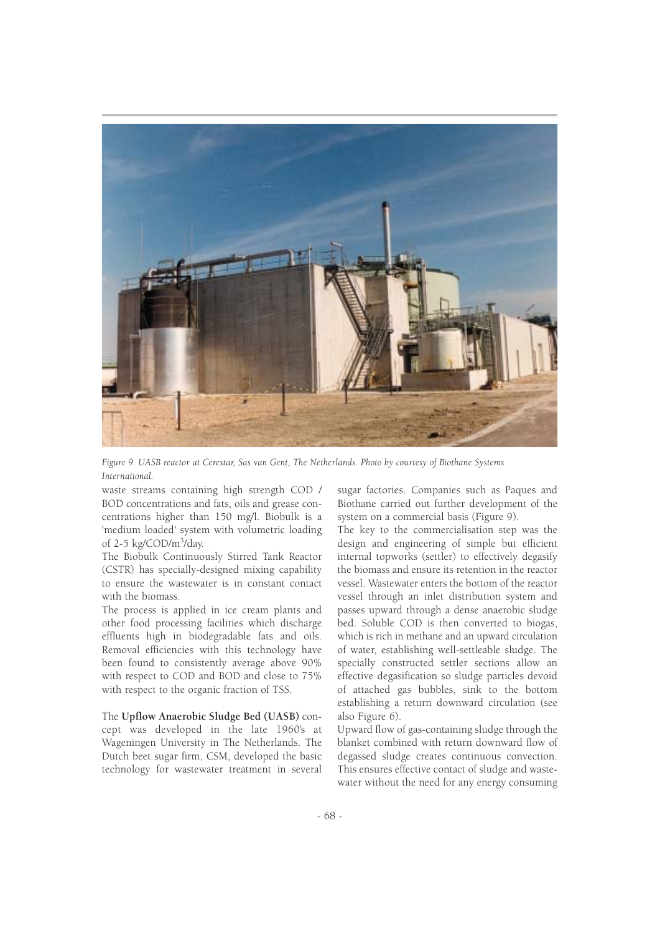

*Figure 9. UASB reactor at Cerestar, Sas van Gent, The Netherlands. Photo by courtesy of Biothane Systems International.*

waste streams containing high strength COD / BOD concentrations and fats, oils and grease concentrations higher than 150 mg/l. Biobulk is a 'medium loaded' system with volumetric loading of 2-5 kg/COD/m<sup>3</sup>/day.

The Biobulk Continuously Stirred Tank Reactor (CSTR) has specially-designed mixing capability to ensure the wastewater is in constant contact with the biomass.

The process is applied in ice cream plants and other food processing facilities which discharge effluents high in biodegradable fats and oils. Removal efficiencies with this technology have been found to consistently average above 90% with respect to COD and BOD and close to 75% with respect to the organic fraction of TSS.

The **Upflow Anaerobic Sludge Bed (UASB)** concept was developed in the late 1960's at Wageningen University in The Netherlands. The Dutch beet sugar firm, CSM, developed the basic technology for wastewater treatment in several sugar factories. Companies such as Paques and Biothane carried out further development of the system on a commercial basis (Figure 9).

The key to the commercialisation step was the design and engineering of simple but efficient internal topworks (settler) to effectively degasify the biomass and ensure its retention in the reactor vessel. Wastewater enters the bottom of the reactor vessel through an inlet distribution system and passes upward through a dense anaerobic sludge bed. Soluble COD is then converted to biogas, which is rich in methane and an upward circulation of water, establishing well-settleable sludge. The specially constructed settler sections allow an effective degasification so sludge particles devoid of attached gas bubbles, sink to the bottom establishing a return downward circulation (see also Figure 6).

Upward flow of gas-containing sludge through the blanket combined with return downward flow of degassed sludge creates continuous convection. This ensures effective contact of sludge and wastewater without the need for any energy consuming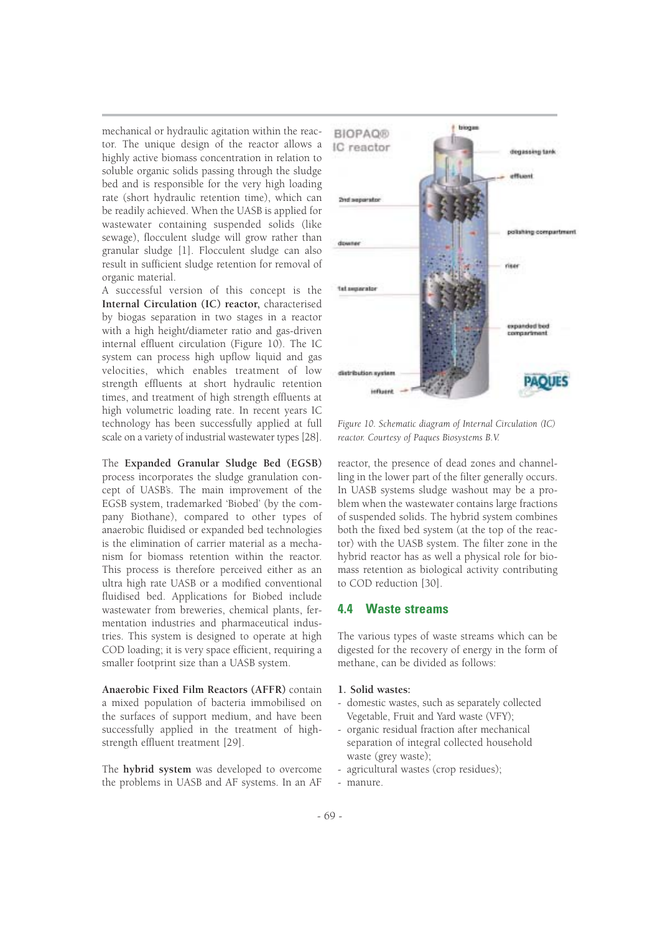mechanical or hydraulic agitation within the reactor. The unique design of the reactor allows a highly active biomass concentration in relation to soluble organic solids passing through the sludge bed and is responsible for the very high loading rate (short hydraulic retention time), which can be readily achieved. When the UASB is applied for wastewater containing suspended solids (like sewage), flocculent sludge will grow rather than granular sludge [1]. Flocculent sludge can also result in sufficient sludge retention for removal of organic material.

A successful version of this concept is the **Internal Circulation (IC) reactor,** characterised by biogas separation in two stages in a reactor with a high height/diameter ratio and gas-driven internal effluent circulation (Figure 10). The IC system can process high upflow liquid and gas velocities, which enables treatment of low strength effluents at short hydraulic retention times, and treatment of high strength effluents at high volumetric loading rate. In recent years IC technology has been successfully applied at full scale on a variety of industrial wastewater types [28].

The **Expanded Granular Sludge Bed (EGSB)** process incorporates the sludge granulation concept of UASB's. The main improvement of the EGSB system, trademarked 'Biobed' (by the company Biothane), compared to other types of anaerobic fluidised or expanded bed technologies is the elimination of carrier material as a mechanism for biomass retention within the reactor. This process is therefore perceived either as an ultra high rate UASB or a modified conventional fluidised bed. Applications for Biobed include wastewater from breweries, chemical plants, fermentation industries and pharmaceutical industries. This system is designed to operate at high COD loading; it is very space efficient, requiring a smaller footprint size than a UASB system.

**Anaerobic Fixed Film Reactors (AFFR)** contain a mixed population of bacteria immobilised on the surfaces of support medium, and have been successfully applied in the treatment of highstrength effluent treatment [29].

The **hybrid system** was developed to overcome the problems in UASB and AF systems. In an AF



*Figure 10. Schematic diagram of Internal Circulation (IC) reactor. Courtesy of Paques Biosystems B.V.*

reactor, the presence of dead zones and channelling in the lower part of the filter generally occurs. In UASB systems sludge washout may be a problem when the wastewater contains large fractions of suspended solids. The hybrid system combines both the fixed bed system (at the top of the reactor) with the UASB system. The filter zone in the hybrid reactor has as well a physical role for biomass retention as biological activity contributing to COD reduction [30].

## **4.4 Waste streams**

The various types of waste streams which can be digested for the recovery of energy in the form of methane, can be divided as follows:

#### **1. Solid wastes:**

- domestic wastes, such as separately collected Vegetable, Fruit and Yard waste (VFY);
- organic residual fraction after mechanical separation of integral collected household waste (grey waste);
- agricultural wastes (crop residues);
- manure.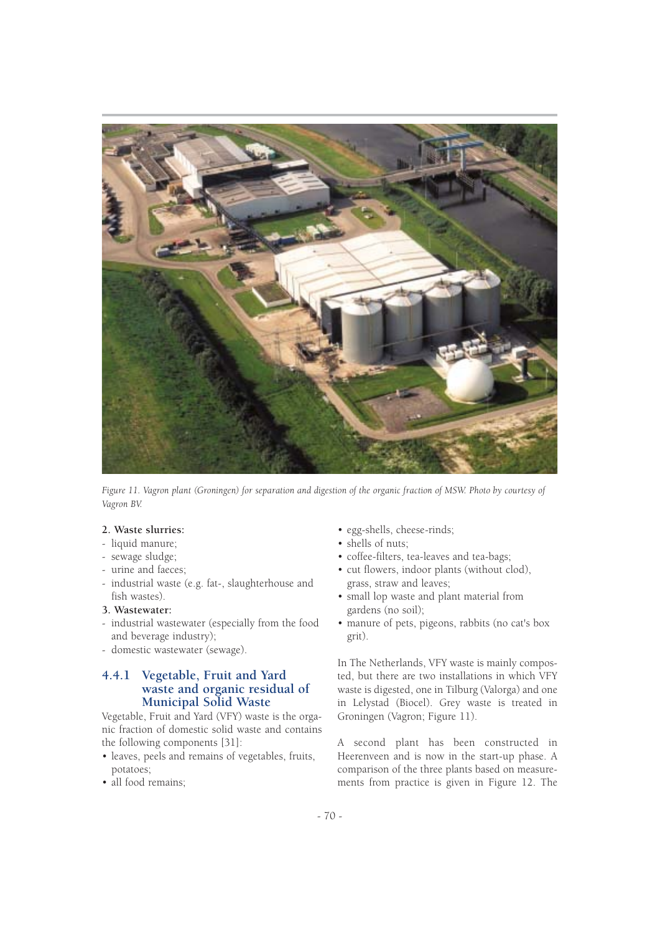

*Figure 11. Vagron plant (Groningen) for separation and digestion of the organic fraction of MSW. Photo by courtesy of Vagron BV.*

## **2. Waste slurries:**

- liquid manure;
- sewage sludge;
- urine and faeces;
- industrial waste (e.g. fat-, slaughterhouse and fish wastes).

#### **3. Wastewater:**

- industrial wastewater (especially from the food and beverage industry);
- domestic wastewater (sewage).

## **4.4.1 Vegetable, Fruit and Yard waste and organic residual of Municipal Solid Waste**

Vegetable, Fruit and Yard (VFY) waste is the organic fraction of domestic solid waste and contains the following components [31]:

- leaves, peels and remains of vegetables, fruits, potatoes;
- all food remains;
- egg-shells, cheese-rinds;
- shells of nuts;
- coffee-filters, tea-leaves and tea-bags;
- cut flowers, indoor plants (without clod), grass, straw and leaves;
- small lop waste and plant material from gardens (no soil);
- manure of pets, pigeons, rabbits (no cat's box grit).

In The Netherlands, VFY waste is mainly composted, but there are two installations in which VFY waste is digested, one in Tilburg (Valorga) and one in Lelystad (Biocel). Grey waste is treated in Groningen (Vagron; Figure 11).

A second plant has been constructed in Heerenveen and is now in the start-up phase. A comparison of the three plants based on measurements from practice is given in Figure 12. The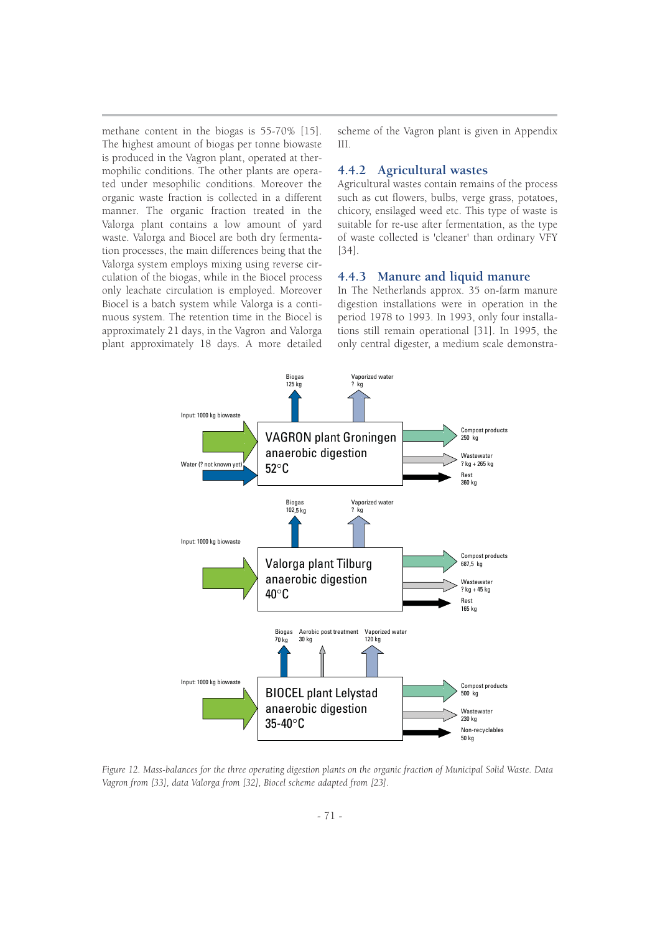methane content in the biogas is 55-70% [15]. The highest amount of biogas per tonne biowaste is produced in the Vagron plant, operated at thermophilic conditions. The other plants are operated under mesophilic conditions. Moreover the organic waste fraction is collected in a different manner. The organic fraction treated in the Valorga plant contains a low amount of yard waste. Valorga and Biocel are both dry fermentation processes, the main differences being that the Valorga system employs mixing using reverse circulation of the biogas, while in the Biocel process only leachate circulation is employed. Moreover Biocel is a batch system while Valorga is a continuous system. The retention time in the Biocel is approximately 21 days, in the Vagron and Valorga plant approximately 18 days. A more detailed

scheme of the Vagron plant is given in Appendix III.

#### **4.4.2 Agricultural wastes**

Agricultural wastes contain remains of the process such as cut flowers, bulbs, verge grass, potatoes, chicory, ensilaged weed etc. This type of waste is suitable for re-use after fermentation, as the type of waste collected is 'cleaner' than ordinary VFY [34].

#### **4.4.3 Manure and liquid manure**

In The Netherlands approx. 35 on-farm manure digestion installations were in operation in the period 1978 to 1993. In 1993, only four installations still remain operational [31]. In 1995, the only central digester, a medium scale demonstra-



*Figure 12. Mass-balances for the three operating digestion plants on the organic fraction of Municipal Solid Waste. Data Vagron from [33], data Valorga from [32], Biocel scheme adapted from [23].*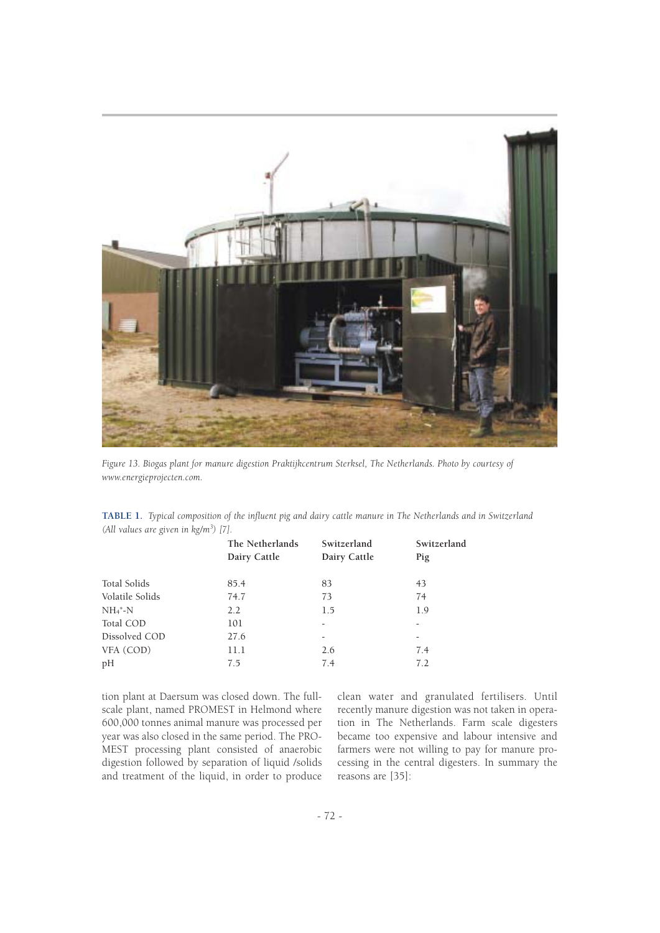

*Figure 13. Biogas plant for manure digestion Praktijkcentrum Sterksel, The Netherlands. Photo by courtesy of www.energieprojecten.com.*

| TABLE 1. Typical composition of the influent pig and dairy cattle manure in The Netherlands and in Switzerland |  |  |  |
|----------------------------------------------------------------------------------------------------------------|--|--|--|
| (All values are given in $kg/m^3$ ) [7].                                                                       |  |  |  |

|                 | The Netherlands<br>Dairy Cattle | Switzerland<br>Dairy Cattle | Switzerland<br>Pig       |
|-----------------|---------------------------------|-----------------------------|--------------------------|
| Total Solids    | 85.4                            | 83                          | 43                       |
| Volatile Solids | 74.7                            | 73                          | 74                       |
| $NH_4^+$ -N     | $2.2^{\circ}$                   | 1.5                         | 1.9                      |
| Total COD       | 101                             |                             | -                        |
| Dissolved COD   | 27.6                            | -                           | $\overline{\phantom{a}}$ |
| VFA (COD)       | 11.1                            | 2.6                         | 7.4                      |
| pH              | 7.5                             | 7.4                         | 7.2                      |

tion plant at Daersum was closed down. The fullscale plant, named PROMEST in Helmond where 600,000 tonnes animal manure was processed per year was also closed in the same period. The PRO-MEST processing plant consisted of anaerobic digestion followed by separation of liquid /solids and treatment of the liquid, in order to produce

clean water and granulated fertilisers. Until recently manure digestion was not taken in operation in The Netherlands. Farm scale digesters became too expensive and labour intensive and farmers were not willing to pay for manure processing in the central digesters. In summary the reasons are [35]: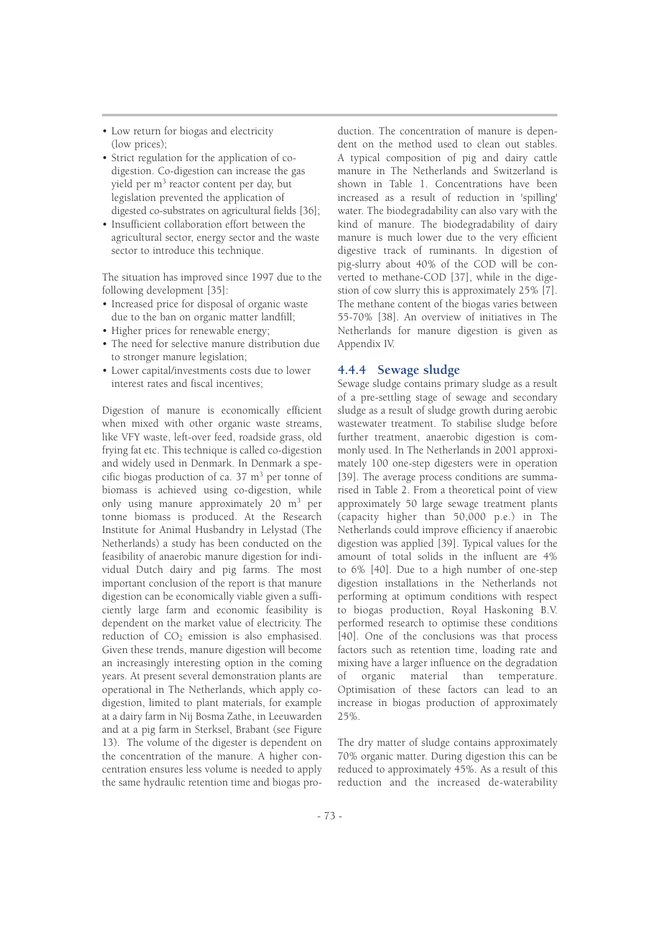- Low return for biogas and electricity (low prices);
- Strict regulation for the application of codigestion. Co-digestion can increase the gas yield per m<sup>3</sup> reactor content per day, but legislation prevented the application of digested co-substrates on agricultural fields [36];
- Insufficient collaboration effort between the agricultural sector, energy sector and the waste sector to introduce this technique.

The situation has improved since 1997 due to the following development [35]:

- Increased price for disposal of organic waste due to the ban on organic matter landfill;
- Higher prices for renewable energy;
- The need for selective manure distribution due to stronger manure legislation;
- Lower capital/investments costs due to lower interest rates and fiscal incentives;

Digestion of manure is economically efficient when mixed with other organic waste streams, like VFY waste, left-over feed, roadside grass, old frying fat etc. This technique is called co-digestion and widely used in Denmark. In Denmark a specific biogas production of ca.  $37 \text{ m}^3$  per tonne of biomass is achieved using co-digestion, while only using manure approximately 20 m<sup>3</sup> per tonne biomass is produced. At the Research Institute for Animal Husbandry in Lelystad (The Netherlands) a study has been conducted on the feasibility of anaerobic manure digestion for individual Dutch dairy and pig farms. The most important conclusion of the report is that manure digestion can be economically viable given a sufficiently large farm and economic feasibility is dependent on the market value of electricity. The reduction of CO<sub>2</sub> emission is also emphasised. Given these trends, manure digestion will become an increasingly interesting option in the coming years. At present several demonstration plants are operational in The Netherlands, which apply codigestion, limited to plant materials, for example at a dairy farm in Nij Bosma Zathe, in Leeuwarden and at a pig farm in Sterksel, Brabant (see Figure 13). The volume of the digester is dependent on the concentration of the manure. A higher concentration ensures less volume is needed to apply the same hydraulic retention time and biogas production. The concentration of manure is dependent on the method used to clean out stables. A typical composition of pig and dairy cattle manure in The Netherlands and Switzerland is shown in Table 1. Concentrations have been increased as a result of reduction in 'spilling' water. The biodegradability can also vary with the kind of manure. The biodegradability of dairy manure is much lower due to the very efficient digestive track of ruminants. In digestion of pig-slurry about 40% of the COD will be converted to methane-COD [37], while in the digestion of cow slurry this is approximately 25% [7]. The methane content of the biogas varies between 55-70% [38]. An overview of initiatives in The Netherlands for manure digestion is given as Appendix IV.

#### **4.4.4 Sewage sludge**

Sewage sludge contains primary sludge as a result of a pre-settling stage of sewage and secondary sludge as a result of sludge growth during aerobic wastewater treatment. To stabilise sludge before further treatment, anaerobic digestion is commonly used. In The Netherlands in 2001 approximately 100 one-step digesters were in operation [39]. The average process conditions are summarised in Table 2. From a theoretical point of view approximately 50 large sewage treatment plants (capacity higher than 50,000 p.e.) in The Netherlands could improve efficiency if anaerobic digestion was applied [39]. Typical values for the amount of total solids in the influent are 4% to 6% [40]. Due to a high number of one-step digestion installations in the Netherlands not performing at optimum conditions with respect to biogas production, Royal Haskoning B.V. performed research to optimise these conditions [40]. One of the conclusions was that process factors such as retention time, loading rate and mixing have a larger influence on the degradation of organic material than temperature. Optimisation of these factors can lead to an increase in biogas production of approximately 25%.

The dry matter of sludge contains approximately 70% organic matter. During digestion this can be reduced to approximately 45%. As a result of this reduction and the increased de-waterability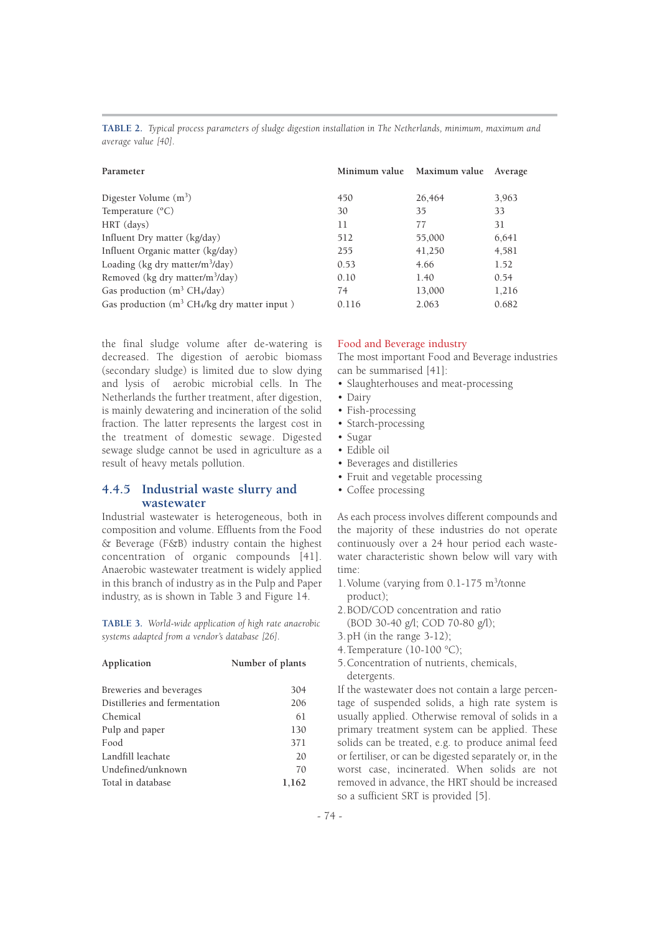| Parameter                                                            | Minimum value | Maximum value | Average |
|----------------------------------------------------------------------|---------------|---------------|---------|
| Digester Volume $(m^3)$                                              | 450           | 26.464        | 3.963   |
| Temperature $(^{\circ}C)$                                            | 30            | 35            | 33      |
| HRT (days)                                                           | 11            | 77            | 31      |
| Influent Dry matter (kg/day)                                         | 512           | 55,000        | 6,641   |
| Influent Organic matter (kg/day)                                     | 255           | 41,250        | 4,581   |
| Loading (kg dry matter/m <sup>3</sup> /day)                          | 0.53          | 4.66          | 1.52    |
| Removed (kg dry matter/m <sup>3</sup> /day)                          | 0.10          | 1.40          | 0.54    |
| Gas production $(m^3 CH_4/day)$                                      | 74            | 13,000        | 1,216   |
| Gas production (m <sup>3</sup> CH <sub>4</sub> /kg dry matter input) | 0.116         | 2.063         | 0.682   |

**TABLE 2.** *Typical process parameters of sludge digestion installation in The Netherlands, minimum, maximum and average value [40].*

the final sludge volume after de-watering is decreased. The digestion of aerobic biomass (secondary sludge) is limited due to slow dying and lysis of aerobic microbial cells. In The Netherlands the further treatment, after digestion, is mainly dewatering and incineration of the solid fraction. The latter represents the largest cost in the treatment of domestic sewage. Digested sewage sludge cannot be used in agriculture as a result of heavy metals pollution.

## **4.4.5 Industrial waste slurry and wastewater**

Industrial wastewater is heterogeneous, both in composition and volume. Effluents from the Food & Beverage (F&B) industry contain the highest concentration of organic compounds [41]. Anaerobic wastewater treatment is widely applied in this branch of industry as in the Pulp and Paper industry, as is shown in Table 3 and Figure 14.

**TABLE 3.** *World-wide application of high rate anaerobic systems adapted from a vendor's database [26].*

| Application                   | Number of plants |
|-------------------------------|------------------|
| Breweries and beverages       | 304              |
| Distilleries and fermentation | 206              |
| Chemical                      | 61               |
| Pulp and paper                | 130              |
| Food                          | 371              |
| Landfill leachate             | 20               |
| Undefined/unknown             | 70               |
| Total in database             | 1,162            |

#### Food and Beverage industry

The most important Food and Beverage industries can be summarised [41]:

- Slaughterhouses and meat-processing
- Dairy
- Fish-processing
- Starch-processing
- Sugar
- Edible oil
- Beverages and distilleries
- Fruit and vegetable processing
- Coffee processing

As each process involves different compounds and the majority of these industries do not operate continuously over a 24 hour period each wastewater characteristic shown below will vary with time:

- 1.Volume (varying from 0.1-175 m<sup>3</sup> /tonne product);
- 2.BOD/COD concentration and ratio
- (BOD 30-40 g/l; COD 70-80 g/l);
- 3.pH (in the range 3-12);
- 4.Temperature (10-100 °C);
- 5.Concentration of nutrients, chemicals, detergents.

If the wastewater does not contain a large percentage of suspended solids, a high rate system is usually applied. Otherwise removal of solids in a primary treatment system can be applied. These solids can be treated, e.g. to produce animal feed or fertiliser, or can be digested separately or, in the worst case, incinerated. When solids are not removed in advance, the HRT should be increased so a sufficient SRT is provided [5].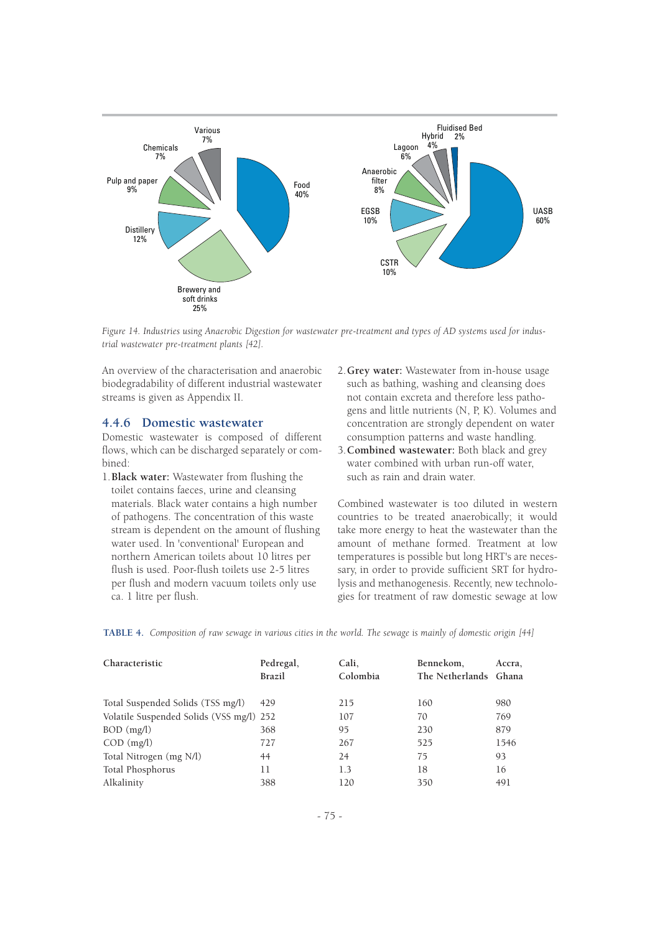

*Figure 14. Industries using Anaerobic Digestion for wastewater pre-treatment and types of AD systems used for industrial wastewater pre-treatment plants [42].*

An overview of the characterisation and anaerobic biodegradability of different industrial wastewater streams is given as Appendix II.

#### **4.4.6 Domestic wastewater**

Domestic wastewater is composed of different flows, which can be discharged separately or combined:

- 1.**Black water:** Wastewater from flushing the toilet contains faeces, urine and cleansing materials. Black water contains a high number of pathogens. The concentration of this waste stream is dependent on the amount of flushing water used. In 'conventional' European and northern American toilets about 10 litres per flush is used. Poor-flush toilets use 2-5 litres per flush and modern vacuum toilets only use ca. 1 litre per flush.
- 2.**Grey water:** Wastewater from in-house usage such as bathing, washing and cleansing does not contain excreta and therefore less pathogens and little nutrients (N, P, K). Volumes and concentration are strongly dependent on water consumption patterns and waste handling.
- 3.**Combined wastewater:** Both black and grey water combined with urban run-off water, such as rain and drain water.

Combined wastewater is too diluted in western countries to be treated anaerobically; it would take more energy to heat the wastewater than the amount of methane formed. Treatment at low temperatures is possible but long HRT's are necessary, in order to provide sufficient SRT for hydrolysis and methanogenesis. Recently, new technologies for treatment of raw domestic sewage at low

| TABLE 4. Composition of raw sewage in various cities in the world. The sewage is mainly of domestic origin [44] |  |  |  |  |
|-----------------------------------------------------------------------------------------------------------------|--|--|--|--|
|-----------------------------------------------------------------------------------------------------------------|--|--|--|--|

| Characteristic                           | Pedregal,<br><b>Brazil</b> | Cali.<br>Colombia | Bennekom,<br>The Netherlands Ghana | Accra, |
|------------------------------------------|----------------------------|-------------------|------------------------------------|--------|
| Total Suspended Solids (TSS mg/l)        | 429                        | 215               | 160                                | 980    |
| Volatile Suspended Solids (VSS mg/l) 252 |                            | 107               | 70                                 | 769    |
| $BOD$ (mg/l)                             | 368                        | 95                | 230                                | 879    |
| $COD$ (mg/l)                             | 727                        | 267               | 525                                | 1546   |
| Total Nitrogen (mg N/l)                  | 44                         | 24                | 75                                 | 93     |
| Total Phosphorus                         | 11                         | 1.3               | 18                                 | 16     |
| Alkalinity                               | 388                        | 120               | 350                                | 491    |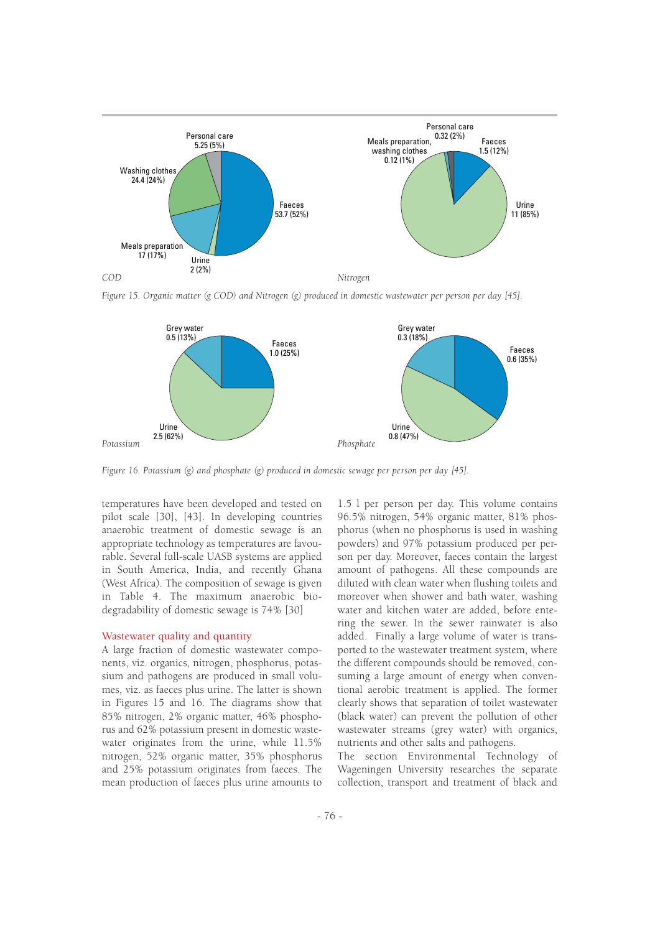

*Figure 15. Organic matter (g COD) and Nitrogen (g) produced in domestic wastewater per person per day [45].*



*Figure 16. Potassium (g) and phosphate (g) produced in domestic sewage per person per day [45].*

temperatures have been developed and tested on pilot scale [30], [43]. In developing countries anaerobic treatment of domestic sewage is an appropriate technology as temperatures are favourable. Several full-scale UASB systems are applied in South America, India, and recently Ghana (West Africa). The composition of sewage is given in Table 4. The maximum anaerobic biodegradability of domestic sewage is 74% [30]

#### Wastewater quality and quantity

A large fraction of domestic wastewater components, viz. organics, nitrogen, phosphorus, potassium and pathogens are produced in small volumes, viz. as faeces plus urine. The latter is shown in Figures 15 and 16. The diagrams show that 85% nitrogen, 2% organic matter, 46% phosphorus and 62% potassium present in domestic wastewater originates from the urine, while  $11.5\%$ nitrogen, 52% organic matter, 35% phosphorus and 25% potassium originates from faeces. The mean production of faeces plus urine amounts to

1.5 l per person per day. This volume contains 96.5% nitrogen, 54% organic matter, 81% phosphorus (when no phosphorus is used in washing powders) and 97% potassium produced per person per day. Moreover, faeces contain the largest amount of pathogens. All these compounds are diluted with clean water when flushing toilets and moreover when shower and bath water, washing water and kitchen water are added, before entering the sewer. In the sewer rainwater is also added. Finally a large volume of water is transported to the wastewater treatment system, where the different compounds should be removed, consuming a large amount of energy when conventional aerobic treatment is applied. The former clearly shows that separation of toilet wastewater (black water) can prevent the pollution of other wastewater streams (grey water) with organics, nutrients and other salts and pathogens.

The section Environmental Technology of Wageningen University researches the separate collection, transport and treatment of black and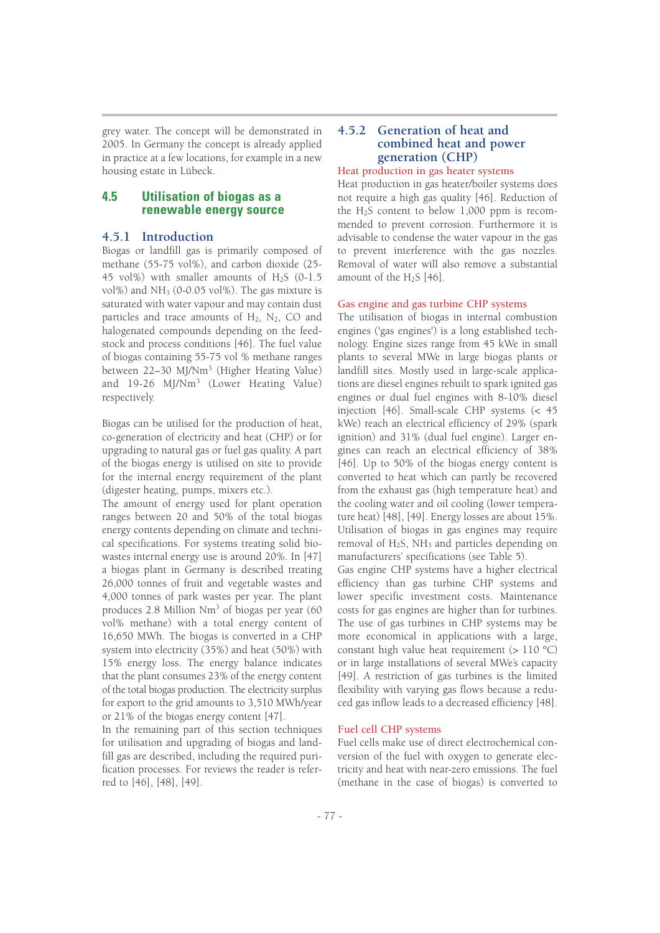grey water. The concept will be demonstrated in 2005. In Germany the concept is already applied in practice at a few locations, for example in a new housing estate in Lübeck.

## **4.5 Utilisation of biogas as a renewable energy source**

## **4.5.1 Introduction**

Biogas or landfill gas is primarily composed of methane (55-75 vol%), and carbon dioxide (25- 45 vol%) with smaller amounts of H2S (0-1.5 vol%) and NH3 (0-0.05 vol%). The gas mixture is saturated with water vapour and may contain dust particles and trace amounts of  $H_2$ ,  $N_2$ , CO and halogenated compounds depending on the feedstock and process conditions [46]. The fuel value of biogas containing 55-75 vol % methane ranges between 22–30 MJ/Nm<sup>3</sup> (Higher Heating Value) and 19-26 MJ/Nm<sup>3</sup> (Lower Heating Value) respectively.

Biogas can be utilised for the production of heat, co-generation of electricity and heat (CHP) or for upgrading to natural gas or fuel gas quality. A part of the biogas energy is utilised on site to provide for the internal energy requirement of the plant (digester heating, pumps, mixers etc.).

The amount of energy used for plant operation ranges between 20 and 50% of the total biogas energy contents depending on climate and technical specifications. For systems treating solid biowastes internal energy use is around 20%. In [47] a biogas plant in Germany is described treating 26,000 tonnes of fruit and vegetable wastes and 4,000 tonnes of park wastes per year. The plant produces 2.8 Million Nm<sup>3</sup> of biogas per year (60 vol% methane) with a total energy content of 16,650 MWh. The biogas is converted in a CHP system into electricity (35%) and heat (50%) with 15% energy loss. The energy balance indicates that the plant consumes 23% of the energy content of the total biogas production. The electricity surplus for export to the grid amounts to 3,510 MWh/year or 21% of the biogas energy content [47].

In the remaining part of this section techniques for utilisation and upgrading of biogas and landfill gas are described, including the required purification processes. For reviews the reader is referred to [46], [48], [49].

## **4.5.2 Generation of heat and combined heat and power generation (CHP)**

#### Heat production in gas heater systems

Heat production in gas heater/boiler systems does not require a high gas quality [46]. Reduction of the H2S content to below 1,000 ppm is recommended to prevent corrosion. Furthermore it is advisable to condense the water vapour in the gas to prevent interference with the gas nozzles. Removal of water will also remove a substantial amount of the H<sub>2</sub>S [46].

#### Gas engine and gas turbine CHP systems

The utilisation of biogas in internal combustion engines ('gas engines') is a long established technology. Engine sizes range from 45 kWe in small plants to several MWe in large biogas plants or landfill sites. Mostly used in large-scale applications are diesel engines rebuilt to spark ignited gas engines or dual fuel engines with 8-10% diesel injection [46]. Small-scale CHP systems (< 45 kWe) reach an electrical efficiency of 29% (spark ignition) and 31% (dual fuel engine). Larger engines can reach an electrical efficiency of 38% [46]. Up to 50% of the biogas energy content is converted to heat which can partly be recovered from the exhaust gas (high temperature heat) and the cooling water and oil cooling (lower temperature heat) [48], [49]. Energy losses are about 15%. Utilisation of biogas in gas engines may require removal of  $H_2S$ , NH<sub>3</sub> and particles depending on manufacturers' specifications (see Table 5).

Gas engine CHP systems have a higher electrical efficiency than gas turbine CHP systems and lower specific investment costs. Maintenance costs for gas engines are higher than for turbines. The use of gas turbines in CHP systems may be more economical in applications with a large, constant high value heat requirement  $(>110 \degree C)$ or in large installations of several MWe's capacity [49]. A restriction of gas turbines is the limited flexibility with varying gas flows because a reduced gas inflow leads to a decreased efficiency [48].

#### Fuel cell CHP systems

Fuel cells make use of direct electrochemical conversion of the fuel with oxygen to generate electricity and heat with near-zero emissions. The fuel (methane in the case of biogas) is converted to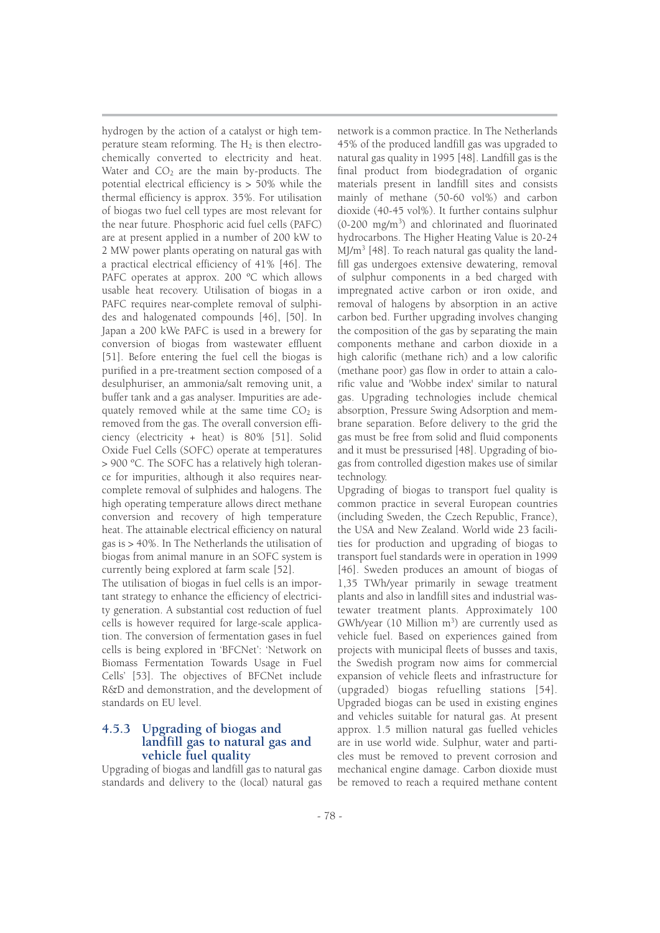hydrogen by the action of a catalyst or high temperature steam reforming. The  $H_2$  is then electrochemically converted to electricity and heat. Water and  $CO<sub>2</sub>$  are the main by-products. The potential electrical efficiency is > 50% while the thermal efficiency is approx. 35%. For utilisation of biogas two fuel cell types are most relevant for the near future. Phosphoric acid fuel cells (PAFC) are at present applied in a number of 200 kW to 2 MW power plants operating on natural gas with a practical electrical efficiency of 41% [46]. The PAFC operates at approx. 200 °C which allows usable heat recovery. Utilisation of biogas in a PAFC requires near-complete removal of sulphides and halogenated compounds [46], [50]. In Japan a 200 kWe PAFC is used in a brewery for conversion of biogas from wastewater effluent [51]. Before entering the fuel cell the biogas is purified in a pre-treatment section composed of a desulphuriser, an ammonia/salt removing unit, a buffer tank and a gas analyser. Impurities are adequately removed while at the same time  $CO<sub>2</sub>$  is removed from the gas. The overall conversion efficiency (electricity + heat) is 80% [51]. Solid Oxide Fuel Cells (SOFC) operate at temperatures > 900 ºC. The SOFC has a relatively high tolerance for impurities, although it also requires nearcomplete removal of sulphides and halogens. The high operating temperature allows direct methane conversion and recovery of high temperature heat. The attainable electrical efficiency on natural gas is > 40%. In The Netherlands the utilisation of biogas from animal manure in an SOFC system is currently being explored at farm scale [52].

The utilisation of biogas in fuel cells is an important strategy to enhance the efficiency of electricity generation. A substantial cost reduction of fuel cells is however required for large-scale application. The conversion of fermentation gases in fuel cells is being explored in 'BFCNet': 'Network on Biomass Fermentation Towards Usage in Fuel Cells' [53]. The objectives of BFCNet include R&D and demonstration, and the development of standards on EU level.

## **4.5.3 Upgrading of biogas and landfill gas to natural gas and vehicle fuel quality**

Upgrading of biogas and landfill gas to natural gas standards and delivery to the (local) natural gas

network is a common practice. In The Netherlands 45% of the produced landfill gas was upgraded to natural gas quality in 1995 [48]. Landfill gas is the final product from biodegradation of organic materials present in landfill sites and consists mainly of methane (50-60 vol%) and carbon dioxide (40-45 vol%). It further contains sulphur (0-200 mg/m<sup>3</sup> ) and chlorinated and fluorinated hydrocarbons. The Higher Heating Value is 20-24  $M/m<sup>3</sup>$  [48]. To reach natural gas quality the landfill gas undergoes extensive dewatering, removal of sulphur components in a bed charged with impregnated active carbon or iron oxide, and removal of halogens by absorption in an active carbon bed. Further upgrading involves changing the composition of the gas by separating the main components methane and carbon dioxide in a high calorific (methane rich) and a low calorific (methane poor) gas flow in order to attain a calorific value and 'Wobbe index' similar to natural gas. Upgrading technologies include chemical absorption, Pressure Swing Adsorption and membrane separation. Before delivery to the grid the gas must be free from solid and fluid components and it must be pressurised [48]. Upgrading of biogas from controlled digestion makes use of similar technology.

Upgrading of biogas to transport fuel quality is common practice in several European countries (including Sweden, the Czech Republic, France), the USA and New Zealand. World wide 23 facilities for production and upgrading of biogas to transport fuel standards were in operation in 1999 [46]. Sweden produces an amount of biogas of 1,35 TWh/year primarily in sewage treatment plants and also in landfill sites and industrial wastewater treatment plants. Approximately 100 GWh/year (10 Million  $m^3$ ) are currently used as vehicle fuel. Based on experiences gained from projects with municipal fleets of busses and taxis, the Swedish program now aims for commercial expansion of vehicle fleets and infrastructure for (upgraded) biogas refuelling stations [54]. Upgraded biogas can be used in existing engines and vehicles suitable for natural gas. At present approx. 1.5 million natural gas fuelled vehicles are in use world wide. Sulphur, water and particles must be removed to prevent corrosion and mechanical engine damage. Carbon dioxide must be removed to reach a required methane content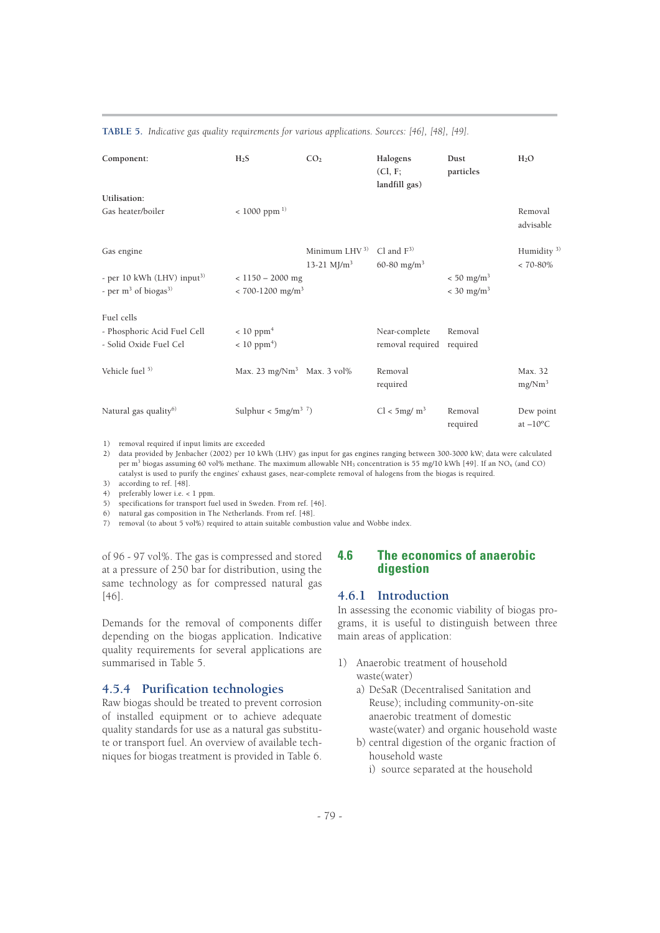#### **TABLE 5.** *Indicative gas quality requirements for various applications. Sources: [46], [48], [49].*

| Component:                                                                    | H <sub>2</sub> S                                       | CO <sub>2</sub>                 | Halogens<br>CL, F;<br>landfill gas)        | Dust<br>particles                                    | H <sub>2</sub> O                     |
|-------------------------------------------------------------------------------|--------------------------------------------------------|---------------------------------|--------------------------------------------|------------------------------------------------------|--------------------------------------|
| Utilisation:                                                                  |                                                        |                                 |                                            |                                                      |                                      |
| Gas heater/boiler                                                             | $< 1000$ ppm <sup>1)</sup>                             |                                 |                                            |                                                      | Removal<br>advisable                 |
| Gas engine                                                                    |                                                        | Minimum $LHV3$<br>13-21 $M/m^3$ | Cl and $F^{3}$<br>60-80 mg/m <sup>3</sup>  |                                                      | Humidity $3$ )<br>$< 70-80%$         |
| - per 10 kWh (LHV) input <sup>3)</sup><br>- per $m^3$ of biogas <sup>3)</sup> | $<$ 1150 – 2000 mg<br>$< 700 - 1200$ mg/m <sup>3</sup> |                                 |                                            | $< 50$ mg/m <sup>3</sup><br>$< 30$ mg/m <sup>3</sup> |                                      |
| Fuel cells                                                                    |                                                        |                                 |                                            |                                                      |                                      |
| - Phosphoric Acid Fuel Cell<br>- Solid Oxide Fuel Cel                         | $< 10$ ppm <sup>4</sup><br>$< 10$ ppm <sup>4</sup> )   |                                 | Near-complete<br>removal required required | Removal                                              |                                      |
| Vehicle fuel 5)                                                               | Max. 23 mg/ $Nm^3$ Max. 3 vol%                         |                                 | Removal<br>required                        |                                                      | Max. 32<br>mg/Nm <sup>3</sup>        |
| Natural gas quality <sup>6)</sup>                                             | Sulphur < $5mg/m^3$ <sup>7</sup> )                     |                                 | Cl < 5mg/m <sup>3</sup>                    | Removal<br>required                                  | Dew point<br>at $-10$ <sup>o</sup> C |

1) removal required if input limits are exceeded

2) data provided by Jenbacher (2002) per 10 kWh (LHV) gas input for gas engines ranging between 300-3000 kW; data were calculated per m<sup>3</sup> biogas assuming 60 vol% methane. The maximum allowable NH3 concentration is 55 mg/10 kWh [49]. If an NOx (and CO) catalyst is used to purify the engines' exhaust gases, near-complete removal of halogens from the biogas is required. 3) according to ref. [48].

4) preferably lower i.e. < 1 ppm.

5) specifications for transport fuel used in Sweden. From ref. [46].

6) natural gas composition in The Netherlands. From ref. [48].

7) removal (to about 5 vol%) required to attain suitable combustion value and Wobbe index.

of 96 - 97 vol%. The gas is compressed and stored at a pressure of 250 bar for distribution, using the same technology as for compressed natural gas [46].

Demands for the removal of components differ depending on the biogas application. Indicative quality requirements for several applications are summarised in Table 5.

## **4.5.4 Purification technologies**

Raw biogas should be treated to prevent corrosion of installed equipment or to achieve adequate quality standards for use as a natural gas substitute or transport fuel. An overview of available techniques for biogas treatment is provided in Table 6.

## **4.6 The economics of anaerobic digestion**

#### **4.6.1 Introduction**

In assessing the economic viability of biogas programs, it is useful to distinguish between three main areas of application:

- 1) Anaerobic treatment of household waste(water)
	- a) DeSaR (Decentralised Sanitation and Reuse); including community-on-site anaerobic treatment of domestic waste(water) and organic household waste
	- b) central digestion of the organic fraction of household waste
		- i) source separated at the household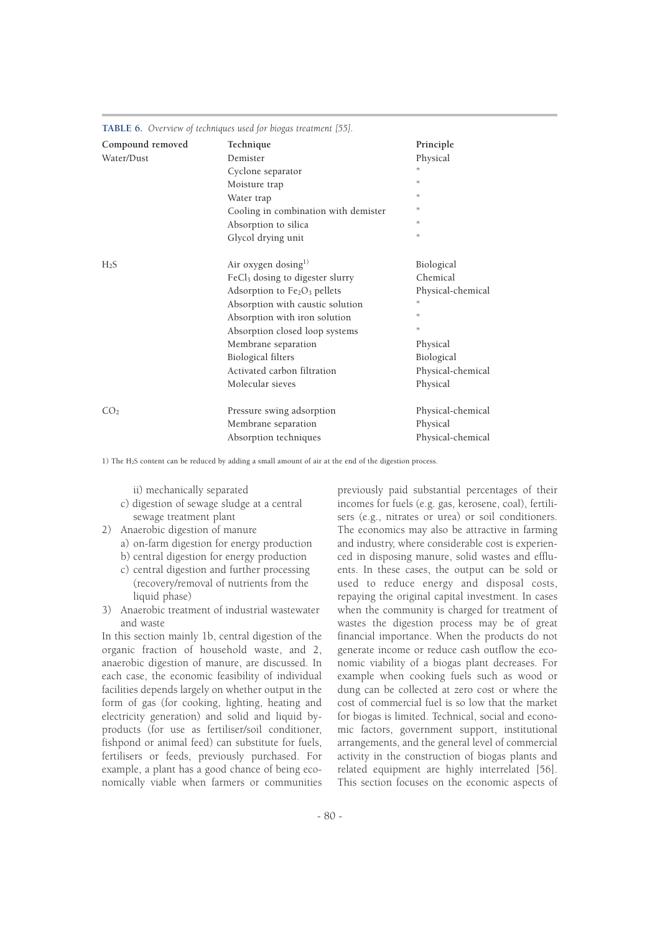|                  | $\mathbf{H}$                                |                   |
|------------------|---------------------------------------------|-------------------|
| Compound removed | Technique                                   | Principle         |
| Water/Dust       | Demister                                    | Physical          |
|                  | Cyclone separator                           |                   |
|                  | Moisture trap                               | $\mathbf{H}$      |
|                  | Water trap                                  | $\mathbf{H}$      |
|                  | Cooling in combination with demister        | $\mathbf{H}$      |
|                  | Absorption to silica                        | 11                |
|                  | Glycol drying unit                          | 11                |
| $H_2S$           | Air oxygen dosing <sup>1)</sup>             | Biological        |
|                  | FeCl <sub>3</sub> dosing to digester slurry | Chemical          |
|                  | Adsorption to $Fe2O3$ pellets               | Physical-chemical |
|                  | Absorption with caustic solution            | 11                |
|                  | Absorption with iron solution               | $\mathbf{H}$      |
|                  | Absorption closed loop systems              | 11                |
|                  | Membrane separation                         | Physical          |
|                  | <b>Biological filters</b>                   | Biological        |
|                  | Activated carbon filtration                 | Physical-chemical |
|                  | Molecular sieves                            | Physical          |
| CO <sub>2</sub>  | Pressure swing adsorption                   | Physical-chemical |
|                  | Membrane separation                         | Physical          |
|                  | Absorption techniques                       | Physical-chemical |

**TABLE 6.** *Overview of techniques used for biogas treatment [55].*

1) The H2S content can be reduced by adding a small amount of air at the end of the digestion process.

ii) mechanically separated

- c) digestion of sewage sludge at a central sewage treatment plant
- 2) Anaerobic digestion of manure
	- a) on-farm digestion for energy production
	- b) central digestion for energy production
	- c) central digestion and further processing (recovery/removal of nutrients from the liquid phase)
- 3) Anaerobic treatment of industrial wastewater and waste

In this section mainly 1b, central digestion of the organic fraction of household waste, and 2, anaerobic digestion of manure, are discussed. In each case, the economic feasibility of individual facilities depends largely on whether output in the form of gas (for cooking, lighting, heating and electricity generation) and solid and liquid byproducts (for use as fertiliser/soil conditioner, fishpond or animal feed) can substitute for fuels, fertilisers or feeds, previously purchased. For example, a plant has a good chance of being economically viable when farmers or communities

previously paid substantial percentages of their incomes for fuels (e.g. gas, kerosene, coal), fertilisers (e.g., nitrates or urea) or soil conditioners. The economics may also be attractive in farming and industry, where considerable cost is experienced in disposing manure, solid wastes and effluents. In these cases, the output can be sold or used to reduce energy and disposal costs, repaying the original capital investment. In cases when the community is charged for treatment of wastes the digestion process may be of great financial importance. When the products do not generate income or reduce cash outflow the economic viability of a biogas plant decreases. For example when cooking fuels such as wood or dung can be collected at zero cost or where the cost of commercial fuel is so low that the market for biogas is limited. Technical, social and economic factors, government support, institutional arrangements, and the general level of commercial activity in the construction of biogas plants and related equipment are highly interrelated [56]. This section focuses on the economic aspects of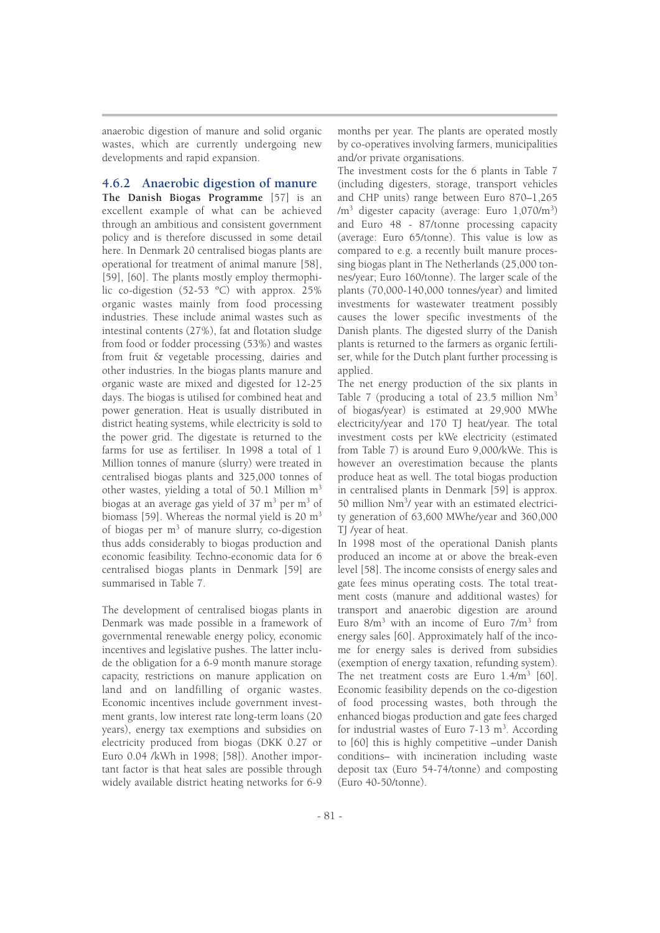anaerobic digestion of manure and solid organic wastes, which are currently undergoing new developments and rapid expansion.

## **4.6.2 Anaerobic digestion of manure**

**The Danish Biogas Programme** [57] is an excellent example of what can be achieved through an ambitious and consistent government policy and is therefore discussed in some detail here. In Denmark 20 centralised biogas plants are operational for treatment of animal manure [58], [59], [60]. The plants mostly employ thermophilic co-digestion (52-53 ºC) with approx. 25% organic wastes mainly from food processing industries. These include animal wastes such as intestinal contents (27%), fat and flotation sludge from food or fodder processing (53%) and wastes from fruit & vegetable processing, dairies and other industries. In the biogas plants manure and organic waste are mixed and digested for 12-25 days. The biogas is utilised for combined heat and power generation. Heat is usually distributed in district heating systems, while electricity is sold to the power grid. The digestate is returned to the farms for use as fertiliser. In 1998 a total of 1 Million tonnes of manure (slurry) were treated in centralised biogas plants and 325,000 tonnes of other wastes, yielding a total of 50.1 Million m<sup>3</sup> biogas at an average gas yield of  $37 \text{ m}^3$  per m<sup>3</sup> of biomass [59]. Whereas the normal yield is  $20 \text{ m}^3$ of biogas per m<sup>3</sup> of manure slurry, co-digestion thus adds considerably to biogas production and economic feasibility. Techno-economic data for 6 centralised biogas plants in Denmark [59] are summarised in Table 7.

The development of centralised biogas plants in Denmark was made possible in a framework of governmental renewable energy policy, economic incentives and legislative pushes. The latter include the obligation for a 6-9 month manure storage capacity, restrictions on manure application on land and on landfilling of organic wastes. Economic incentives include government investment grants, low interest rate long-term loans (20 years), energy tax exemptions and subsidies on electricity produced from biogas (DKK 0.27 or Euro 0.04 /kWh in 1998; [58]). Another important factor is that heat sales are possible through widely available district heating networks for 6-9

months per year. The plants are operated mostly by co-operatives involving farmers, municipalities and/or private organisations.

The investment costs for the 6 plants in Table 7 (including digesters, storage, transport vehicles and CHP units) range between Euro 870–1,265  $\rm /m^3$  digester capacity (average: Euro  $\rm 1,070/m^3$ ) and Euro 48 - 87/tonne processing capacity (average: Euro 65/tonne). This value is low as compared to e.g. a recently built manure processing biogas plant in The Netherlands (25,000 tonnes/year; Euro 160/tonne). The larger scale of the plants (70,000-140,000 tonnes/year) and limited investments for wastewater treatment possibly causes the lower specific investments of the Danish plants. The digested slurry of the Danish plants is returned to the farmers as organic fertiliser, while for the Dutch plant further processing is applied.

The net energy production of the six plants in Table 7 (producing a total of 23.5 million Nm<sup>3</sup> of biogas/year) is estimated at 29,900 MWhe electricity/year and 170 TJ heat/year. The total investment costs per kWe electricity (estimated from Table 7) is around Euro 9,000/kWe. This is however an overestimation because the plants produce heat as well. The total biogas production in centralised plants in Denmark [59] is approx. 50 million Nm<sup>3</sup>/ year with an estimated electricity generation of 63,600 MWhe/year and 360,000 TJ /year of heat.

In 1998 most of the operational Danish plants produced an income at or above the break-even level [58]. The income consists of energy sales and gate fees minus operating costs. The total treatment costs (manure and additional wastes) for transport and anaerobic digestion are around Euro  $8/m^3$  with an income of Euro  $7/m^3$  from energy sales [60]. Approximately half of the income for energy sales is derived from subsidies (exemption of energy taxation, refunding system). The net treatment costs are Euro 1.4/m<sup>3</sup> [60]. Economic feasibility depends on the co-digestion of food processing wastes, both through the enhanced biogas production and gate fees charged for industrial wastes of Euro  $7-13$  m<sup>3</sup>. According to [60] this is highly competitive –under Danish conditions– with incineration including waste deposit tax (Euro 54-74/tonne) and composting (Euro 40-50/tonne).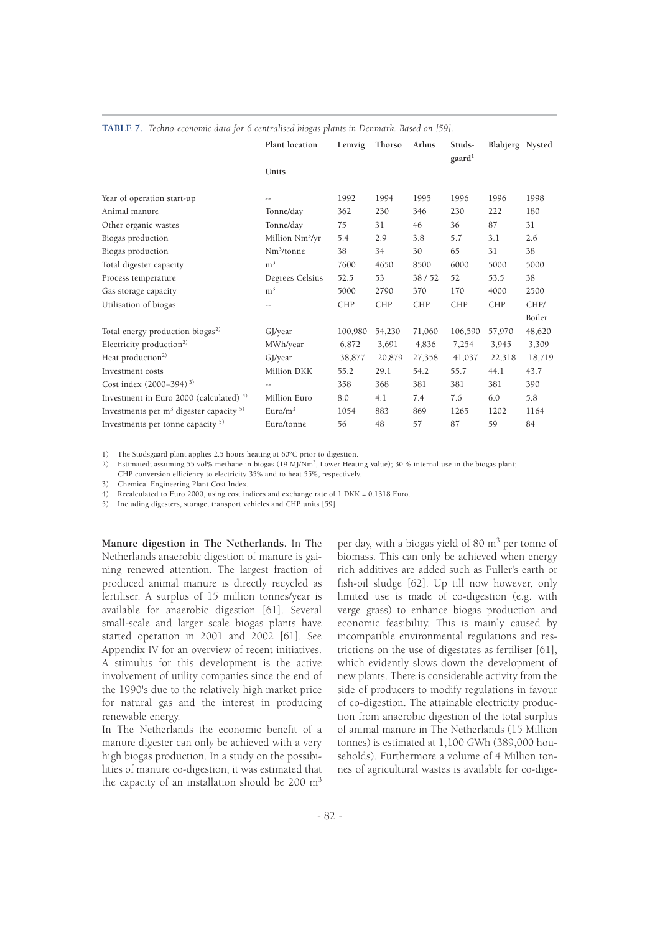|                                              | Plant location              | Lemvig     | Thorso     | Arhus      | Studs-<br>gaard <sup>1</sup> | Blabjerg Nysted |        |
|----------------------------------------------|-----------------------------|------------|------------|------------|------------------------------|-----------------|--------|
|                                              | Units                       |            |            |            |                              |                 |        |
| Year of operation start-up                   | $-1$                        | 1992       | 1994       | 1995       | 1996                         | 1996            | 1998   |
| Animal manure                                | Tonne/day                   | 362        | 230        | 346        | 230                          | 222             | 180    |
| Other organic wastes                         | Tonne/day                   | 75         | 31         | 46         | 36                           | 87              | 31     |
| Biogas production                            | Million Nm <sup>3</sup> /yr | 5.4        | 2.9        | 3.8        | 5.7                          | 3.1             | 2.6    |
| Biogas production                            | $Nm^3$ /tonne               | 38         | 34         | 30         | 65                           | 31              | 38     |
| Total digester capacity                      | m <sup>3</sup>              | 7600       | 4650       | 8500       | 6000                         | 5000            | 5000   |
| Process temperature                          | Degrees Celsius             | 52.5       | 53         | 38/52      | 52                           | 53.5            | 38     |
| Gas storage capacity                         | m <sup>3</sup>              | 5000       | 2790       | 370        | 170                          | 4000            | 2500   |
| Utilisation of biogas                        | $-1$                        | <b>CHP</b> | <b>CHP</b> | <b>CHP</b> | <b>CHP</b>                   | <b>CHP</b>      | CHP/   |
|                                              |                             |            |            |            |                              |                 | Boiler |
| Total energy production biogas <sup>2)</sup> | GJ/year                     | 100,980    | 54,230     | 71,060     | 106,590                      | 57,970          | 48,620 |
| Electricity production <sup>2)</sup>         | MWh/year                    | 6,872      | 3,691      | 4,836      | 7,254                        | 3,945           | 3,309  |
| Heat production <sup>2)</sup>                | GJ/year                     | 38,877     | 20,879     | 27,358     | 41,037                       | 22,318          | 18,719 |
| Investment costs                             | Million DKK                 | 55.2       | 29.1       | 54.2       | 55.7                         | 44.1            | 43.7   |
| Cost index $(2000=394)$ <sup>3)</sup>        | $\overline{\phantom{m}}$    | 358        | 368        | 381        | 381                          | 381             | 390    |
| Investment in Euro 2000 (calculated) $4$ )   | Million Euro                | 8.0        | 4.1        | 7.4        | 7.6                          | 6.0             | 5.8    |
| Investments per $m3$ digester capacity $5$ ) | Euro/m <sup>3</sup>         | 1054       | 883        | 869        | 1265                         | 1202            | 1164   |
| Investments per tonne capacity $5$           | Euro/tonne                  | 56         | 48         | 57         | 87                           | 59              | 84     |

#### **TABLE 7.** *Techno-economic data for 6 centralised biogas plants in Denmark. Based on [59].*

1) The Studsgaard plant applies 2.5 hours heating at 60ºC prior to digestion.

2) Estimated; assuming 55 vol% methane in biogas (19 MJ/Nm<sup>3</sup> , Lower Heating Value); 30 % internal use in the biogas plant;

CHP conversion efficiency to electricity 35% and to heat 55%, respectively.

3) Chemical Engineering Plant Cost Index.

Recalculated to Euro 2000, using cost indices and exchange rate of 1 DKK = 0.1318 Euro.

5) Including digesters, storage, transport vehicles and CHP units [59].

**Manure digestion in The Netherlands.** In The Netherlands anaerobic digestion of manure is gaining renewed attention. The largest fraction of produced animal manure is directly recycled as fertiliser. A surplus of 15 million tonnes/year is available for anaerobic digestion [61]. Several small-scale and larger scale biogas plants have started operation in 2001 and 2002 [61]. See Appendix IV for an overview of recent initiatives. A stimulus for this development is the active involvement of utility companies since the end of the 1990's due to the relatively high market price for natural gas and the interest in producing renewable energy.

In The Netherlands the economic benefit of a manure digester can only be achieved with a very high biogas production. In a study on the possibilities of manure co-digestion, it was estimated that the capacity of an installation should be  $200 \text{ m}^3$ 

per day, with a biogas yield of 80  $\mathrm{m}^3$  per tonne of biomass. This can only be achieved when energy rich additives are added such as Fuller's earth or fish-oil sludge [62]. Up till now however, only limited use is made of co-digestion (e.g. with verge grass) to enhance biogas production and economic feasibility. This is mainly caused by incompatible environmental regulations and restrictions on the use of digestates as fertiliser [61], which evidently slows down the development of new plants. There is considerable activity from the side of producers to modify regulations in favour of co-digestion. The attainable electricity production from anaerobic digestion of the total surplus of animal manure in The Netherlands (15 Million tonnes) is estimated at 1,100 GWh (389,000 households). Furthermore a volume of 4 Million tonnes of agricultural wastes is available for co-dige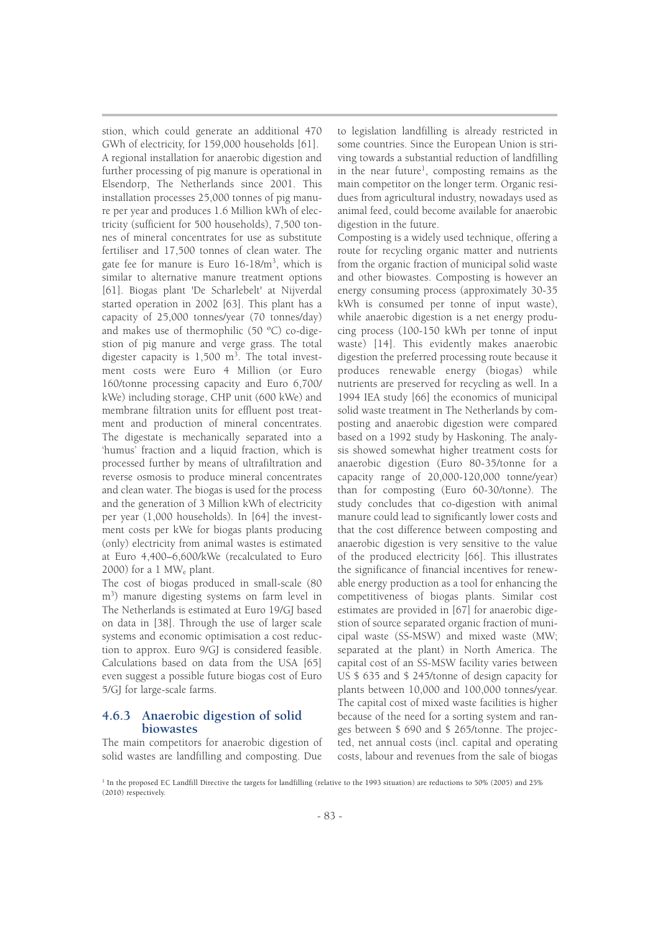stion, which could generate an additional 470 GWh of electricity, for 159,000 households [61]. A regional installation for anaerobic digestion and further processing of pig manure is operational in Elsendorp, The Netherlands since 2001. This installation processes 25,000 tonnes of pig manure per year and produces 1.6 Million kWh of electricity (sufficient for 500 households), 7,500 tonnes of mineral concentrates for use as substitute fertiliser and 17,500 tonnes of clean water. The gate fee for manure is Euro 16-18/m<sup>3</sup>, which is similar to alternative manure treatment options [61]. Biogas plant 'De Scharlebelt' at Nijverdal started operation in 2002 [63]. This plant has a capacity of 25,000 tonnes/year (70 tonnes/day) and makes use of thermophilic (50 ºC) co-digestion of pig manure and verge grass. The total digester capacity is  $1,500$  m<sup>3</sup>. The total investment costs were Euro 4 Million (or Euro 160/tonne processing capacity and Euro 6,700/ kWe) including storage, CHP unit (600 kWe) and membrane filtration units for effluent post treatment and production of mineral concentrates. The digestate is mechanically separated into a 'humus' fraction and a liquid fraction, which is processed further by means of ultrafiltration and reverse osmosis to produce mineral concentrates and clean water. The biogas is used for the process and the generation of 3 Million kWh of electricity per year (1,000 households). In [64] the investment costs per kWe for biogas plants producing (only) electricity from animal wastes is estimated at Euro 4,400–6,600/kWe (recalculated to Euro 2000) for a  $1 \text{ MW}_e$  plant.

The cost of biogas produced in small-scale (80 m<sup>3</sup> ) manure digesting systems on farm level in The Netherlands is estimated at Euro 19/GJ based on data in [38]. Through the use of larger scale systems and economic optimisation a cost reduction to approx. Euro 9/GJ is considered feasible. Calculations based on data from the USA [65] even suggest a possible future biogas cost of Euro 5/GJ for large-scale farms.

## **4.6.3 Anaerobic digestion of solid biowastes**

The main competitors for anaerobic digestion of solid wastes are landfilling and composting. Due to legislation landfilling is already restricted in some countries. Since the European Union is striving towards a substantial reduction of landfilling in the near future<sup>1</sup>, composting remains as the main competitor on the longer term. Organic residues from agricultural industry, nowadays used as animal feed, could become available for anaerobic digestion in the future.

Composting is a widely used technique, offering a route for recycling organic matter and nutrients from the organic fraction of municipal solid waste and other biowastes. Composting is however an energy consuming process (approximately 30-35 kWh is consumed per tonne of input waste), while anaerobic digestion is a net energy producing process (100-150 kWh per tonne of input waste) [14]. This evidently makes anaerobic digestion the preferred processing route because it produces renewable energy (biogas) while nutrients are preserved for recycling as well. In a 1994 IEA study [66] the economics of municipal solid waste treatment in The Netherlands by composting and anaerobic digestion were compared based on a 1992 study by Haskoning. The analysis showed somewhat higher treatment costs for anaerobic digestion (Euro 80-35/tonne for a capacity range of 20,000-120,000 tonne/year) than for composting (Euro 60-30/tonne). The study concludes that co-digestion with animal manure could lead to significantly lower costs and that the cost difference between composting and anaerobic digestion is very sensitive to the value of the produced electricity [66]. This illustrates the significance of financial incentives for renewable energy production as a tool for enhancing the competitiveness of biogas plants. Similar cost estimates are provided in [67] for anaerobic digestion of source separated organic fraction of municipal waste (SS-MSW) and mixed waste (MW; separated at the plant) in North America. The capital cost of an SS-MSW facility varies between US \$ 635 and \$ 245/tonne of design capacity for plants between 10,000 and 100,000 tonnes/year. The capital cost of mixed waste facilities is higher because of the need for a sorting system and ranges between \$ 690 and \$ 265/tonne. The projected, net annual costs (incl. capital and operating costs, labour and revenues from the sale of biogas

<sup>&</sup>lt;sup>1</sup> In the proposed EC Landfill Directive the targets for landfilling (relative to the 1993 situation) are reductions to 50% (2005) and 25% (2010) respectively.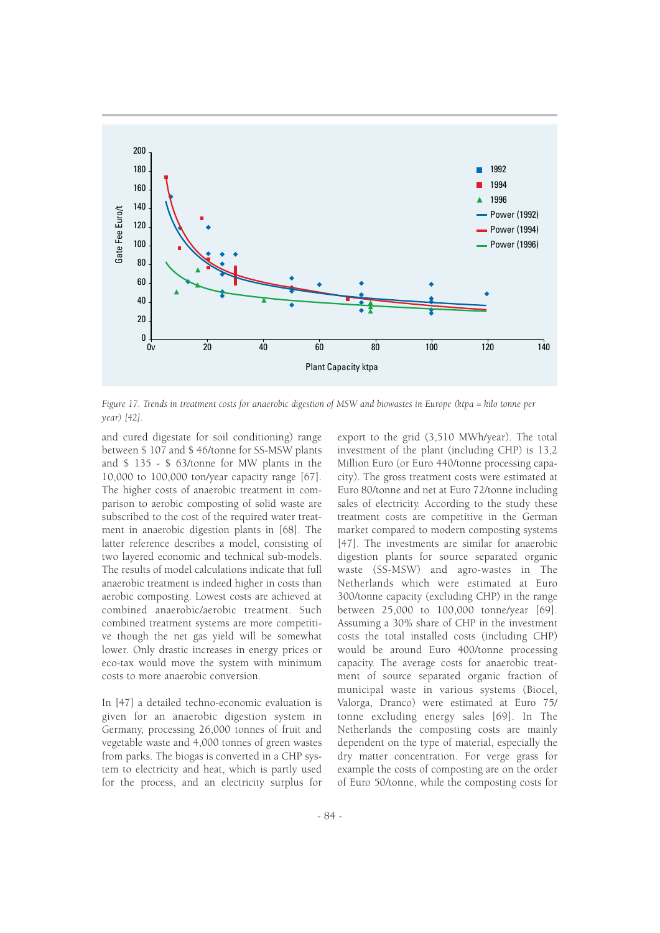

*Figure 17. Trends in treatment costs for anaerobic digestion of MSW and biowastes in Europe (ktpa = kilo tonne per year) [42].* 

and cured digestate for soil conditioning) range between \$ 107 and \$ 46/tonne for SS-MSW plants and \$ 135 - \$ 63/tonne for MW plants in the 10,000 to 100,000 ton/year capacity range [67]. The higher costs of anaerobic treatment in comparison to aerobic composting of solid waste are subscribed to the cost of the required water treatment in anaerobic digestion plants in [68]. The latter reference describes a model, consisting of two layered economic and technical sub-models. The results of model calculations indicate that full anaerobic treatment is indeed higher in costs than aerobic composting. Lowest costs are achieved at combined anaerobic/aerobic treatment. Such combined treatment systems are more competitive though the net gas yield will be somewhat lower. Only drastic increases in energy prices or eco-tax would move the system with minimum costs to more anaerobic conversion.

In [47] a detailed techno-economic evaluation is given for an anaerobic digestion system in Germany, processing 26,000 tonnes of fruit and vegetable waste and 4,000 tonnes of green wastes from parks. The biogas is converted in a CHP system to electricity and heat, which is partly used for the process, and an electricity surplus for export to the grid (3,510 MWh/year). The total investment of the plant (including CHP) is 13,2 Million Euro (or Euro 440/tonne processing capacity). The gross treatment costs were estimated at Euro 80/tonne and net at Euro 72/tonne including sales of electricity. According to the study these treatment costs are competitive in the German market compared to modern composting systems [47]. The investments are similar for anaerobic digestion plants for source separated organic waste (SS-MSW) and agro-wastes in The Netherlands which were estimated at Euro 300/tonne capacity (excluding CHP) in the range between 25,000 to 100,000 tonne/year [69]. Assuming a 30% share of CHP in the investment costs the total installed costs (including CHP) would be around Euro 400/tonne processing capacity. The average costs for anaerobic treatment of source separated organic fraction of municipal waste in various systems (Biocel, Valorga, Dranco) were estimated at Euro 75/ tonne excluding energy sales [69]. In The Netherlands the composting costs are mainly dependent on the type of material, especially the dry matter concentration. For verge grass for example the costs of composting are on the order of Euro 50/tonne, while the composting costs for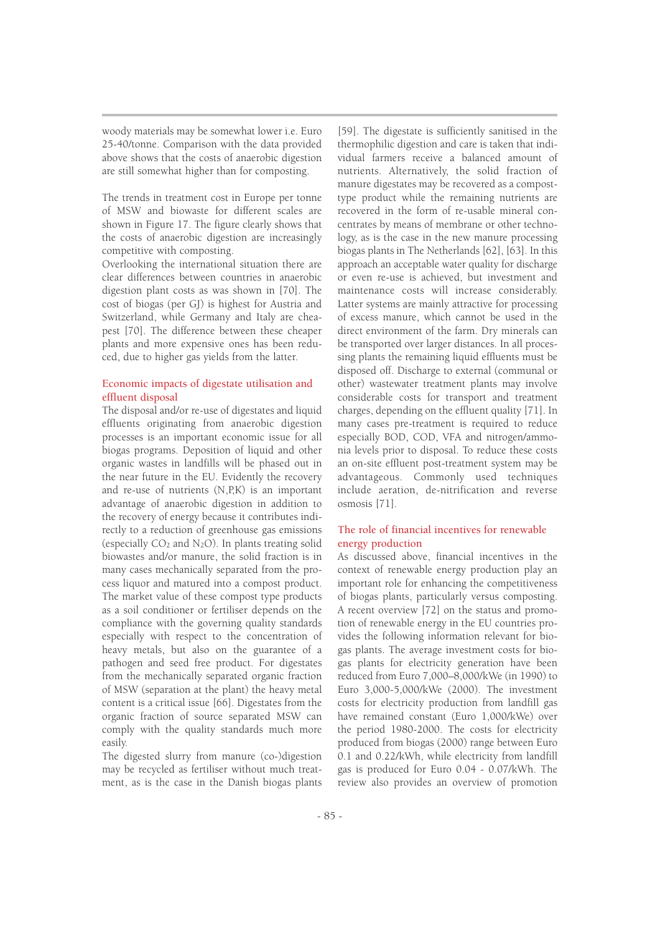woody materials may be somewhat lower i.e. Euro 25-40/tonne. Comparison with the data provided above shows that the costs of anaerobic digestion are still somewhat higher than for composting.

The trends in treatment cost in Europe per tonne of MSW and biowaste for different scales are shown in Figure 17. The figure clearly shows that the costs of anaerobic digestion are increasingly competitive with composting.

Overlooking the international situation there are clear differences between countries in anaerobic digestion plant costs as was shown in [70]. The cost of biogas (per GJ) is highest for Austria and Switzerland, while Germany and Italy are cheapest [70]. The difference between these cheaper plants and more expensive ones has been reduced, due to higher gas yields from the latter.

## Economic impacts of digestate utilisation and effluent disposal

The disposal and/or re-use of digestates and liquid effluents originating from anaerobic digestion processes is an important economic issue for all biogas programs. Deposition of liquid and other organic wastes in landfills will be phased out in the near future in the EU. Evidently the recovery and re-use of nutrients (N,P,K) is an important advantage of anaerobic digestion in addition to the recovery of energy because it contributes indirectly to a reduction of greenhouse gas emissions (especially  $CO<sub>2</sub>$  and N<sub>2</sub>O). In plants treating solid biowastes and/or manure, the solid fraction is in many cases mechanically separated from the process liquor and matured into a compost product. The market value of these compost type products as a soil conditioner or fertiliser depends on the compliance with the governing quality standards especially with respect to the concentration of heavy metals, but also on the guarantee of a pathogen and seed free product. For digestates from the mechanically separated organic fraction of MSW (separation at the plant) the heavy metal content is a critical issue [66]. Digestates from the organic fraction of source separated MSW can comply with the quality standards much more easily.

The digested slurry from manure (co-)digestion may be recycled as fertiliser without much treatment, as is the case in the Danish biogas plants

[59]. The digestate is sufficiently sanitised in the thermophilic digestion and care is taken that individual farmers receive a balanced amount of nutrients. Alternatively, the solid fraction of manure digestates may be recovered as a composttype product while the remaining nutrients are recovered in the form of re-usable mineral concentrates by means of membrane or other technology, as is the case in the new manure processing biogas plants in The Netherlands [62], [63]. In this approach an acceptable water quality for discharge or even re-use is achieved, but investment and maintenance costs will increase considerably. Latter systems are mainly attractive for processing of excess manure, which cannot be used in the direct environment of the farm. Dry minerals can be transported over larger distances. In all processing plants the remaining liquid effluents must be disposed off. Discharge to external (communal or other) wastewater treatment plants may involve considerable costs for transport and treatment charges, depending on the effluent quality [71]. In many cases pre-treatment is required to reduce especially BOD, COD, VFA and nitrogen/ammonia levels prior to disposal. To reduce these costs an on-site effluent post-treatment system may be advantageous. Commonly used techniques include aeration, de-nitrification and reverse osmosis [71].

## The role of financial incentives for renewable energy production

As discussed above, financial incentives in the context of renewable energy production play an important role for enhancing the competitiveness of biogas plants, particularly versus composting. A recent overview [72] on the status and promotion of renewable energy in the EU countries provides the following information relevant for biogas plants. The average investment costs for biogas plants for electricity generation have been reduced from Euro 7,000–8,000/kWe (in 1990) to Euro 3,000-5,000/kWe (2000). The investment costs for electricity production from landfill gas have remained constant (Euro 1,000/kWe) over the period 1980-2000. The costs for electricity produced from biogas (2000) range between Euro 0.1 and 0.22/kWh, while electricity from landfill gas is produced for Euro 0.04 - 0.07/kWh. The review also provides an overview of promotion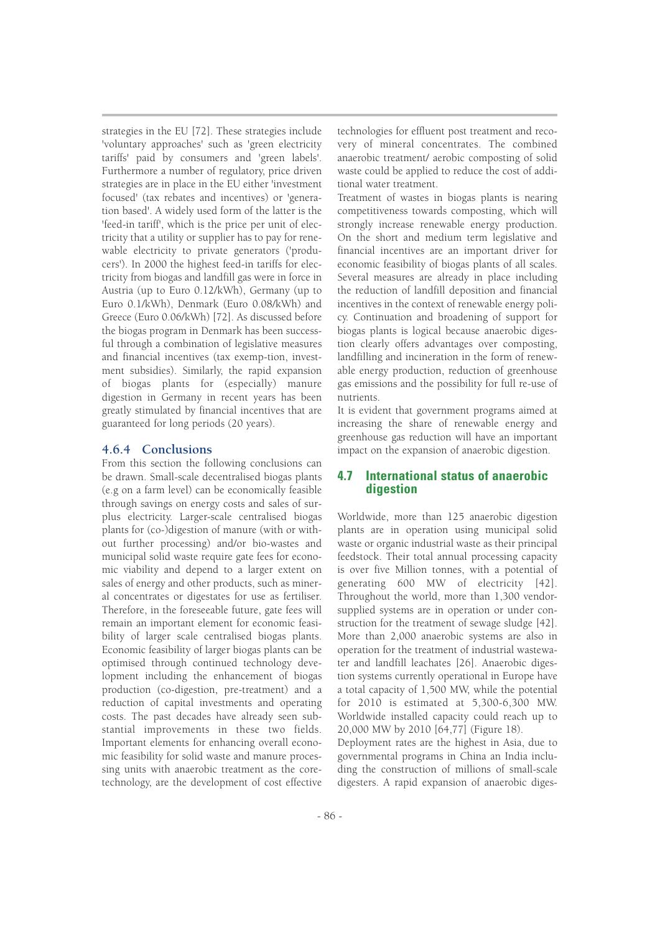strategies in the EU [72]. These strategies include 'voluntary approaches' such as 'green electricity tariffs' paid by consumers and 'green labels'. Furthermore a number of regulatory, price driven strategies are in place in the EU either 'investment focused' (tax rebates and incentives) or 'generation based'. A widely used form of the latter is the 'feed-in tariff', which is the price per unit of electricity that a utility or supplier has to pay for renewable electricity to private generators ('producers'). In 2000 the highest feed-in tariffs for electricity from biogas and landfill gas were in force in Austria (up to Euro 0.12/kWh), Germany (up to Euro 0.1/kWh), Denmark (Euro 0.08/kWh) and Greece (Euro 0.06/kWh) [72]. As discussed before the biogas program in Denmark has been successful through a combination of legislative measures and financial incentives (tax exemp-tion, investment subsidies). Similarly, the rapid expansion of biogas plants for (especially) manure digestion in Germany in recent years has been greatly stimulated by financial incentives that are guaranteed for long periods (20 years).

## **4.6.4 Conclusions**

From this section the following conclusions can be drawn. Small-scale decentralised biogas plants (e.g on a farm level) can be economically feasible through savings on energy costs and sales of surplus electricity. Larger-scale centralised biogas plants for (co-)digestion of manure (with or without further processing) and/or bio-wastes and municipal solid waste require gate fees for economic viability and depend to a larger extent on sales of energy and other products, such as mineral concentrates or digestates for use as fertiliser. Therefore, in the foreseeable future, gate fees will remain an important element for economic feasibility of larger scale centralised biogas plants. Economic feasibility of larger biogas plants can be optimised through continued technology development including the enhancement of biogas production (co-digestion, pre-treatment) and a reduction of capital investments and operating costs. The past decades have already seen substantial improvements in these two fields. Important elements for enhancing overall economic feasibility for solid waste and manure processing units with anaerobic treatment as the coretechnology, are the development of cost effective technologies for effluent post treatment and recovery of mineral concentrates. The combined anaerobic treatment/ aerobic composting of solid waste could be applied to reduce the cost of additional water treatment.

Treatment of wastes in biogas plants is nearing competitiveness towards composting, which will strongly increase renewable energy production. On the short and medium term legislative and financial incentives are an important driver for economic feasibility of biogas plants of all scales. Several measures are already in place including the reduction of landfill deposition and financial incentives in the context of renewable energy policy. Continuation and broadening of support for biogas plants is logical because anaerobic digestion clearly offers advantages over composting, landfilling and incineration in the form of renewable energy production, reduction of greenhouse gas emissions and the possibility for full re-use of nutrients.

It is evident that government programs aimed at increasing the share of renewable energy and greenhouse gas reduction will have an important impact on the expansion of anaerobic digestion.

## **4.7 International status of anaerobic digestion**

Worldwide, more than 125 anaerobic digestion plants are in operation using municipal solid waste or organic industrial waste as their principal feedstock. Their total annual processing capacity is over five Million tonnes, with a potential of generating 600 MW of electricity [42]. Throughout the world, more than 1,300 vendorsupplied systems are in operation or under construction for the treatment of sewage sludge [42]. More than 2,000 anaerobic systems are also in operation for the treatment of industrial wastewater and landfill leachates [26]. Anaerobic digestion systems currently operational in Europe have a total capacity of 1,500 MW, while the potential for 2010 is estimated at 5,300-6,300 MW. Worldwide installed capacity could reach up to 20,000 MW by 2010 [64,77] (Figure 18).

Deployment rates are the highest in Asia, due to governmental programs in China an India including the construction of millions of small-scale digesters. A rapid expansion of anaerobic diges-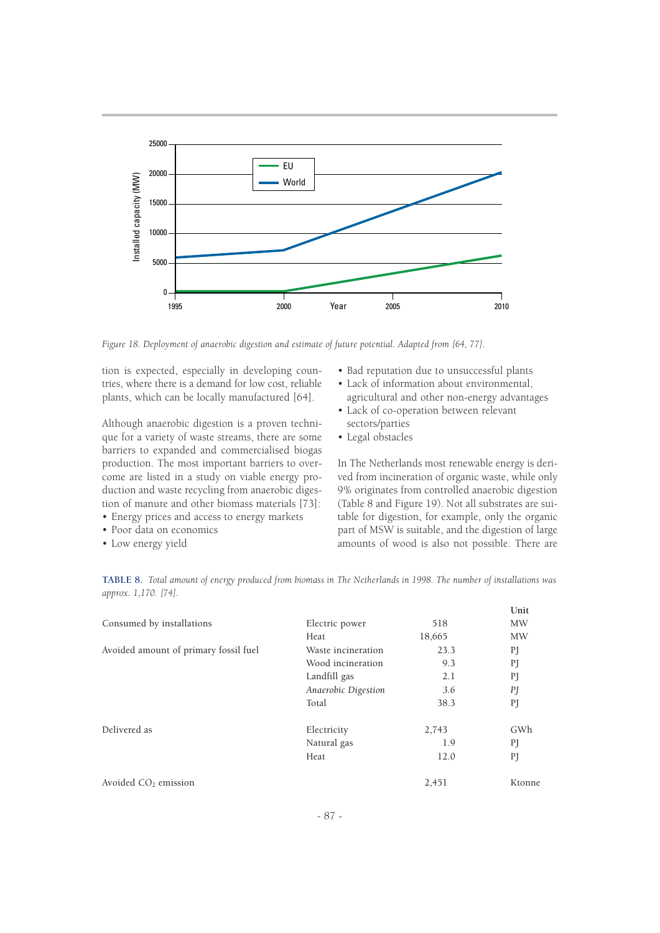

*Figure 18. Deployment of anaerobic digestion and estimate of future potential. Adapted from [64, 77].*

tion is expected, especially in developing countries, where there is a demand for low cost, reliable plants, which can be locally manufactured [64].

Although anaerobic digestion is a proven technique for a variety of waste streams, there are some barriers to expanded and commercialised biogas production. The most important barriers to overcome are listed in a study on viable energy production and waste recycling from anaerobic digestion of manure and other biomass materials [73]:

- Energy prices and access to energy markets
- Poor data on economics
- Low energy yield
- Bad reputation due to unsuccessful plants
- Lack of information about environmental, agricultural and other non-energy advantages
- Lack of co-operation between relevant sectors/parties
- Legal obstacles

In The Netherlands most renewable energy is derived from incineration of organic waste, while only 9% originates from controlled anaerobic digestion (Table 8 and Figure 19). Not all substrates are suitable for digestion, for example, only the organic part of MSW is suitable, and the digestion of large amounts of wood is also not possible. There are

| Consumed by installations<br>Avoided amount of primary fossil fuel | Electric power<br>Heat<br>Waste incineration<br>Wood incineration<br>Landfill gas | 518<br>18,665<br>23.3<br>9.3<br>2.1 | Unit<br><b>MW</b><br><b>MW</b><br>PJ<br>PI<br>PJ |
|--------------------------------------------------------------------|-----------------------------------------------------------------------------------|-------------------------------------|--------------------------------------------------|
|                                                                    | Anaerobic Digestion                                                               | 3.6                                 | PI                                               |
|                                                                    | Total                                                                             | 38.3                                | PI                                               |
| Delivered as                                                       | Electricity                                                                       | 2,743                               | GWh                                              |
|                                                                    | Natural gas                                                                       | 1.9                                 | PI                                               |
|                                                                    | Heat                                                                              | 12.0                                | PJ                                               |
| Avoided $CO2$ emission                                             |                                                                                   | 2,451                               | Ktonne                                           |

**TABLE 8.** *Total amount of energy produced from biomass in The Netherlands in 1998. The number of installations was approx. 1,170. [74].*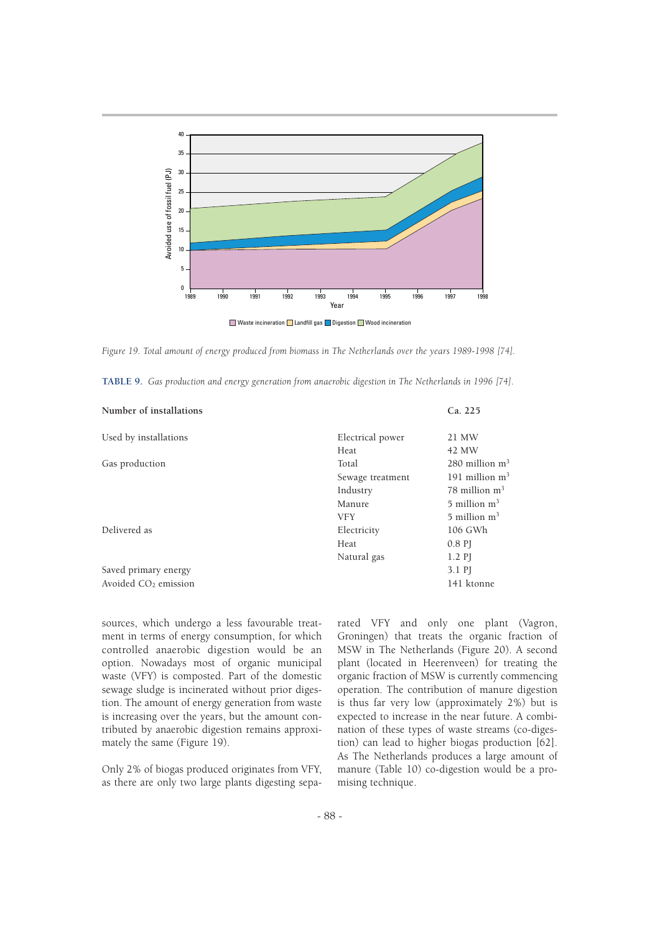

*Figure 19. Total amount of energy produced from biomass in The Netherlands over the years 1989-1998 [74].* 

|  |  |  | TABLE 9. Gas production and energy generation from anaerobic digestion in The Netherlands in 1996 [74]. |
|--|--|--|---------------------------------------------------------------------------------------------------------|
|--|--|--|---------------------------------------------------------------------------------------------------------|

| Number of installations          |                  | Ca. 225                      |
|----------------------------------|------------------|------------------------------|
| Used by installations            | Electrical power | 21 MW                        |
|                                  | Heat             | 42 MW                        |
| Gas production                   | Total            | $280$ million m <sup>3</sup> |
|                                  | Sewage treatment | 191 million $m3$             |
|                                  | Industry         | 78 million $m3$              |
|                                  | Manure           | $5$ million m <sup>3</sup>   |
|                                  | <b>VFY</b>       | $5$ million $m3$             |
| Delivered as                     | Electricity      | 106 GWh                      |
|                                  | Heat             | $0.8$ PJ                     |
|                                  | Natural gas      | $1.2$ PJ                     |
| Saved primary energy             |                  | 3.1 PJ                       |
| Avoided CO <sub>2</sub> emission |                  | 141 ktonne                   |

sources, which undergo a less favourable treatment in terms of energy consumption, for which controlled anaerobic digestion would be an option. Nowadays most of organic municipal waste (VFY) is composted. Part of the domestic sewage sludge is incinerated without prior digestion. The amount of energy generation from waste is increasing over the years, but the amount contributed by anaerobic digestion remains approximately the same (Figure 19).

Only 2% of biogas produced originates from VFY, as there are only two large plants digesting separated VFY and only one plant (Vagron, Groningen) that treats the organic fraction of MSW in The Netherlands (Figure 20). A second plant (located in Heerenveen) for treating the organic fraction of MSW is currently commencing operation. The contribution of manure digestion is thus far very low (approximately 2%) but is expected to increase in the near future. A combination of these types of waste streams (co-digestion) can lead to higher biogas production [62]. As The Netherlands produces a large amount of manure (Table 10) co-digestion would be a promising technique.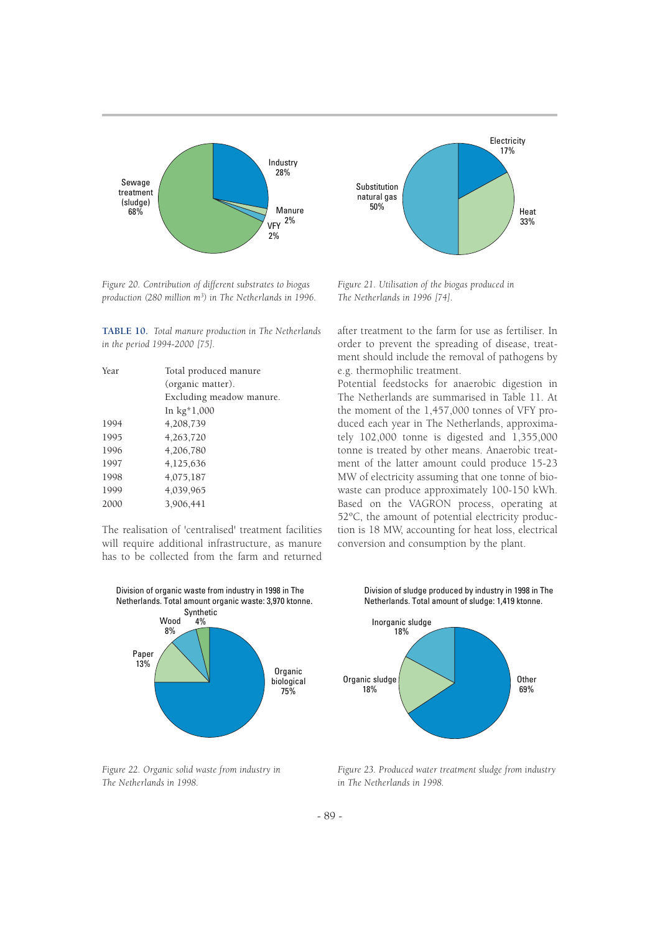

*Figure 20. Contribution of different substrates to biogas production (280 million m<sup>3</sup> ) in The Netherlands in 1996.*

**TABLE 10.** *Total manure production in The Netherlands in the period 1994-2000 [75].*

| Year | Total produced manure    |  |  |
|------|--------------------------|--|--|
|      | (organic matter).        |  |  |
|      | Excluding meadow manure. |  |  |
|      | In kg*1,000              |  |  |
| 1994 | 4,208,739                |  |  |
| 1995 | 4,263,720                |  |  |
| 1996 | 4,206,780                |  |  |
| 1997 | 4,125,636                |  |  |
| 1998 | 4,075,187                |  |  |
| 1999 | 4,039,965                |  |  |
| 2000 | 3,906,441                |  |  |
|      |                          |  |  |

The realisation of 'centralised' treatment facilities will require additional infrastructure, as manure has to be collected from the farm and returned



*Figure 21. Utilisation of the biogas produced in The Netherlands in 1996 [74].*

after treatment to the farm for use as fertiliser. In order to prevent the spreading of disease, treatment should include the removal of pathogens by e.g. thermophilic treatment.

Potential feedstocks for anaerobic digestion in The Netherlands are summarised in Table 11. At the moment of the 1,457,000 tonnes of VFY produced each year in The Netherlands, approximately 102,000 tonne is digested and 1,355,000 tonne is treated by other means. Anaerobic treatment of the latter amount could produce 15-23 MW of electricity assuming that one tonne of biowaste can produce approximately 100-150 kWh. Based on the VAGRON process, operating at 52ºC, the amount of potential electricity production is 18 MW, accounting for heat loss, electrical conversion and consumption by the plant.



*Figure 22. Organic solid waste from industry in The Netherlands in 1998.*

Division of sludge produced by industry in 1998 in The Netherlands. Total amount of sludge: 1,419 ktonne.



*Figure 23. Produced water treatment sludge from industry in The Netherlands in 1998.*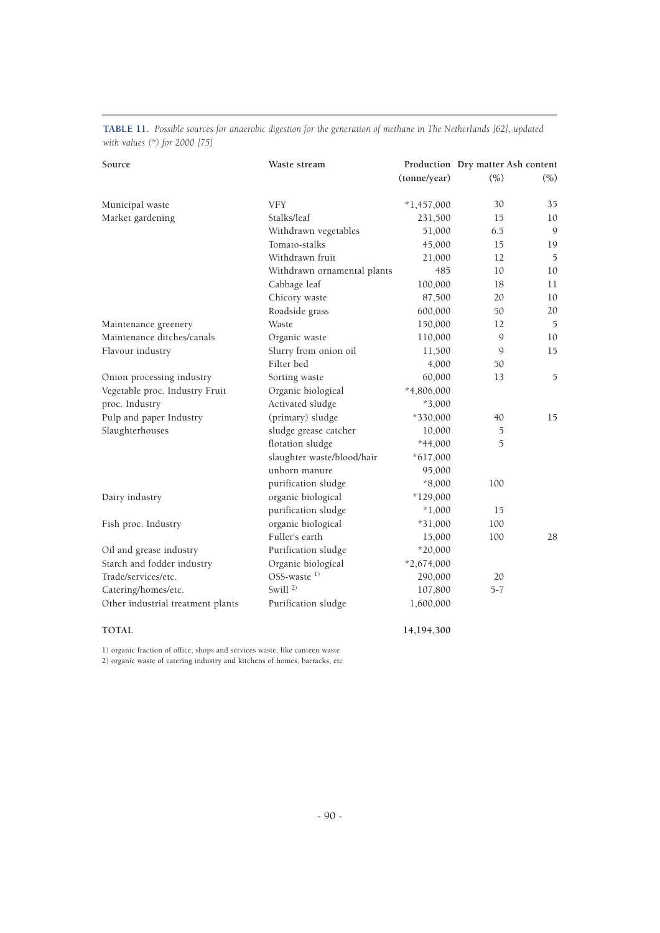| Source                            | Waste stream                | (tonne/year) | (%)           | Production Dry matter Ash content<br>(% ) |
|-----------------------------------|-----------------------------|--------------|---------------|-------------------------------------------|
| Municipal waste                   | <b>VFY</b>                  | $*1,457,000$ | 30            | 35                                        |
| Market gardening                  | Stalks/leaf                 | 231,500      | 15            | 10                                        |
|                                   | Withdrawn vegetables        | 51,000       | 6.5           | $\mathcal{G}$                             |
|                                   | Tomato-stalks               | 45,000       | 15            | 19                                        |
|                                   | Withdrawn fruit             | 21,000       | 12            | 5                                         |
|                                   | Withdrawn ornamental plants | 485          | 10            | 10                                        |
|                                   | Cabbage leaf                | 100,000      | 18            | 11                                        |
|                                   | Chicory waste               | 87,500       | 20            | 10                                        |
|                                   | Roadside grass              | 600,000      | 50            | 20                                        |
| Maintenance greenery              | Waste                       | 150,000      | 12            | $\overline{5}$                            |
| Maintenance ditches/canals        | Organic waste               | 110,000      | 9             | $10\,$                                    |
| Flavour industry                  | Slurry from onion oil       | 11,500       | 9             | 15                                        |
|                                   | Filter bed                  | 4,000        | 50            |                                           |
| Onion processing industry         | Sorting waste               | 60,000       | 13            | 5                                         |
| Vegetable proc. Industry Fruit    | Organic biological          | $*4,806,000$ |               |                                           |
| proc. Industry                    | Activated sludge            | $*3,000$     |               |                                           |
| Pulp and paper Industry           | (primary) sludge            | *330,000     | 40            | 15                                        |
| Slaughterhouses                   | sludge grease catcher       | 10,000       | $\mathfrak I$ |                                           |
|                                   | flotation sludge            | $*44,000$    | 5             |                                           |
|                                   | slaughter waste/blood/hair  | $*617,000$   |               |                                           |
|                                   | unborn manure               | 95,000       |               |                                           |
|                                   | purification sludge         | $*8,000$     | 100           |                                           |
| Dairy industry                    | organic biological          | $*129,000$   |               |                                           |
|                                   | purification sludge         | $*1,000$     | 15            |                                           |
| Fish proc. Industry               | organic biological          | $*31,000$    | 100           |                                           |
|                                   | Fuller's earth              | 15,000       | 100           | 28                                        |
| Oil and grease industry           | Purification sludge         | $*20,000$    |               |                                           |
| Starch and fodder industry        | Organic biological          | $*2,674,000$ |               |                                           |
| Trade/services/etc.               | OSS-waste <sup>1)</sup>     | 290,000      | 20            |                                           |
| Catering/homes/etc.               | Swill <sup>2)</sup>         | 107,800      | $5 - 7$       |                                           |
| Other industrial treatment plants | Purification sludge         | 1,600,000    |               |                                           |
| <b>TOTAL</b>                      |                             | 14,194,300   |               |                                           |

**TABLE 11.** *Possible sources for anaerobic digestion for the generation of methane in The Netherlands [62], updated with values (\*) for 2000 [75]*

1) organic fraction of office, shops and services waste, like canteen waste

2) organic waste of catering industry and kitchens of homes, barracks, etc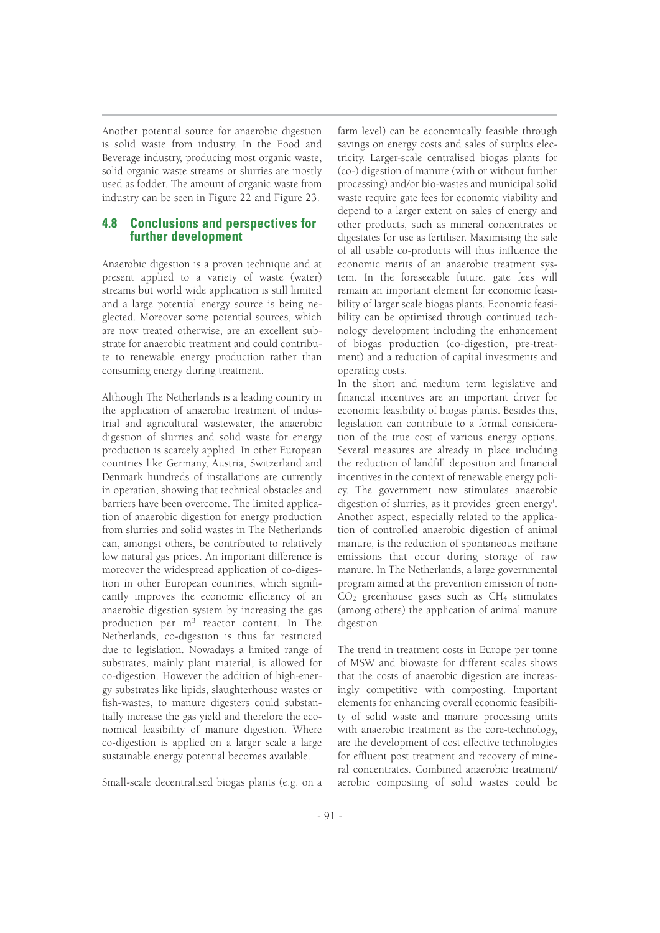Another potential source for anaerobic digestion is solid waste from industry. In the Food and Beverage industry, producing most organic waste, solid organic waste streams or slurries are mostly used as fodder. The amount of organic waste from industry can be seen in Figure 22 and Figure 23.

## **4.8 Conclusions and perspectives for further development**

Anaerobic digestion is a proven technique and at present applied to a variety of waste (water) streams but world wide application is still limited and a large potential energy source is being neglected. Moreover some potential sources, which are now treated otherwise, are an excellent substrate for anaerobic treatment and could contribute to renewable energy production rather than consuming energy during treatment.

Although The Netherlands is a leading country in the application of anaerobic treatment of industrial and agricultural wastewater, the anaerobic digestion of slurries and solid waste for energy production is scarcely applied. In other European countries like Germany, Austria, Switzerland and Denmark hundreds of installations are currently in operation, showing that technical obstacles and barriers have been overcome. The limited application of anaerobic digestion for energy production from slurries and solid wastes in The Netherlands can, amongst others, be contributed to relatively low natural gas prices. An important difference is moreover the widespread application of co-digestion in other European countries, which significantly improves the economic efficiency of an anaerobic digestion system by increasing the gas production per m<sup>3</sup> reactor content. In The Netherlands, co-digestion is thus far restricted due to legislation. Nowadays a limited range of substrates, mainly plant material, is allowed for co-digestion. However the addition of high-energy substrates like lipids, slaughterhouse wastes or fish-wastes, to manure digesters could substantially increase the gas yield and therefore the economical feasibility of manure digestion. Where co-digestion is applied on a larger scale a large sustainable energy potential becomes available.

Small-scale decentralised biogas plants (e.g. on a

farm level) can be economically feasible through savings on energy costs and sales of surplus electricity. Larger-scale centralised biogas plants for (co-) digestion of manure (with or without further processing) and/or bio-wastes and municipal solid waste require gate fees for economic viability and depend to a larger extent on sales of energy and other products, such as mineral concentrates or digestates for use as fertiliser. Maximising the sale of all usable co-products will thus influence the economic merits of an anaerobic treatment system. In the foreseeable future, gate fees will remain an important element for economic feasibility of larger scale biogas plants. Economic feasibility can be optimised through continued technology development including the enhancement of biogas production (co-digestion, pre-treatment) and a reduction of capital investments and operating costs.

In the short and medium term legislative and financial incentives are an important driver for economic feasibility of biogas plants. Besides this, legislation can contribute to a formal consideration of the true cost of various energy options. Several measures are already in place including the reduction of landfill deposition and financial incentives in the context of renewable energy policy. The government now stimulates anaerobic digestion of slurries, as it provides 'green energy'. Another aspect, especially related to the application of controlled anaerobic digestion of animal manure, is the reduction of spontaneous methane emissions that occur during storage of raw manure. In The Netherlands, a large governmental program aimed at the prevention emission of non- $CO<sub>2</sub>$  greenhouse gases such as  $CH<sub>4</sub>$  stimulates (among others) the application of animal manure digestion.

The trend in treatment costs in Europe per tonne of MSW and biowaste for different scales shows that the costs of anaerobic digestion are increasingly competitive with composting. Important elements for enhancing overall economic feasibility of solid waste and manure processing units with anaerobic treatment as the core-technology, are the development of cost effective technologies for effluent post treatment and recovery of mineral concentrates. Combined anaerobic treatment/ aerobic composting of solid wastes could be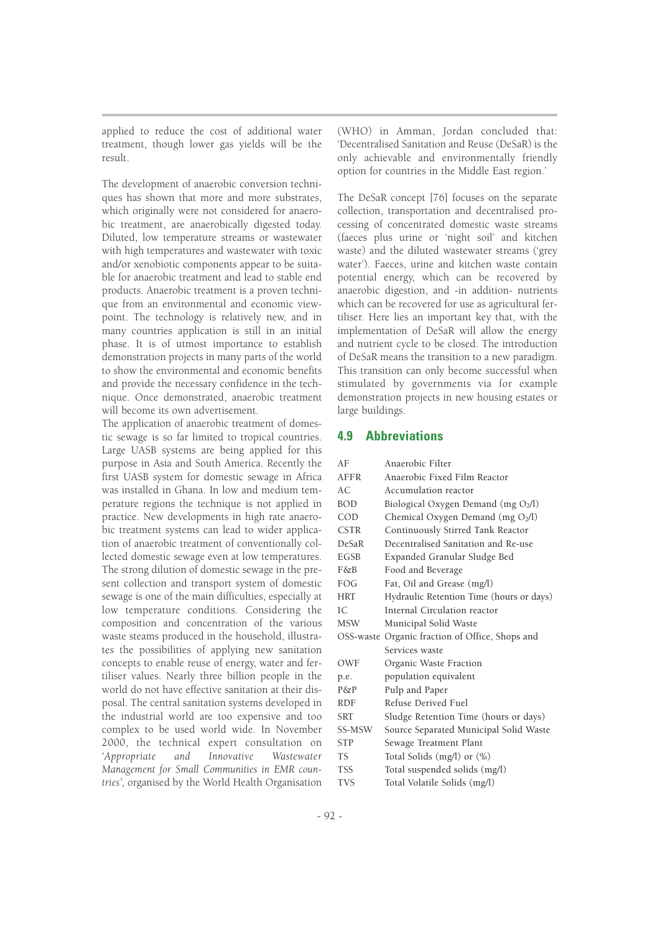applied to reduce the cost of additional water treatment, though lower gas yields will be the result.

The development of anaerobic conversion techniques has shown that more and more substrates, which originally were not considered for anaerobic treatment, are anaerobically digested today. Diluted, low temperature streams or wastewater with high temperatures and wastewater with toxic and/or xenobiotic components appear to be suitable for anaerobic treatment and lead to stable end products. Anaerobic treatment is a proven technique from an environmental and economic viewpoint. The technology is relatively new, and in many countries application is still in an initial phase. It is of utmost importance to establish demonstration projects in many parts of the world to show the environmental and economic benefits and provide the necessary confidence in the technique. Once demonstrated, anaerobic treatment will become its own advertisement.

The application of anaerobic treatment of domestic sewage is so far limited to tropical countries. Large UASB systems are being applied for this purpose in Asia and South America. Recently the first UASB system for domestic sewage in Africa was installed in Ghana. In low and medium temperature regions the technique is not applied in practice. New developments in high rate anaerobic treatment systems can lead to wider application of anaerobic treatment of conventionally collected domestic sewage even at low temperatures. The strong dilution of domestic sewage in the present collection and transport system of domestic sewage is one of the main difficulties, especially at low temperature conditions. Considering the composition and concentration of the various waste steams produced in the household, illustrates the possibilities of applying new sanitation concepts to enable reuse of energy, water and fertiliser values. Nearly three billion people in the world do not have effective sanitation at their disposal. The central sanitation systems developed in the industrial world are too expensive and too complex to be used world wide. In November 2000, the technical expert consultation on *'Appropriate and Innovative Wastewater Management for Small Communities in EMR countries',* organised by the World Health Organisation

(WHO) in Amman, Jordan concluded that: 'Decentralised Sanitation and Reuse (DeSaR) is the only achievable and environmentally friendly option for countries in the Middle East region.'

The DeSaR concept [76] focuses on the separate collection, transportation and decentralised processing of concentrated domestic waste streams (faeces plus urine or 'night soil' and kitchen waste) and the diluted wastewater streams ('grey water'). Faeces, urine and kitchen waste contain potential energy, which can be recovered by anaerobic digestion, and -in addition- nutrients which can be recovered for use as agricultural fertiliser. Here lies an important key that, with the implementation of DeSaR will allow the energy and nutrient cycle to be closed. The introduction of DeSaR means the transition to a new paradigm. This transition can only become successful when stimulated by governments via for example demonstration projects in new housing estates or large buildings.

## **4.9 Abbreviations**

| AF           | Anaerobic Filter                                |
|--------------|-------------------------------------------------|
| <b>AFFR</b>  | Anaerobic Fixed Film Reactor                    |
| AC.          | Accumulation reactor                            |
| <b>BOD</b>   | Biological Oxygen Demand (mg O2/l)              |
| COD          | Chemical Oxygen Demand (mg O2/l)                |
| <b>CSTR</b>  | Continuously Stirred Tank Reactor               |
| <b>DeSaR</b> | Decentralised Sanitation and Re-use             |
| EGSB         | Expanded Granular Sludge Bed                    |
| F&B          | Food and Beverage                               |
| FOG.         | Fat, Oil and Grease (mg/l)                      |
| <b>HRT</b>   | Hydraulic Retention Time (hours or days)        |
| IC.          | Internal Circulation reactor                    |
| <b>MSW</b>   | Municipal Solid Waste                           |
|              | OSS-waste Organic fraction of Office, Shops and |
|              | Services waste                                  |
| OWF          | Organic Waste Fraction                          |
| p.e.         | population equivalent                           |
| $P\&P$       | Pulp and Paper                                  |
| <b>RDF</b>   | Refuse Derived Fuel                             |
| <b>SRT</b>   | Sludge Retention Time (hours or days)           |
| SS-MSW       | Source Separated Municipal Solid Waste          |
| <b>STP</b>   | Sewage Treatment Plant                          |
| <b>TS</b>    | Total Solids (mg/l) or (%)                      |
| <b>TSS</b>   | Total suspended solids (mg/l)                   |
| <b>TVS</b>   | Total Volatile Solids (mg/l)                    |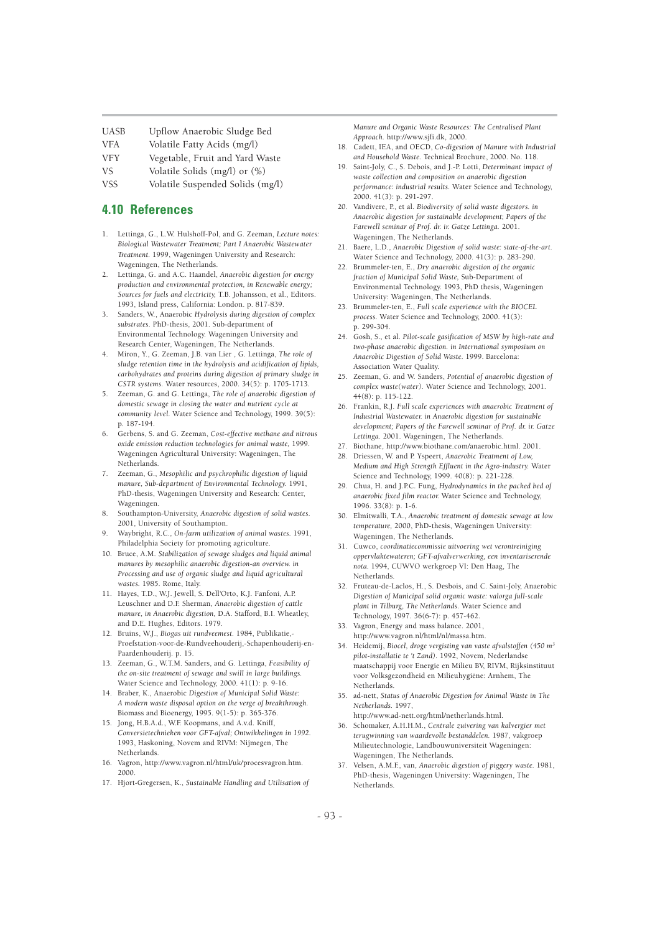UASB Upflow Anaerobic Sludge Bed

- VFA Volatile Fatty Acids (mg/l)
- VFY Vegetable, Fruit and Yard Waste

VS Volatile Solids (mg/l) or (%)

VSS Volatile Suspended Solids (mg/l)

## **4.10 References**

- 1. Lettinga, G., L.W. Hulshoff-Pol, and G. Zeeman, *Lecture notes: Biological Wastewater Treatment; Part I Anaerobic Wastewater Treatment.* 1999, Wageningen University and Research: Wageningen, The Netherlands.
- 2. Lettinga, G. and A.C. Haandel, *Anaerobic digestion for energy production and environmental protection, in Renewable energy; Sources for fuels and electricity,* T.B. Johansson, et al., Editors. 1993, Island press, California: London. p. 817-839.
- 3. Sanders, W., Anaerobic *Hydrolysis during digestion of complex substrates.* PhD-thesis, 2001. Sub-department of Environmental Technology. Wageningen University and Research Center, Wageningen, The Netherlands.
- 4. Miron, Y., G. Zeeman, J.B. van Lier , G. Lettinga, *The role of sludge retention time in the hydrolysis and acidification of lipids, carbohydrates and proteins during digestion of primary sludge in CSTR systems.* Water resources, 2000. 34(5): p. 1705-1713.
- 5. Zeeman, G. and G. Lettinga, *The role of anaerobic digestion of domestic sewage in closing the water and nutrient cycle at community level.* Water Science and Technology, 1999. 39(5): p. 187-194.
- 6. Gerbens, S. and G. Zeeman, *Cost-effective methane and nitrous oxide emission reduction technologies for animal waste,* 1999. Wageningen Agricultural University: Wageningen, The Netherlands.
- 7. Zeeman, G., *Mesophilic and psychrophilic digestion of liquid manure, Sub-department of Environmental Technology.* 1991, PhD-thesis, Wageningen University and Research: Center, Wageningen.
- 8. Southampton-University, *Anaerobic digestion of solid wastes.* 2001. University of Southampton.
- 9. Waybright, R.C., *On-farm utilization of animal wastes.* 1991, Philadelphia Society for promoting agriculture.
- 10. Bruce, A.M. *Stabilization of sewage sludges and liquid animal manures by mesophilic anaerobic digestion-an overview. in Processing and use of organic sludge and liquid agricultural wastes.* 1985. Rome, Italy.
- 11. Hayes, T.D., W.J. Jewell, S. Dell'Orto, K.J. Fanfoni, A.P. Leuschner and D.F. Sherman, *Anaerobic digestion of cattle manure, in Anaerobic digestion,* D.A. Stafford, B.I. Wheatley, and D.E. Hughes, Editors. 1979.
- 12. Bruins, W.J., *Biogas uit rundveemest.* 1984, Publikatie,- Proefstation-voor-de-Rundveehouderij,-Schapenhouderij-en-Paardenhouderij. p. 15.
- 13. Zeeman, G., W.T.M. Sanders, and G. Lettinga, *Feasibility of the on-site treatment of sewage and swill in large buildings.* Water Science and Technology, 2000. 41(1): p. 9-16.
- 14. Braber, K., Anaerobic *Digestion of Municipal Solid Waste: A modern waste disposal option on the verge of breakthrough.* Biomass and Bioenergy, 1995. 9(1-5): p. 365-376.
- 15. Jong, H.B.A.d., W.F. Koopmans, and A.v.d. Kniff, *Conversietechnieken voor GFT-afval; Ontwikkelingen in 1992.*  1993, Haskoning, Novem and RIVM: Nijmegen, The Netherlands.
- 16. Vagron, http://www.vagron.nl/html/uk/procesvagron.htm. 2000.
- 17. Hjort-Gregersen, K., *Sustainable Handling and Utilisation of*

*Manure and Organic Waste Resources: The Centralised Plant Approach.* http://www.sjfi.dk, 2000.

- 18. Cadett, IEA, and OECD, *Co-digestion of Manure with Industrial and Household Waste.* Technical Brochure, 2000. No. 118.
- 19. Saint-Joly, C., S. Debois, and J.-P. Lotti, *Determinant impact of waste collection and composition on anaerobic digestion performance: industrial results.* Water Science and Technology, 2000. 41(3): p. 291-297.
- 20. Vandivere, P., et al. *Biodiversity of solid waste digestors. in Anaerobic digestion for sustainable development; Papers of the Farewell seminar of Prof. dr. ir. Gatze Lettinga.* 2001. Wageningen, The Netherlands.
- 21. Baere, L.D., *Anaerobic Digestion of solid waste: state-of-the-art.* Water Science and Technology, 2000. 41(3): p. 283-290.
- 22. Brummeler-ten, E., *Dry anaerobic digestion of the organic fraction of Municipal Solid Waste,* Sub-Department of Environmental Technology. 1993, PhD thesis, Wageningen University: Wageningen, The Netherlands.
- 23. Brummeler-ten, E., *Full scale experience with the BIOCEL process.* Water Science and Technology, 2000. 41(3): p. 299-304.
- 24. Gosh, S., et al. *Pilot-scale gasification of MSW by high-rate and two-phase anaerobic digestion. in International symposium on Anaerobic Digestion of Solid Waste.* 1999. Barcelona: Association Water Quality.
- 25. Zeeman, G. and W. Sanders, *Potential of anaerobic digestion of complex waste(water).* Water Science and Technology, 2001. 44(8): p. 115-122.
- 26. Frankin, R.J. *Full scale experiences with anaerobic Treatment of Industrial Wastewater. in Anaerobic digestion for sustainable development; Papers of the Farewell seminar of Prof. dr. ir. Gatze Lettinga.* 2001. Wageningen, The Netherlands.
- 27. Biothane, http://www.biothane.com/anaerobic.html. 2001.
- 28. Driessen, W. and P. Yspeert, *Anaerobic Treatment of Low, Medium and High Strength Effluent in the Agro-industry.* Water Science and Technology, 1999. 40(8): p. 221-228.
- 29. Chua, H. and J.P.C. Fung, *Hydrodynamics in the packed bed of anaerobic fixed film reactor.* Water Science and Technology, 1996. 33(8): p. 1-6.
- 30. Elmitwalli, T.A., *Anaerobic treatment of domestic sewage at low temperature,* 2000, PhD-thesis, Wageningen University: Wageningen, The Netherlands.
- 31. Cuwco, *coordinatiecommissie uitvoering wet verontreiniging oppervlaktewateren; GFT-afvalverwerking, een inventariserende nota.* 1994, CUWVO werkgroep VI: Den Haag, The Netherlands.
- 32. Fruteau-de-Laclos, H., S. Desbois, and C. Saint-Joly, Anaerobic *Digestion of Municipal solid organic waste: valorga full-scale plant in Tilburg, The Netherlands.* Water Science and Technology, 1997. 36(6-7): p. 457-462.
- 33. Vagron, Energy and mass balance. 2001, http://www.vagron.nl/html/nl/massa.htm.
- 34. Heidemij, *Biocel, droge vergisting van vaste afvalstoffen (450 m<sup>3</sup> pilot-installatie te 't Zand).* 1992, Novem, Nederlandse maatschappij voor Energie en Milieu BV, RIVM, Rijksinstituut voor Volksgezondheid en Milieuhygiëne: Arnhem, The Netherlands.
- 35. ad-nett, *Status of Anaerobic Digestion for Animal Waste in The Netherlands.* 1997,
- http://www.ad-nett.org/html/netherlands.html. 36. Schomaker, A.H.H.M., *Centrale zuivering van kalvergier met terugwinning van waardevolle bestanddelen.* 1987, vakgroep Milieutechnologie, Landbouwuniversiteit Wageningen: Wageningen, The Netherlands.
- 37. Velsen, A.M.F., van, *Anaerobic digestion of piggery waste.* 1981, PhD-thesis, Wageningen University: Wageningen, The Netherlands.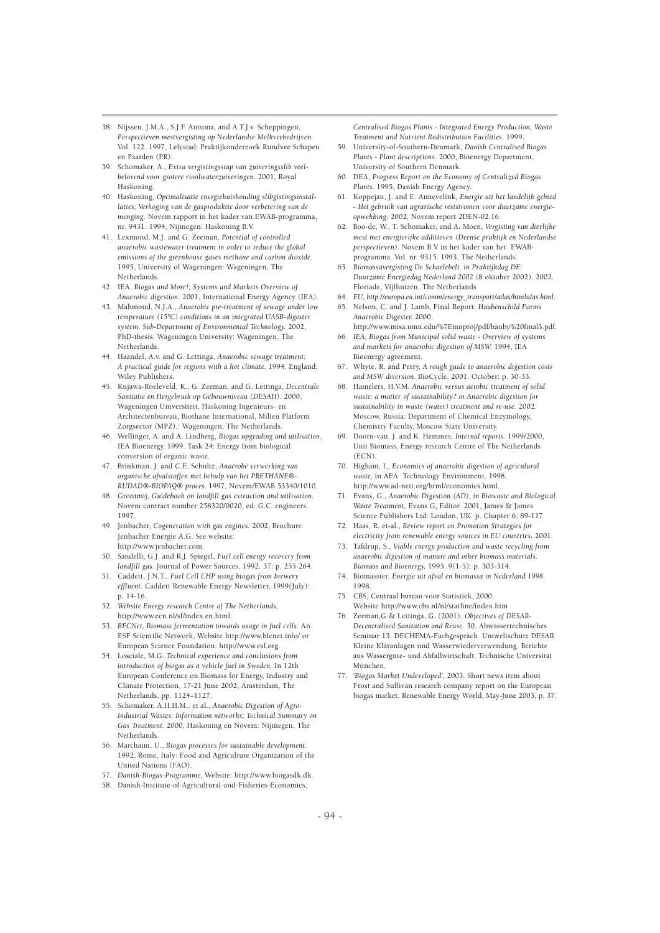- 38. Nijssen, J.M.A., S.J.F. Antuma, and A.T.J.v. Scheppingen, *Perspectieven mestvergisting op Nederlandse Melkveebedrijven.* Vol. 122. 1997, Lelystad: Praktijkonderzoek Rundvee Schapen en Paarden (PR).
- 39. Schomaker, A., *Extra vergistingsstap van zuiveringsslib veelbelovend voor grotere rioolwaterzuiveringen.* 2001, Royal Haskoning.
- 40. Haskoning, *Optimalisatie energiehuishouding slibgistingsinstallaties; Verhoging van de gasproduktie door verbetering van de menging.* Novem rapport in het kader van EWAB-programma, nr. 9431. 1994, Nijmegen: Haskoning B.V.
- 41. Lexmond, M.J. and G. Zeeman, *Potential of controlled anaerobic wastewater treatment in order to reduce the global emissions of the greenhouse gases methane and carbon dioxide.* 1995, University of Wageningen: Wageningen, The Netherlands.
- 42. IEA, *Biogas and More!; Systems and Markets Overview of Anaerobic digestion.* 2001, International Energy Agency (IEA).
- 43. Mahmoud, N.J.A., *Anaerobic pre-treatment of sewage under low temperature (15°C) conditions in an integrated UASB-digester system, Sub-Department of Environmental Technology.* 2002, PhD-thesis, Wageningen University: Wageningen, The Netherlands.
- 44. Haandel, A.v. and G. Lettinga, *Anaerobic sewage treatment: A practical guide for regions with a hot climate.* 1994, England: Wiley Publishers.
- 45. Kujawa-Roeleveld, K., G. Zeeman, and G. Lettinga, *Decentrale Sanitatie en Hergebruik op Gebouwniveau (DESAH).* 2000, Wageningen Universiteit, Haskoning Ingenieurs- en Architectenbureau, Biothane International, Milieu Platform Zorgsector (MPZ).: Wageningen, The Netherlands.
- 46. Wellinger, A. and A. Lindberg, *Biogas upgrading and utilisation.* IEA Bioenergy, 1999. Task 24: Energy from biological conversion of organic waste.
- 47. Brinkman, J. and C.E. Schultz, *Anaërobe verwerking van organische afvalstoffen met behulp van het PRETHANE®- RUDAD®-BIOPAQ® proces.* 1997, Novem/EWAB 53340/1010.
- 48. Grontmij, *Guidebook on landfill gas extraction and utilisation.* Novem contract number 258320/0020, ed. G.C. engineers. 1997.
- 49. Jenbacher, *Cogeneration with gas engines.* 2002, Brochure Jenbacher Energie A.G. See website: http://www.jenbacher.com
- 50. Sandelli, G.J. and R.J. Spiegel, *Fuel cell energy recovery from landfill gas.* Journal of Power Sources, 1992. 37: p. 255-264.
- 51. Caddett, J.N.T., *Fuel Cell CHP using biogas from brewery effluent.* Caddett Renewable Energy Newsletter, 1999(July): p. 14-16.
- 52. *Website Energy research Centre of The Netherlands,*  http://www.ecn.nl/sf/index.en.html.
- 53. *BFCNet, Biomass fermentation towards usage in fuel cells.* An ESF Scientific Network, Website http://www.bfcnet.info/ or European Science Foundation: http://www.esf.org.
- 54. Losciale, M.G. *Technical experience and conclusions from introduction of biogas as a vehicle fuel in Sweden.* In 12th European Conference on Biomass for Energy, Industry and Climate Protection, 17-21 June 2002, Amsterdam, The Netherlands, pp. 1124–1127.
- 55. Schomaker, A.H.H.M., et al., *Anaerobic Digestion of Agro-Industrial Wastes: Information networks; Technical Summary on Gas Treatment.* 2000, Haskoning en Novem: Nijmegen, The Netherlands.
- 56. Marchaim, U., *Biogas processes for sustainable development.* 1992, Rome, Italy: Food and Agriculture Organization of the United Nations (FAO).
- 57. *Danish-Biogas-Programme,* Website: http://www.biogasdk.dk.
- 58. Danish-Institute-of-Agricultural-and-Fisheries-Economics,

*Centralised Biogas Plants - Integrated Energy Production, Waste Treatment and Nutrient Redistribution Facilities.* 1999.

- 59. University-of-Southern-Denmark, *Danish Centralised Biogas Plants - Plant descriptions.* 2000, Bioenergy Department, University of Southern Denmark.
- 60. DEA, *Progress Report on the Economy of Centralized Biogas Plants.* 1995, Danish Energy Agency.
- 61. Koppejan, J. and E. Annevelink, *Energie uit het landelijk gebied - Het gebruik van agrarische reststromen voor duurzame energieopwekking.* 2002, Novem report 2DEN-02.16.
- 62. Boo-de, W., T. Schomaker, and A. Moen, *Vergisting van dierlijke mest met energierijke additieven (Deense praktijk en Nederlandse perspectieven).* Novem B.V in het kader van het EWABprogramma. Vol. nr. 9315. 1993, The Netherlands.
- 63. *Biomassavergisting De Scharlebelt. in Praktijkdag DE: Duurzame Energiedag Nederland 2002* (8 oktober 2002). 2002. Floriade, Vijfhuizen, The Netherlands
- 64. *EU, http://europa.eu.int/comm/energy\_transport/atlas/htmlu/as.html.*
- 65. Nelson, C. and J. Lamb, Final Report: *Haubenschild Farms Anaerobic Digester.* 2000,
- http://www.misa.umn.edu/%7Emnproj/pdf/hauby%20final3.pdf. 66. *IEA, Biogas from Municipal solid waste - Overview of systems*
- *and markets for anaerobic digestion of MSW.* 1994, IEA Bioenergy agreement.
- 67. Whyte, R. and Perry, *A rough guide to anaerobic digestion costs and MSW diversion.* BioCycle, 2001. October: p. 30-33.
- 68. Hamelers, H.V.M. *Anaerobic versus aerobic treatment of solid waste: a matter of sustainability? in Anaerobic digestion for sustainability in waste (water) treatment and re-use.* 2002. Moscow, Russia: Department of Chemical Enzymology, Chemistry Faculty, Moscow State University.
- 69. Doorn-van, J. and K. Hemmes, *Internal reports.* 1999/2000, Unit Biomass, Energy research Centre of The Netherlands  $(FCN)$
- 70. Higham, I., *Economics of anaerobic digestion of agriculural waste,* in AEA Technology Environment. 1998, http://www.ad-nett.org/html/economics.html.
- 71. Evans, G., *Anaerobic Digestion (AD), in Biowaste and Biological Waste Treatment,* Evans G, Editor. 2001, James & James Science Publishers Ltd: London, UK. p. Chapter 6, 89-117.
- 72. Haas, R. et-al., *Review report on Promotion Strategies for electricity from renewable energy sources in EU countries.* 2001.
- 73. Tafdrup, S., *Viable energy production and waste recycling from anaerobic digestion of manure and other biomass materials. Biomass and Bioenergy,* 1995. 9(1-5): p. 303-314.
- 74. Biomasster, *Energie uit afval en biomassa in Nederland 1998.* 1998.
- 75. CBS, Centraal bureau voor Statistiek, 2000. Website http://www.cbs.nl/nl/statline/index.htm
- 76. Zeeman,G & Lettinga, G. (2001). *Objectives of DESAR-Decentralised Sanitation and Reuse.* 30. Abwassertechnisches Seminar 13. DECHEMA-Fachgespräch Umweltschutz DESAR Kleine Kläranlagen und Wasserwiederverwendung. Berichte aus Wassergüte- und Abfallwirtschaft. Technische Universität München.
- 77. *'Biogas Market Undeveloped',* 2003. Short news item about Frost and Sullivan research company report on the European biogas market. Renewable Energy World, May-June 2003, p. 37.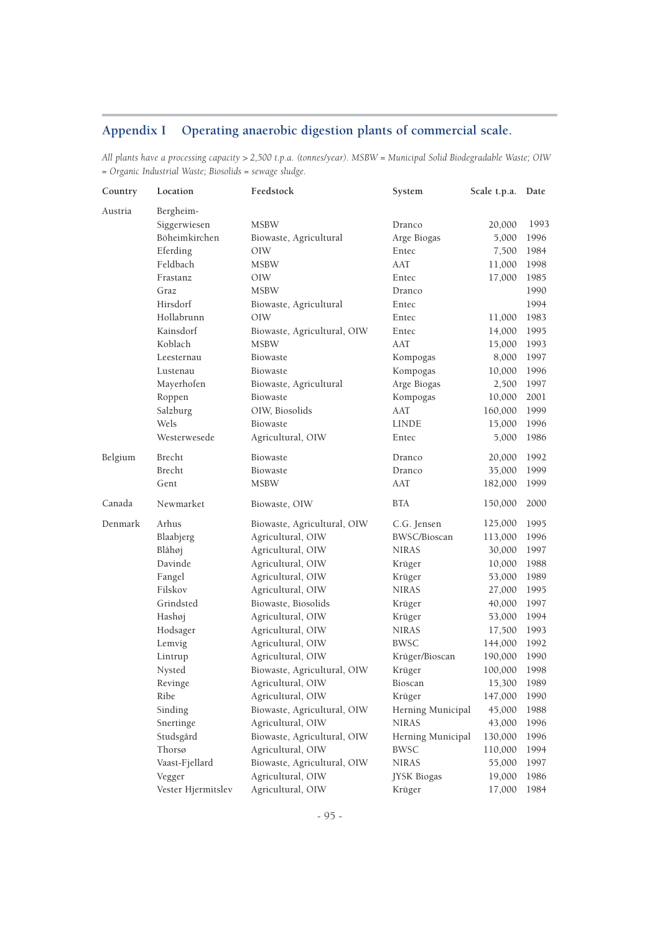## **Appendix I Operating anaerobic digestion plants of commercial scale.**

*All plants have a processing capacity > 2,500 t.p.a. (tonnes/year). MSBW = Municipal Solid Biodegradable Waste; OIW = Organic Industrial Waste; Biosolids = sewage sludge.*

| Country | Location           | Feedstock                   | System            | Scale t.p.a. | Date |
|---------|--------------------|-----------------------------|-------------------|--------------|------|
| Austria | Bergheim-          |                             |                   |              |      |
|         | Siggerwiesen       | <b>MSBW</b>                 | Dranco            | 20,000       | 1993 |
|         | Böheimkirchen      | Biowaste, Agricultural      | Arge Biogas       | 5,000        | 1996 |
|         | Eferding           | OIW                         | Entec             | 7,500        | 1984 |
|         | Feldbach           | <b>MSBW</b>                 | AAT               | 11,000       | 1998 |
|         | Frastanz           | OIW                         | Entec             | 17,000       | 1985 |
|         | Graz               | MSBW                        | Dranco            |              | 1990 |
|         | Hirsdorf           | Biowaste, Agricultural      | Entec             |              | 1994 |
|         | Hollabrunn         | OIW                         | Entec             | 11,000       | 1983 |
|         | Kainsdorf          | Biowaste, Agricultural, OIW | Entec             | 14,000       | 1995 |
|         | Koblach            | <b>MSBW</b>                 | AAT               | 15,000       | 1993 |
|         | Leesternau         | Biowaste                    | Kompogas          | 8,000        | 1997 |
|         | Lustenau           | Biowaste                    | Kompogas          | 10,000       | 1996 |
|         | Mayerhofen         | Biowaste, Agricultural      | Arge Biogas       | 2,500        | 1997 |
|         | Roppen             | Biowaste                    | Kompogas          | 10,000       | 2001 |
|         | Salzburg           | OIW, Biosolids              | AAT               | 160,000      | 1999 |
|         | Wels               | Biowaste                    | <b>LINDE</b>      | 15,000       | 1996 |
|         | Westerwesede       | Agricultural, OIW           | Entec             | 5,000        | 1986 |
| Belgium | Brecht             | Biowaste                    | Dranco            | 20,000       | 1992 |
|         | Brecht             | Biowaste                    | Dranco            | 35,000       | 1999 |
|         | Gent               | MSBW                        | AAT               | 182,000      | 1999 |
| Canada  | Newmarket          | Biowaste, OIW               | <b>BTA</b>        | 150,000      | 2000 |
| Denmark | Arhus              | Biowaste, Agricultural, OIW | C.G. Jensen       | 125,000      | 1995 |
|         | Blaabjerg          | Agricultural, OIW           | BWSC/Bioscan      | 113,000      | 1996 |
|         | Blåhøj             | Agricultural, OIW           | <b>NIRAS</b>      | 30,000       | 1997 |
|         | Davinde            | Agricultural, OIW           | Krüger            | 10,000       | 1988 |
|         | Fangel             | Agricultural, OIW           | Krüger            | 53,000       | 1989 |
|         | Filskov            | Agricultural, OIW           | <b>NIRAS</b>      | 27,000       | 1995 |
|         | Grindsted          | Biowaste, Biosolids         | Krüger            | 40,000       | 1997 |
|         | Hashøj             | Agricultural, OIW           | Krüger            | 53,000       | 1994 |
|         | Hodsager           | Agricultural, OIW           | <b>NIRAS</b>      | 17,500       | 1993 |
|         | Lemvig             | Agricultural, OIW           | BWSC              | 144,000      | 1992 |
|         | Lintrup            | Agricultural, OIW           | Krüger/Bioscan    | 190,000      | 1990 |
|         | Nysted             | Biowaste, Agricultural, OIW | Krüger            | 100,000      | 1998 |
|         | Revinge            | Agricultural, OIW           | Bioscan           | 15,300       | 1989 |
|         | Ribe               | Agricultural, OIW           | Krüger            | 147,000      | 1990 |
|         | Sinding            | Biowaste, Agricultural, OIW | Herning Municipal | 45,000       | 1988 |
|         | Snertinge          | Agricultural, OIW           | <b>NIRAS</b>      | 43,000       | 1996 |
|         | Studsgård          | Biowaste, Agricultural, OIW | Herning Municipal | 130,000      | 1996 |
|         | Thorsø             | Agricultural, OIW           | <b>BWSC</b>       | 110,000      | 1994 |
|         | Vaast-Fjellard     | Biowaste, Agricultural, OIW | <b>NIRAS</b>      | 55,000       | 1997 |
|         | Vegger             | Agricultural, OIW           | JYSK Biogas       | 19,000       | 1986 |
|         | Vester Hjermitslev | Agricultural, OIW           | Krüger            | 17,000       | 1984 |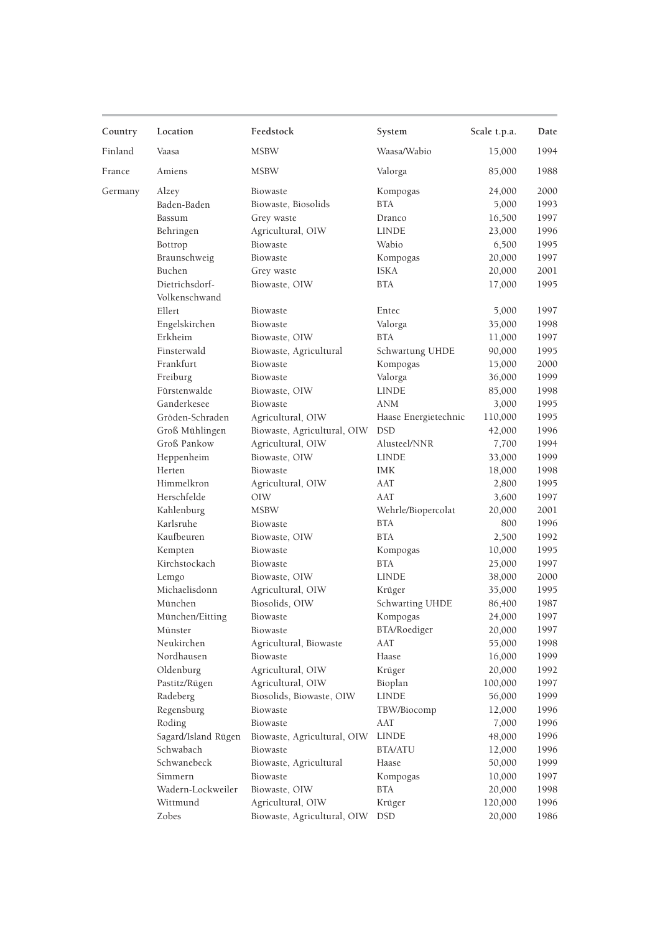| Country | Location               | Feedstock                   | System                 | Scale t.p.a. | Date |
|---------|------------------------|-----------------------------|------------------------|--------------|------|
| Finland | Vaasa                  | <b>MSBW</b>                 | Waasa/Wabio            | 15,000       | 1994 |
| France  | Amiens                 | <b>MSBW</b>                 | Valorga                | 85,000       | 1988 |
| Germany | Alzey                  | Biowaste                    | Kompogas               | 24,000       | 2000 |
|         | Baden-Baden            | Biowaste, Biosolids         | <b>BTA</b>             | 5,000        | 1993 |
|         | Bassum                 | Grey waste                  | Dranco                 | 16,500       | 1997 |
|         | Behringen              | Agricultural, OIW           | <b>LINDE</b>           | 23,000       | 1996 |
|         | Bottrop                | Biowaste                    | Wabio                  | 6,500        | 1995 |
|         | Braunschweig           | Biowaste                    | Kompogas               | 20,000       | 1997 |
|         | Buchen                 | Grey waste                  | <b>ISKA</b>            | 20,000       | 2001 |
|         | Dietrichsdorf-         | Biowaste, OIW               | <b>BTA</b>             | 17,000       | 1995 |
|         | Volkenschwand          |                             |                        |              |      |
|         | Ellert                 | Biowaste                    | Entec                  | 5,000        | 1997 |
|         | Engelskirchen          | Biowaste                    | Valorga                | 35,000       | 1998 |
|         | Erkheim                | Biowaste, OIW               | <b>BTA</b>             | 11,000       | 1997 |
|         | Finsterwald            | Biowaste, Agricultural      | Schwartung UHDE        | 90,000       | 1995 |
|         | Frankfurt              | Biowaste                    | Kompogas               | 15,000       | 2000 |
|         | Freiburg               | Biowaste                    | Valorga                | 36,000       | 1999 |
|         | Fürstenwalde           | Biowaste, OIW               | <b>LINDE</b>           | 85,000       | 1998 |
|         | Ganderkesee            | Biowaste                    | <b>ANM</b>             | 3,000        | 1995 |
|         | Gröden-Schraden        | Agricultural, OIW           | Haase Energietechnic   | 110,000      | 1995 |
|         | Groß Mühlingen         | Biowaste, Agricultural, OIW | <b>DSD</b>             | 42,000       | 1996 |
|         | Groß Pankow            | Agricultural, OIW           | Alusteel/NNR           | 7,700        | 1994 |
|         | Heppenheim             | Biowaste, OIW               | <b>LINDE</b>           | 33,000       | 1999 |
|         | Herten                 | Biowaste                    | <b>IMK</b>             | 18,000       | 1998 |
|         | Himmelkron             | Agricultural, OIW           | AAT                    | 2,800        | 1995 |
|         | Herschfelde            | OIW                         | AAT                    | 3,600        | 1997 |
|         | Kahlenburg             | <b>MSBW</b>                 | Wehrle/Biopercolat     | 20,000       | 2001 |
|         | Karlsruhe              | Biowaste                    | <b>BTA</b>             | 800          | 1996 |
|         | Kaufbeuren             |                             | <b>BTA</b>             |              | 1992 |
|         |                        | Biowaste, OIW               |                        | 2,500        |      |
|         | Kempten                | Biowaste                    | Kompogas<br><b>BTA</b> | 10,000       | 1995 |
|         | Kirchstockach          | Biowaste                    | <b>LINDE</b>           | 25,000       | 1997 |
|         | Lemgo<br>Michaelisdonn | Biowaste, OIW               |                        | 38,000       | 2000 |
|         |                        | Agricultural, OIW           | Krüger                 | 35,000       | 1995 |
|         | München                | Biosolids, OIW              | Schwarting UHDE        | 86,400       | 1987 |
|         | München/Eitting        | Biowaste                    | Kompogas               | 24,000       | 1997 |
|         | Münster                | Biowaste                    | BTA/Roediger           | 20,000       | 1997 |
|         | Neukirchen             | Agricultural, Biowaste      | AAT                    | 55,000       | 1998 |
|         | Nordhausen             | Biowaste                    | Haase                  | 16,000       | 1999 |
|         | Oldenburg              | Agricultural, OIW           | Krüger                 | 20,000       | 1992 |
|         | Pastitz/Rügen          | Agricultural, OIW           | Bioplan                | 100,000      | 1997 |
|         | Radeberg               | Biosolids, Biowaste, OIW    | <b>LINDE</b>           | 56,000       | 1999 |
|         | Regensburg             | Biowaste                    | TBW/Biocomp            | 12,000       | 1996 |
|         | Roding                 | Biowaste                    | AAT                    | 7,000        | 1996 |
|         | Sagard/Island Rügen    | Biowaste, Agricultural, OIW | <b>LINDE</b>           | 48,000       | 1996 |
|         | Schwabach              | Biowaste                    | <b>BTA/ATU</b>         | 12,000       | 1996 |
|         | Schwanebeck            | Biowaste, Agricultural      | Haase                  | 50,000       | 1999 |
|         | Simmern                | Biowaste                    | Kompogas               | 10,000       | 1997 |
|         | Wadern-Lockweiler      | Biowaste, OIW               | <b>BTA</b>             | 20,000       | 1998 |
|         | Wittmund               | Agricultural, OIW           | Krüger                 | 120,000      | 1996 |
|         | Zobes                  | Biowaste, Agricultural, OIW | <b>DSD</b>             | 20,000       | 1986 |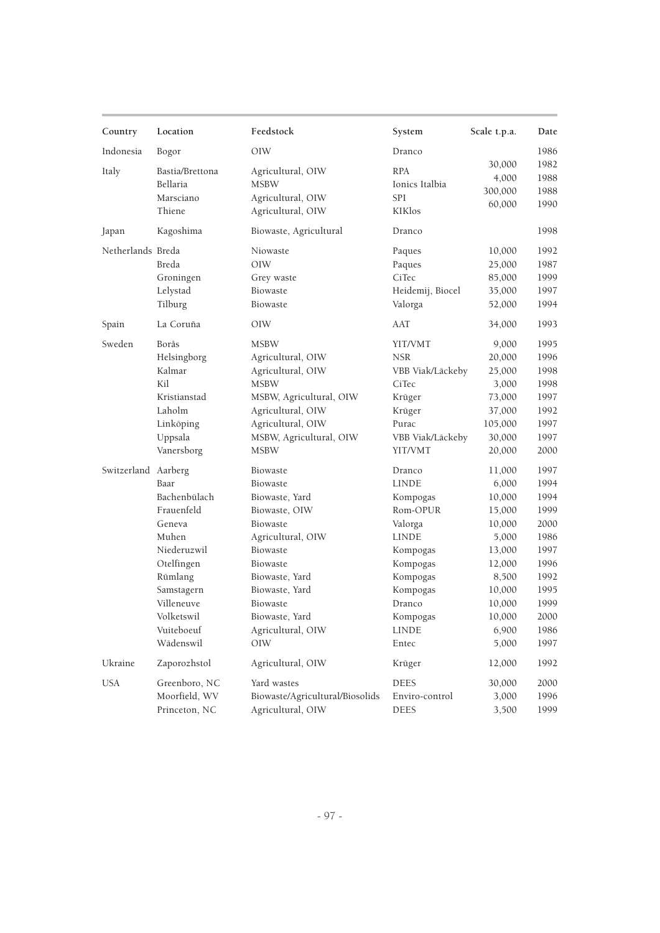| Country             | Location        | Feedstock                       | System           | Scale t.p.a. | Date |
|---------------------|-----------------|---------------------------------|------------------|--------------|------|
| Indonesia           | Bogor           | OIW                             | Dranco           |              | 1986 |
| Italy               | Bastia/Brettona | Agricultural, OIW               | <b>RPA</b>       | 30,000       | 1982 |
|                     | Bellaria        | <b>MSBW</b>                     | Ionics Italbia   | 4,000        | 1988 |
|                     | Marsciano       | Agricultural, OIW               | <b>SPI</b>       | 300,000      | 1988 |
|                     | Thiene          | Agricultural, OIW               | <b>KIKlos</b>    | 60,000       | 1990 |
|                     |                 | Biowaste, Agricultural          | Dranco           |              | 1998 |
| Japan               | Kagoshima       |                                 |                  |              |      |
| Netherlands Breda   |                 | Niowaste                        | Paques           | 10,000       | 1992 |
|                     | Breda           | OIW                             | Paques           | 25,000       | 1987 |
|                     | Groningen       | Grey waste                      | CiTec            | 85,000       | 1999 |
|                     | Lelystad        | Biowaste                        | Heidemij, Biocel | 35,000       | 1997 |
|                     | Tilburg         | Biowaste                        | Valorga          | 52,000       | 1994 |
| Spain               | La Coruña       | OIW                             | AAT              | 34,000       | 1993 |
| Sweden              | Borås           | <b>MSBW</b>                     | YIT/VMT          | 9,000        | 1995 |
|                     | Helsingborg     | Agricultural, OIW               | <b>NSR</b>       | 20,000       | 1996 |
|                     | Kalmar          | Agricultural, OIW               | VBB Viak/Läckeby | 25,000       | 1998 |
|                     | Kil             | <b>MSBW</b>                     | CiTec            | 3,000        | 1998 |
|                     | Kristianstad    | MSBW, Agricultural, OIW         | Krüger           | 73,000       | 1997 |
|                     | Laholm          | Agricultural, OIW               | Krüger           | 37,000       | 1992 |
|                     | Linköping       | Agricultural, OIW               | Purac            | 105,000      | 1997 |
|                     | Uppsala         | MSBW, Agricultural, OIW         | VBB Viak/Läckeby | 30,000       | 1997 |
|                     | Vanersborg      | <b>MSBW</b>                     | YIT/VMT          | 20,000       | 2000 |
| Switzerland Aarberg |                 | Biowaste                        | Dranco           | 11,000       | 1997 |
|                     | Baar            | Biowaste                        | <b>LINDE</b>     | 6,000        | 1994 |
|                     | Bachenbülach    | Biowaste, Yard                  | Kompogas         | 10,000       | 1994 |
|                     | Frauenfeld      | Biowaste, OIW                   | Rom-OPUR         | 15,000       | 1999 |
|                     | Geneva          | Biowaste                        | Valorga          | 10,000       | 2000 |
|                     | Muhen           | Agricultural, OIW               | <b>LINDE</b>     | 5,000        | 1986 |
|                     | Niederuzwil     | Biowaste                        | Kompogas         | 13,000       | 1997 |
|                     | Otelfingen      | Biowaste                        | Kompogas         | 12,000       | 1996 |
|                     | Rümlang         | Biowaste, Yard                  | Kompogas         | 8,500        | 1992 |
|                     | Samstagern      | Biowaste, Yard                  | Kompogas         | 10,000       | 1995 |
|                     | Villeneuve      | Biowaste                        | Dranco           | 10,000       | 1999 |
|                     | Volketswil      | Biowaste, Yard                  | Kompogas         | 10,000       | 2000 |
|                     | Vuiteboeuf      | Agricultural, OIW               | <b>LINDE</b>     | 6,900        | 1986 |
|                     | Wädenswil       | OIW                             | Entec            | 5,000        | 1997 |
| Ukraine             | Zaporozhstol    | Agricultural, OIW               | Krüger           | 12,000       | 1992 |
| <b>USA</b>          | Greenboro, NC   | Yard wastes                     | <b>DEES</b>      | 30,000       | 2000 |
|                     | Moorfield, WV   | Biowaste/Agricultural/Biosolids | Enviro-control   | 3,000        | 1996 |
|                     | Princeton, NC   | Agricultural, OIW               | DEES             | 3,500        | 1999 |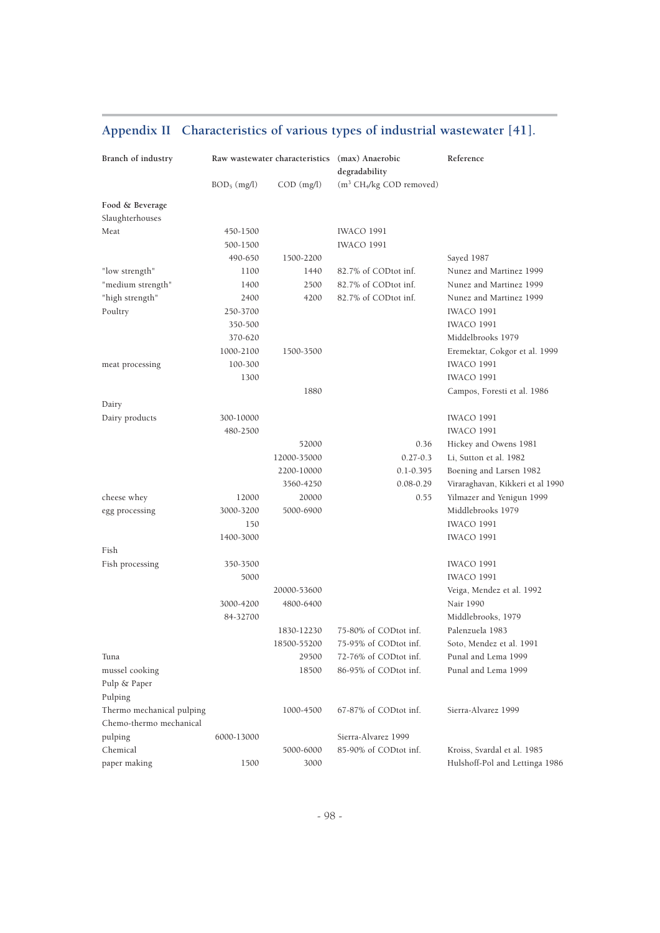| Branch of industry                 |               |              | Raw wastewater characteristics (max) Anaerobic<br>degradability | Reference                        |
|------------------------------------|---------------|--------------|-----------------------------------------------------------------|----------------------------------|
|                                    | $BOD5$ (mg/l) | $COD$ (mg/l) | (m <sup>3</sup> CH <sub>4</sub> /kg COD removed)                |                                  |
| Food & Beverage<br>Slaughterhouses |               |              |                                                                 |                                  |
| Meat                               | 450-1500      |              | IWACO 1991                                                      |                                  |
|                                    | 500-1500      |              | <b>IWACO 1991</b>                                               |                                  |
|                                    | 490-650       | 1500-2200    |                                                                 | Sayed 1987                       |
| "low strength"                     | 1100          | 1440         | 82.7% of CODtot inf.                                            | Nunez and Martinez 1999          |
| "medium strength"                  | 1400          | 2500         | 82.7% of CODtot inf.                                            | Nunez and Martinez 1999          |
| "high strength"                    | 2400          | 4200         | 82.7% of CODtot inf.                                            | Nunez and Martinez 1999          |
| Poultry                            | 250-3700      |              |                                                                 | <b>IWACO 1991</b>                |
|                                    | 350-500       |              |                                                                 | <b>IWACO 1991</b>                |
|                                    | 370-620       |              |                                                                 | Middelbrooks 1979                |
|                                    | 1000-2100     | 1500-3500    |                                                                 | Eremektar, Cokgor et al. 1999    |
| meat processing                    | 100-300       |              |                                                                 | <b>IWACO 1991</b>                |
|                                    | 1300          |              |                                                                 | <b>IWACO 1991</b>                |
|                                    |               |              |                                                                 |                                  |
|                                    |               | 1880         |                                                                 | Campos, Foresti et al. 1986      |
| Dairy                              |               |              |                                                                 | <b>IWACO 1991</b>                |
| Dairy products                     | 300-10000     |              |                                                                 |                                  |
|                                    | 480-2500      |              |                                                                 | <b>IWACO 1991</b>                |
|                                    |               | 52000        | 0.36                                                            | Hickey and Owens 1981            |
|                                    |               | 12000-35000  | $0.27 - 0.3$                                                    | Li, Sutton et al. 1982           |
|                                    |               | 2200-10000   | $0.1 - 0.395$                                                   | Boening and Larsen 1982          |
|                                    |               | 3560-4250    | $0.08 - 0.29$                                                   | Viraraghavan, Kikkeri et al 1990 |
| cheese whey                        | 12000         | 20000        | 0.55                                                            | Yilmazer and Yenigun 1999        |
| egg processing                     | 3000-3200     | 5000-6900    |                                                                 | Middlebrooks 1979                |
|                                    | 150           |              |                                                                 | <b>IWACO 1991</b>                |
|                                    | 1400-3000     |              |                                                                 | <b>IWACO 1991</b>                |
| Fish                               |               |              |                                                                 |                                  |
| Fish processing                    | 350-3500      |              |                                                                 | <b>IWACO 1991</b>                |
|                                    | 5000          |              |                                                                 | <b>IWACO 1991</b>                |
|                                    |               | 20000-53600  |                                                                 | Veiga, Mendez et al. 1992        |
|                                    | 3000-4200     | 4800-6400    |                                                                 | Nair 1990                        |
|                                    | 84-32700      |              |                                                                 | Middlebrooks, 1979               |
|                                    |               | 1830-12230   | 75-80% of CODtot inf.                                           | Palenzuela 1983                  |
|                                    |               | 18500-55200  | 75-95% of CODtot inf.                                           | Soto, Mendez et al. 1991         |
| Tuna                               |               | 29500        | 72-76% of CODtot inf.                                           | Punal and Lema 1999              |
| mussel cooking                     |               | 18500        | 86-95% of CODtot inf.                                           | Punal and Lema 1999              |
| Pulp & Paper                       |               |              |                                                                 |                                  |
| Pulping                            |               |              |                                                                 |                                  |
| Thermo mechanical pulping          |               | 1000-4500    | 67-87% of CODtot inf.                                           | Sierra-Alvarez 1999              |
| Chemo-thermo mechanical            |               |              |                                                                 |                                  |
| pulping                            | 6000-13000    |              | Sierra-Alvarez 1999                                             |                                  |
| Chemical                           |               | 5000-6000    | 85-90% of CODtot inf.                                           | Kroiss, Svardal et al. 1985      |
| paper making                       | 1500          | 3000         |                                                                 | Hulshoff-Pol and Lettinga 1986   |

## **Appendix II Characteristics of various types of industrial wastewater [41].**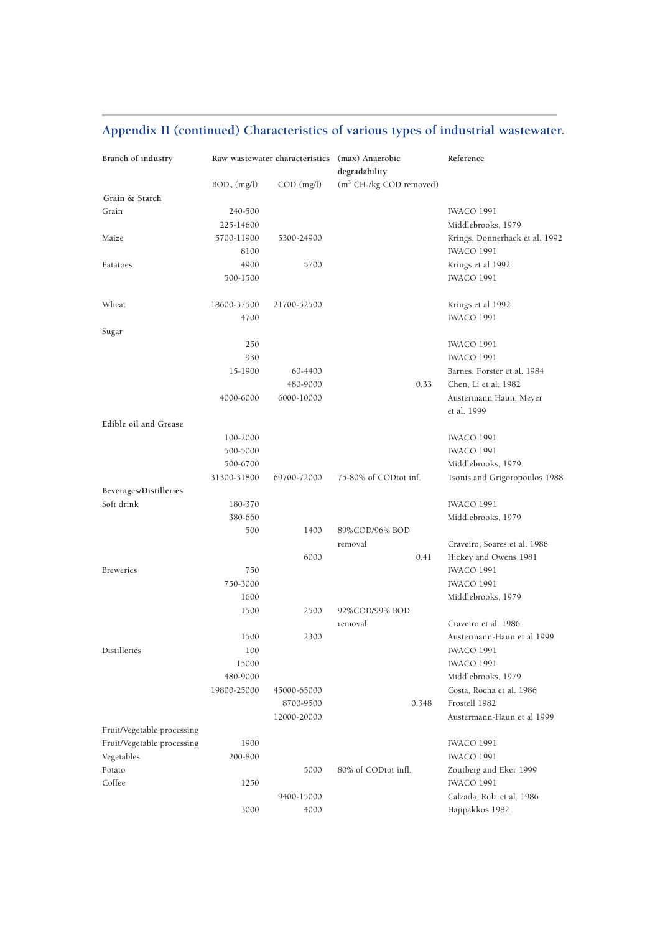## **Appendix II (continued) Characteristics of various types of industrial wastewater.**

| Branch of industry         |                |              | Raw wastewater characteristics (max) Anaerobic<br>degradability | Reference                                  |
|----------------------------|----------------|--------------|-----------------------------------------------------------------|--------------------------------------------|
|                            | $BOD_5$ (mg/l) | $COD$ (mg/l) | (m <sup>3</sup> CH <sub>4</sub> /kg COD removed)                |                                            |
| Grain & Starch             |                |              |                                                                 |                                            |
| Grain                      | 240-500        |              |                                                                 | <b>IWACO 1991</b>                          |
|                            | 225-14600      |              |                                                                 | Middlebrooks, 1979                         |
| Maize                      | 5700-11900     | 5300-24900   |                                                                 | Krings, Donnerhack et al. 1992             |
|                            | 8100           |              |                                                                 | <b>IWACO 1991</b>                          |
| Patatoes                   | 4900           | 5700         |                                                                 | Krings et al 1992                          |
|                            | 500-1500       |              |                                                                 | <b>IWACO 1991</b>                          |
| Wheat                      | 18600-37500    | 21700-52500  |                                                                 | Krings et al 1992                          |
|                            | 4700           |              |                                                                 | <b>IWACO 1991</b>                          |
| Sugar                      |                |              |                                                                 |                                            |
|                            | 250            |              |                                                                 | <b>IWACO 1991</b>                          |
|                            | 930            |              |                                                                 | <b>IWACO 1991</b>                          |
|                            | 15-1900        | 60-4400      |                                                                 | Barnes, Forster et al. 1984                |
|                            |                | 480-9000     | 0.33                                                            | Chen, Li et al. 1982                       |
|                            | 4000-6000      | 6000-10000   |                                                                 | Austermann Haun, Meyer                     |
|                            |                |              |                                                                 | et al. 1999                                |
| Edible oil and Grease      |                |              |                                                                 |                                            |
|                            | 100-2000       |              |                                                                 | <b>IWACO 1991</b>                          |
|                            | 500-5000       |              |                                                                 | <b>IWACO 1991</b>                          |
|                            | 500-6700       |              |                                                                 | Middlebrooks, 1979                         |
|                            | 31300-31800    | 69700-72000  | 75-80% of CODtot inf.                                           | Tsonis and Grigoropoulos 1988              |
| Beverages/Distilleries     |                |              |                                                                 |                                            |
| Soft drink                 | 180-370        |              |                                                                 | <b>IWACO 1991</b>                          |
|                            | 380-660        |              |                                                                 | Middlebrooks, 1979                         |
|                            | 500            | 1400         | 89%COD/96% BOD                                                  |                                            |
|                            |                | 6000         | removal<br>0.41                                                 | Craveiro, Soares et al. 1986               |
|                            | 750            |              |                                                                 | Hickey and Owens 1981<br><b>IWACO 1991</b> |
| <b>Breweries</b>           | 750-3000       |              |                                                                 | <b>IWACO 1991</b>                          |
|                            | 1600           |              |                                                                 | Middlebrooks, 1979                         |
|                            | 1500           | 2500         | 92%COD/99% BOD                                                  |                                            |
|                            |                |              | removal                                                         | Craveiro et al. 1986                       |
|                            | 1500           | 2300         |                                                                 | Austermann-Haun et al 1999                 |
| Distilleries               | 100            |              |                                                                 | <b>IWACO 1991</b>                          |
|                            | 15000          |              |                                                                 | <b>IWACO 1991</b>                          |
|                            | 480-9000       |              |                                                                 | Middlebrooks, 1979                         |
|                            | 19800-25000    | 45000-65000  |                                                                 | Costa, Rocha et al. 1986                   |
|                            |                | 8700-9500    | 0.348                                                           | Frostell 1982                              |
|                            |                | 12000-20000  |                                                                 | Austermann-Haun et al 1999                 |
| Fruit/Vegetable processing |                |              |                                                                 |                                            |
| Fruit/Vegetable processing | 1900           |              |                                                                 | <b>IWACO 1991</b>                          |
| Vegetables                 | 200-800        |              |                                                                 | <b>IWACO 1991</b>                          |
| Potato                     |                | 5000         | 80% of CODtot infl.                                             | Zoutberg and Eker 1999                     |
| Coffee                     | 1250           |              |                                                                 | <b>IWACO 1991</b>                          |
|                            |                | 9400-15000   |                                                                 | Calzada, Rolz et al. 1986                  |
|                            | 3000           | 4000         |                                                                 | Hajipakkos 1982                            |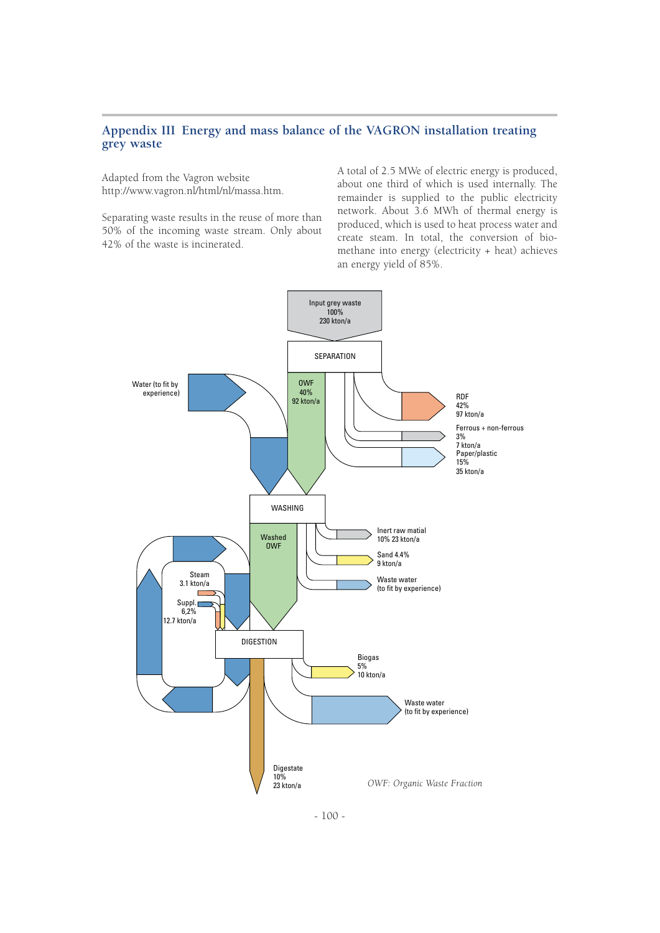## **Appendix III Energy and mass balance of the VAGRON installation treating grey waste**

Adapted from the Vagron website http://www.vagron.nl/html/nl/massa.htm.

Separating waste results in the reuse of more than 50% of the incoming waste stream. Only about 42% of the waste is incinerated.

A total of 2.5 MWe of electric energy is produced, about one third of which is used internally. The remainder is supplied to the public electricity network. About 3.6 MWh of thermal energy is produced, which is used to heat process water and create steam. In total, the conversion of biomethane into energy (electricity + heat) achieves an energy yield of 85%.



 $-100-$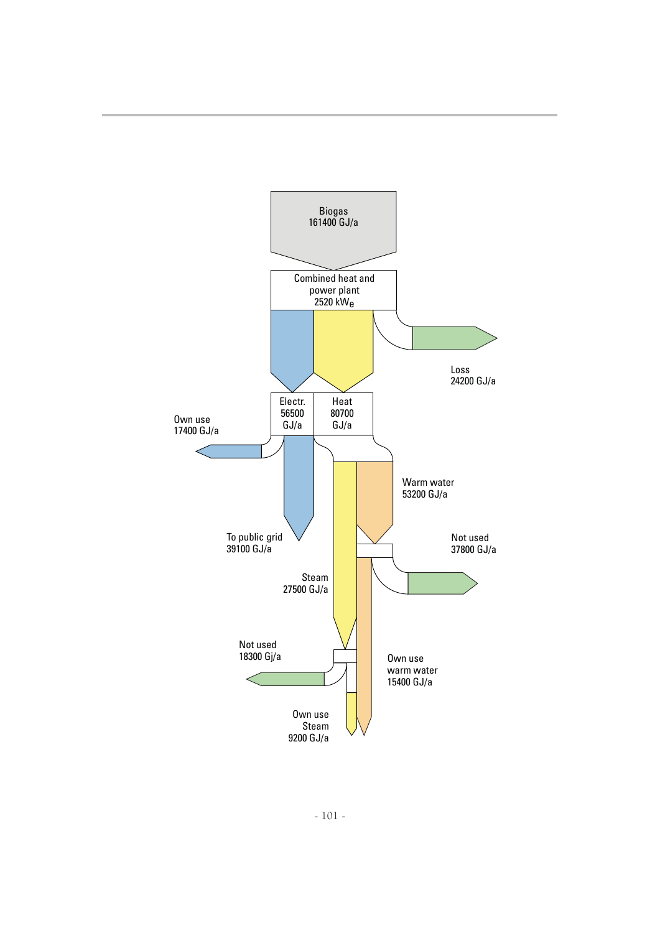